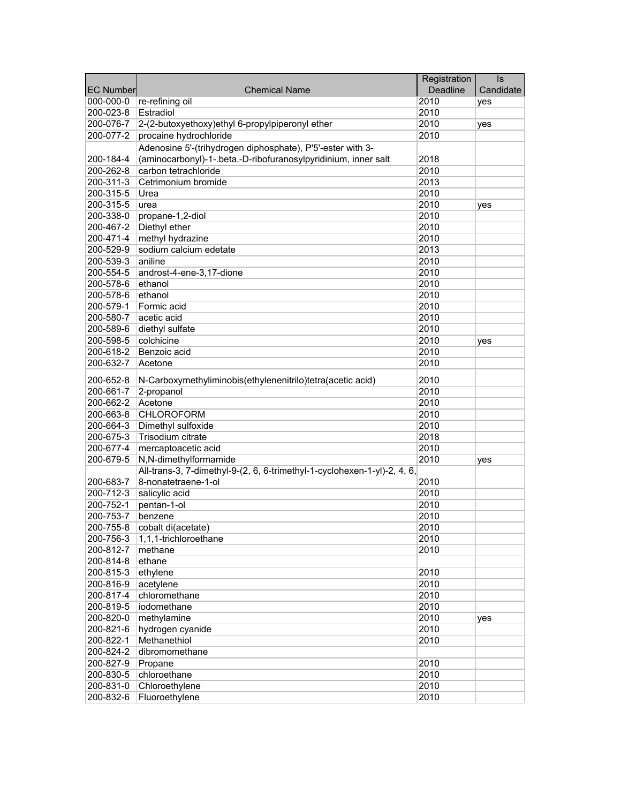|                  |                                                                          | Registration | $\overline{\mathsf{ls}}$ |
|------------------|--------------------------------------------------------------------------|--------------|--------------------------|
| <b>EC Number</b> | <b>Chemical Name</b>                                                     | Deadline     | Candidate                |
| 000-000-0        | re-refining oil                                                          | 2010         | yes                      |
| 200-023-8        | Estradiol                                                                | 2010         |                          |
| 200-076-7        | 2-(2-butoxyethoxy)ethyl 6-propylpiperonyl ether                          | 2010         | yes                      |
| 200-077-2        | procaine hydrochloride                                                   | 2010         |                          |
|                  | Adenosine 5'-(trihydrogen diphosphate), P'5'-ester with 3-               |              |                          |
| 200-184-4        | (aminocarbonyl)-1-.beta.-D-ribofuranosylpyridinium, inner salt           | 2018         |                          |
| 200-262-8        | carbon tetrachloride                                                     | 2010         |                          |
| 200-311-3        | Cetrimonium bromide                                                      | 2013         |                          |
| 200-315-5        | Urea                                                                     | 2010         |                          |
| 200-315-5        | urea                                                                     | 2010         | yes                      |
| 200-338-0        | propane-1,2-diol                                                         | 2010         |                          |
| 200-467-2        | Diethyl ether                                                            | 2010         |                          |
| 200-471-4        | methyl hydrazine                                                         | 2010         |                          |
| 200-529-9        | sodium calcium edetate                                                   | 2013         |                          |
| 200-539-3        | aniline                                                                  | 2010         |                          |
| 200-554-5        | androst-4-ene-3,17-dione                                                 | 2010         |                          |
| 200-578-6        | ethanol                                                                  | 2010         |                          |
| 200-578-6        | ethanol                                                                  | 2010         |                          |
| 200-579-1        | Formic acid                                                              | 2010         |                          |
| 200-580-7        | acetic acid                                                              | 2010         |                          |
| 200-589-6        | diethyl sulfate                                                          | 2010         |                          |
| 200-598-5        | colchicine                                                               | 2010         | yes                      |
| 200-618-2        | Benzoic acid                                                             | 2010         |                          |
| 200-632-7        | Acetone                                                                  | 2010         |                          |
|                  |                                                                          |              |                          |
| 200-652-8        | N-Carboxymethyliminobis(ethylenenitrilo)tetra(acetic acid)               | 2010         |                          |
| 200-661-7        | 2-propanol                                                               | 2010         |                          |
| 200-662-2        | Acetone                                                                  | 2010         |                          |
| 200-663-8        | <b>CHLOROFORM</b>                                                        | 2010         |                          |
| 200-664-3        | Dimethyl sulfoxide                                                       | 2010         |                          |
| 200-675-3        | Trisodium citrate                                                        | 2018         |                          |
| 200-677-4        | mercaptoacetic acid                                                      | 2010         |                          |
| 200-679-5        | N,N-dimethylformamide                                                    | 2010         | yes                      |
|                  | All-trans-3, 7-dimethyl-9-(2, 6, 6-trimethyl-1-cyclohexen-1-yl)-2, 4, 6, |              |                          |
| 200-683-7        | 8-nonatetraene-1-ol                                                      | 2010         |                          |
| 200-712-3        | salicylic acid                                                           | 2010         |                          |
| 200-752-1        | pentan-1-ol                                                              | 2010         |                          |
| 200-753-7        | benzene                                                                  | 2010         |                          |
| 200-755-8        | cobalt di(acetate)                                                       | 2010         |                          |
| 200-756-3        | 1,1,1-trichloroethane                                                    | 2010         |                          |
| 200-812-7        | methane                                                                  | 2010         |                          |
| 200-814-8        | ethane                                                                   |              |                          |
| 200-815-3        | ethylene                                                                 | 2010         |                          |
| 200-816-9        | acetylene                                                                | 2010         |                          |
| 200-817-4        | chloromethane                                                            | 2010         |                          |
| 200-819-5        | iodomethane                                                              | 2010         |                          |
| 200-820-0        | methylamine                                                              | 2010         | yes                      |
| 200-821-6        | hydrogen cyanide                                                         | 2010         |                          |
| 200-822-1        | Methanethiol                                                             | 2010         |                          |
| 200-824-2        | dibromomethane                                                           |              |                          |
| 200-827-9        | Propane                                                                  | 2010         |                          |
| 200-830-5        | chloroethane                                                             | 2010         |                          |
| 200-831-0        | Chloroethylene                                                           | 2010         |                          |
| 200-832-6        | Fluoroethylene                                                           | 2010         |                          |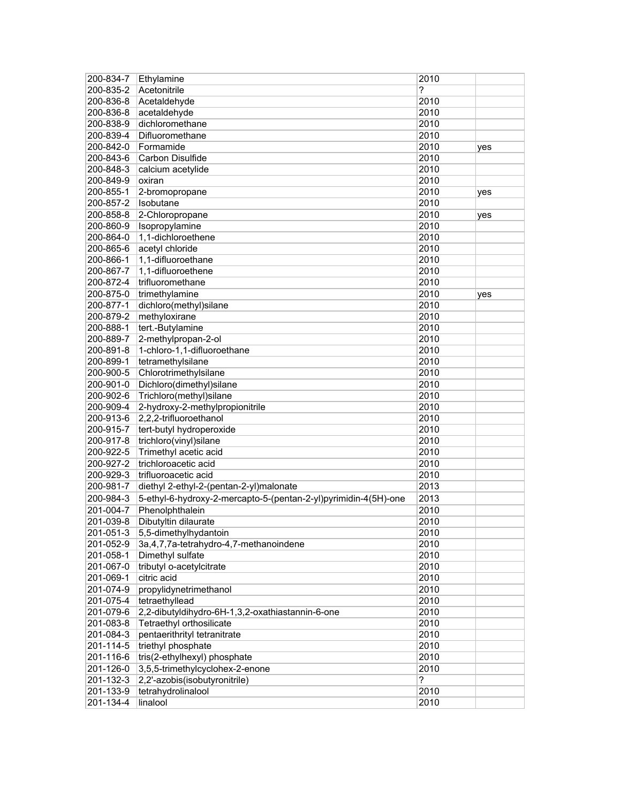| 200-834-7              | Ethylamine                                                      | 2010         |     |
|------------------------|-----------------------------------------------------------------|--------------|-----|
| 200-835-2              | Acetonitrile                                                    | ?            |     |
| 200-836-8              | Acetaldehyde                                                    | 2010         |     |
| 200-836-8              | acetaldehyde                                                    | 2010         |     |
| 200-838-9              | dichloromethane                                                 | 2010         |     |
| 200-839-4              | Difluoromethane                                                 | 2010         |     |
| 200-842-0              | Formamide                                                       | 2010         | yes |
| 200-843-6              | Carbon Disulfide                                                | 2010         |     |
| 200-848-3              | calcium acetylide                                               | 2010         |     |
| 200-849-9              | oxiran                                                          | 2010         |     |
| 200-855-1              | 2-bromopropane                                                  | 2010         | yes |
| 200-857-2              | Isobutane                                                       | 2010         |     |
| 200-858-8              | 2-Chloropropane                                                 | 2010         | yes |
| 200-860-9              | Isopropylamine                                                  | 2010         |     |
| 200-864-0              | 1,1-dichloroethene                                              | 2010         |     |
| 200-865-6              | acetyl chloride                                                 | 2010         |     |
| 200-866-1              | 1,1-difluoroethane                                              | 2010         |     |
| 200-867-7              | 1,1-difluoroethene                                              | 2010         |     |
| 200-872-4              | trifluoromethane                                                | 2010         |     |
| 200-875-0              | trimethylamine                                                  | 2010         | yes |
| 200-877-1              | dichloro(methyl)silane                                          | 2010         |     |
| 200-879-2              | methyloxirane                                                   | 2010         |     |
| 200-888-1              | tert.-Butylamine                                                | 2010         |     |
| 200-889-7              | 2-methylpropan-2-ol                                             | 2010         |     |
| 200-891-8              | 1-chloro-1,1-difluoroethane                                     | 2010         |     |
| 200-899-1              | tetramethylsilane                                               | 2010         |     |
| 200-900-5              | Chlorotrimethylsilane                                           | 2010         |     |
| 200-901-0              | Dichloro(dimethyl)silane                                        | 2010         |     |
| 200-902-6              | Trichloro(methyl)silane                                         | 2010         |     |
| 200-909-4              | 2-hydroxy-2-methylpropionitrile                                 | 2010         |     |
| 200-913-6              | 2,2,2-trifluoroethanol                                          | 2010         |     |
| 200-915-7              | tert-butyl hydroperoxide                                        | 2010         |     |
| 200-917-8              | trichloro(vinyl)silane                                          | 2010         |     |
| 200-922-5              | Trimethyl acetic acid                                           | 2010         |     |
| 200-927-2              | trichloroacetic acid                                            | 2010         |     |
| 200-929-3              | trifluoroacetic acid                                            | 2010         |     |
| 200-981-7              | diethyl 2-ethyl-2-(pentan-2-yl)malonate                         | 2013         |     |
|                        | 5-ethyl-6-hydroxy-2-mercapto-5-(pentan-2-yl)pyrimidin-4(5H)-one |              |     |
| 200-984-3<br>201-004-7 | Phenolphthalein                                                 | 2013<br>2010 |     |
| 201-039-8              | Dibutyltin dilaurate                                            | 2010         |     |
| 201-051-3              | 5,5-dimethylhydantoin                                           |              |     |
|                        |                                                                 | 2010<br>2010 |     |
| 201-052-9              | 3a, 4, 7, 7a-tetrahydro-4, 7-methanoindene<br>Dimethyl sulfate  | 2010         |     |
| 201-058-1              | tributyl o-acetylcitrate                                        |              |     |
| 201-067-0<br>201-069-1 | citric acid                                                     | 2010<br>2010 |     |
| 201-074-9              |                                                                 |              |     |
|                        | propylidynetrimethanol<br>tetraethyllead                        | 2010         |     |
| 201-075-4              |                                                                 | 2010         |     |
| 201-079-6              | 2,2-dibutyldihydro-6H-1,3,2-oxathiastannin-6-one                | 2010         |     |
| 201-083-8              | Tetraethyl orthosilicate                                        | 2010         |     |
| 201-084-3              | pentaerithrityl tetranitrate                                    | 2010         |     |
| 201-114-5              | triethyl phosphate                                              | 2010         |     |
| 201-116-6              | tris(2-ethylhexyl) phosphate                                    | 2010         |     |
| 201-126-0              | 3,5,5-trimethylcyclohex-2-enone                                 | 2010         |     |
| 201-132-3              | 2,2'-azobis(isobutyronitrile)                                   | ?            |     |
| 201-133-9              | tetrahydrolinalool                                              | 2010         |     |
| 201-134-4              | linalool                                                        | 2010         |     |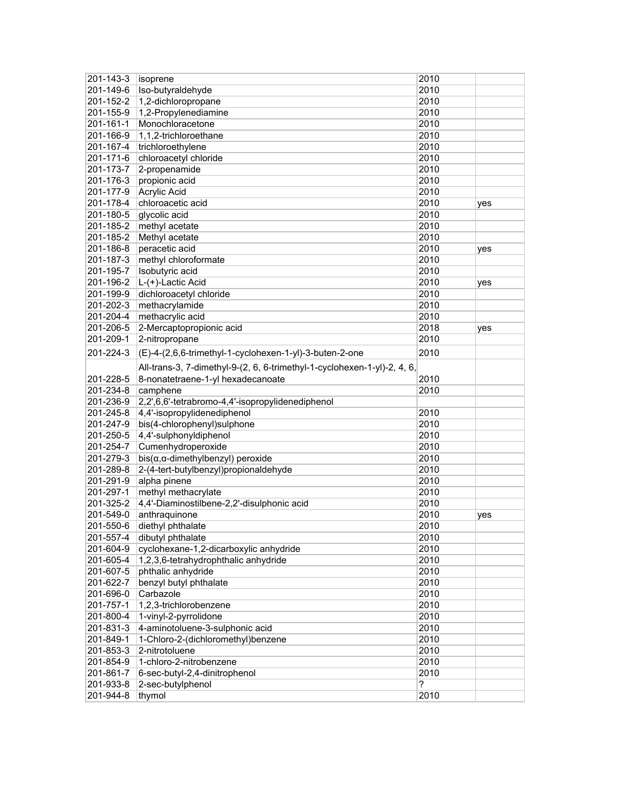| $201 - 143 - 3$ | isoprene                                                                 | 2010 |     |
|-----------------|--------------------------------------------------------------------------|------|-----|
| 201-149-6       | Iso-butyraldehyde                                                        | 2010 |     |
| 201-152-2       | 1,2-dichloropropane                                                      | 2010 |     |
| 201-155-9       | 1,2-Propylenediamine                                                     | 2010 |     |
| 201-161-1       | Monochloracetone                                                         | 2010 |     |
| 201-166-9       | 1,1,2-trichloroethane                                                    | 2010 |     |
| 201-167-4       | trichloroethylene                                                        | 2010 |     |
| 201-171-6       | chloroacetyl chloride                                                    | 2010 |     |
| 201-173-7       | 2-propenamide                                                            | 2010 |     |
| 201-176-3       | propionic acid                                                           | 2010 |     |
| 201-177-9       | <b>Acrylic Acid</b>                                                      | 2010 |     |
| 201-178-4       | chloroacetic acid                                                        | 2010 | yes |
| 201-180-5       | glycolic acid                                                            | 2010 |     |
|                 | methyl acetate                                                           | 2010 |     |
| 201-185-2       |                                                                          |      |     |
| 201-185-2       | Methyl acetate                                                           | 2010 |     |
| 201-186-8       | peracetic acid                                                           | 2010 | yes |
| 201-187-3       | methyl chloroformate                                                     | 2010 |     |
| 201-195-7       | Isobutyric acid                                                          | 2010 |     |
| 201-196-2       | L-(+)-Lactic Acid                                                        | 2010 | yes |
| 201-199-9       | dichloroacetyl chloride                                                  | 2010 |     |
| 201-202-3       | methacrylamide                                                           | 2010 |     |
| 201-204-4       | methacrylic acid                                                         | 2010 |     |
| 201-206-5       | 2-Mercaptopropionic acid                                                 | 2018 | yes |
| 201-209-1       | 2-nitropropane                                                           | 2010 |     |
| 201-224-3       | (E)-4-(2,6,6-trimethyl-1-cyclohexen-1-yl)-3-buten-2-one                  | 2010 |     |
|                 | All-trans-3, 7-dimethyl-9-(2, 6, 6-trimethyl-1-cyclohexen-1-yl)-2, 4, 6, |      |     |
| 201-228-5       | 8-nonatetraene-1-yl hexadecanoate                                        | 2010 |     |
| 201-234-8       | camphene                                                                 | 2010 |     |
| 201-236-9       | 2,2',6,6'-tetrabromo-4,4'-isopropylidenediphenol                         |      |     |
| 201-245-8       | 4,4'-isopropylidenediphenol                                              | 2010 |     |
| 201-247-9       | bis(4-chlorophenyl)sulphone                                              | 2010 |     |
| 201-250-5       | 4,4'-sulphonyldiphenol                                                   | 2010 |     |
| 201-254-7       | Cumenhydroperoxide                                                       | 2010 |     |
|                 |                                                                          |      |     |
| 201-279-3       | $bis(\alpha, \alpha$ -dimethylbenzyl) peroxide                           | 2010 |     |
| 201-289-8       | 2-(4-tert-butylbenzyl)propionaldehyde                                    | 2010 |     |
| 201-291-9       | alpha pinene                                                             | 2010 |     |
| 201-297-1       | methyl methacrylate                                                      | 2010 |     |
| 201-325-2       | 4,4'-Diaminostilbene-2,2'-disulphonic acid                               | 2010 |     |
| 201-549-0       | anthraquinone                                                            | 2010 | yes |
| 201-550-6       | diethyl phthalate                                                        | 2010 |     |
| 201-557-4       | dibutyl phthalate                                                        | 2010 |     |
| 201-604-9       | cyclohexane-1,2-dicarboxylic anhydride                                   | 2010 |     |
| 201-605-4       | 1,2,3,6-tetrahydrophthalic anhydride                                     | 2010 |     |
| 201-607-5       | phthalic anhydride                                                       | 2010 |     |
| 201-622-7       | benzyl butyl phthalate                                                   | 2010 |     |
| 201-696-0       | Carbazole                                                                | 2010 |     |
| 201-757-1       | 1,2,3-trichlorobenzene                                                   | 2010 |     |
| 201-800-4       | 1-vinyl-2-pyrrolidone                                                    | 2010 |     |
| 201-831-3       | 4-aminotoluene-3-sulphonic acid                                          | 2010 |     |
| 201-849-1       | 1-Chloro-2-(dichloromethyl)benzene                                       | 2010 |     |
| 201-853-3       | 2-nitrotoluene                                                           | 2010 |     |
| 201-854-9       | 1-chloro-2-nitrobenzene                                                  | 2010 |     |
| 201-861-7       | 6-sec-butyl-2,4-dinitrophenol                                            | 2010 |     |
| 201-933-8       | 2-sec-butylphenol                                                        | ?    |     |
| 201-944-8       | thymol                                                                   | 2010 |     |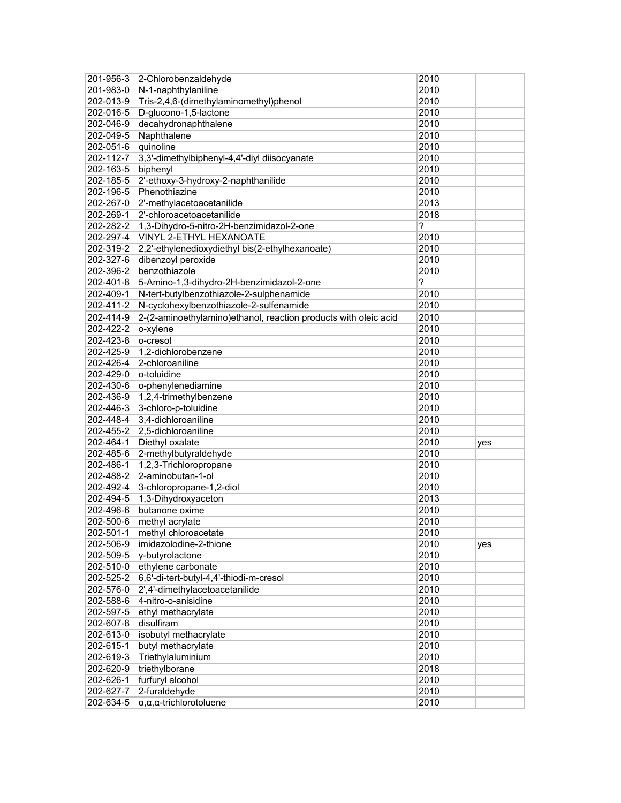| 201-956-3 | 2-Chlorobenzaldehyde                                            | 2010 |     |
|-----------|-----------------------------------------------------------------|------|-----|
| 201-983-0 | N-1-naphthylaniline                                             | 2010 |     |
| 202-013-9 | Tris-2,4,6-(dimethylaminomethyl)phenol                          | 2010 |     |
| 202-016-5 | D-glucono-1,5-lactone                                           | 2010 |     |
| 202-046-9 | decahydronaphthalene                                            | 2010 |     |
| 202-049-5 | Naphthalene                                                     | 2010 |     |
| 202-051-6 | quinoline                                                       | 2010 |     |
| 202-112-7 | 3,3'-dimethylbiphenyl-4,4'-diyl diisocyanate                    | 2010 |     |
| 202-163-5 | biphenyl                                                        | 2010 |     |
| 202-185-5 | 2'-ethoxy-3-hydroxy-2-naphthanilide                             | 2010 |     |
| 202-196-5 | Phenothiazine                                                   | 2010 |     |
| 202-267-0 | 2'-methylacetoacetanilide                                       | 2013 |     |
| 202-269-1 | 2'-chloroacetoacetanilide                                       | 2018 |     |
| 202-282-2 | 1,3-Dihydro-5-nitro-2H-benzimidazol-2-one                       | ?    |     |
| 202-297-4 | VINYL 2-ETHYL HEXANOATE                                         | 2010 |     |
| 202-319-2 | 2,2'-ethylenedioxydiethyl bis(2-ethylhexanoate)                 | 2010 |     |
| 202-327-6 | dibenzoyl peroxide                                              | 2010 |     |
| 202-396-2 | benzothiazole                                                   | 2010 |     |
| 202-401-8 | 5-Amino-1,3-dihydro-2H-benzimidazol-2-one                       | ?    |     |
| 202-409-1 | N-tert-butylbenzothiazole-2-sulphenamide                        | 2010 |     |
| 202-411-2 | N-cyclohexylbenzothiazole-2-sulfenamide                         | 2010 |     |
| 202-414-9 | 2-(2-aminoethylamino)ethanol, reaction products with oleic acid | 2010 |     |
| 202-422-2 | o-xylene                                                        | 2010 |     |
| 202-423-8 | o-cresol                                                        | 2010 |     |
| 202-425-9 | 1,2-dichlorobenzene                                             | 2010 |     |
| 202-426-4 | 2-chloroaniline                                                 | 2010 |     |
| 202-429-0 | o-toluidine                                                     | 2010 |     |
| 202-430-6 | o-phenylenediamine                                              | 2010 |     |
| 202-436-9 | 1,2,4-trimethylbenzene                                          | 2010 |     |
| 202-446-3 | 3-chloro-p-toluidine                                            | 2010 |     |
| 202-448-4 | 3,4-dichloroaniline                                             | 2010 |     |
| 202-455-2 | 2,5-dichloroaniline                                             | 2010 |     |
| 202-464-1 | Diethyl oxalate                                                 | 2010 | yes |
| 202-485-6 | 2-methylbutyraldehyde                                           | 2010 |     |
| 202-486-1 | 1,2,3-Trichloropropane                                          | 2010 |     |
| 202-488-2 | 2-aminobutan-1-ol                                               | 2010 |     |
| 202-492-4 | 3-chloropropane-1,2-diol                                        | 2010 |     |
| 202-494-5 | 1,3-Dihydroxyaceton                                             | 2013 |     |
| 202-496-6 | butanone oxime                                                  | 2010 |     |
| 202-500-6 | methyl acrylate                                                 | 2010 |     |
| 202-501-1 | methyl chloroacetate                                            | 2010 |     |
| 202-506-9 | imidazolodine-2-thione                                          | 2010 | yes |
| 202-509-5 | y-butyrolactone                                                 | 2010 |     |
| 202-510-0 | ethylene carbonate                                              | 2010 |     |
| 202-525-2 | 6,6'-di-tert-butyl-4,4'-thiodi-m-cresol                         | 2010 |     |
| 202-576-0 | 2',4'-dimethylacetoacetanilide                                  | 2010 |     |
| 202-588-6 | 4-nitro-o-anisidine                                             | 2010 |     |
| 202-597-5 | ethyl methacrylate                                              | 2010 |     |
| 202-607-8 | disulfiram                                                      | 2010 |     |
| 202-613-0 | isobutyl methacrylate                                           | 2010 |     |
| 202-615-1 | butyl methacrylate                                              | 2010 |     |
| 202-619-3 | Triethylaluminium                                               | 2010 |     |
| 202-620-9 | triethylborane                                                  | 2018 |     |
| 202-626-1 | furfuryl alcohol                                                | 2010 |     |
| 202-627-7 | 2-furaldehyde                                                   | 2010 |     |
| 202-634-5 | $\alpha, \alpha, \alpha$ -trichlorotoluene                      | 2010 |     |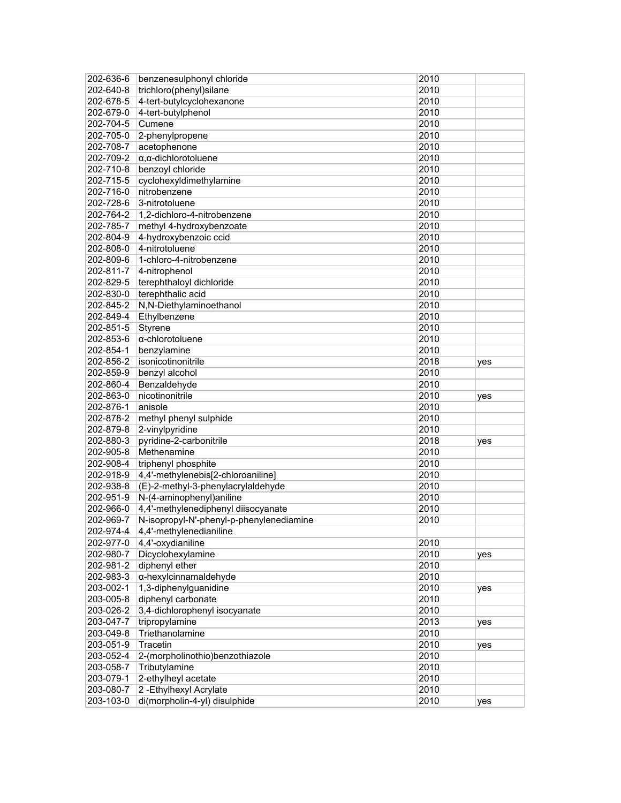| 202-636-6              | benzenesulphonyl chloride                              | 2010         |     |
|------------------------|--------------------------------------------------------|--------------|-----|
| 202-640-8              | trichloro(phenyl)silane                                | 2010         |     |
| 202-678-5              | 4-tert-butylcyclohexanone                              | 2010         |     |
| 202-679-0              | 4-tert-butylphenol                                     | 2010         |     |
| 202-704-5              | Cumene                                                 | 2010         |     |
| 202-705-0              | 2-phenylpropene                                        | 2010         |     |
| 202-708-7              | acetophenone                                           | 2010         |     |
| 202-709-2              | $\alpha$ , $\alpha$ -dichlorotoluene                   | 2010         |     |
| 202-710-8              | benzoyl chloride                                       | 2010         |     |
| 202-715-5              | cyclohexyldimethylamine                                | 2010         |     |
| 202-716-0              | nitrobenzene                                           | 2010         |     |
| 202-728-6              | 3-nitrotoluene                                         | 2010         |     |
| 202-764-2              | 1,2-dichloro-4-nitrobenzene                            | 2010         |     |
| 202-785-7              | methyl 4-hydroxybenzoate                               | 2010         |     |
| 202-804-9              | 4-hydroxybenzoic ccid                                  | 2010         |     |
| 202-808-0              | 4-nitrotoluene                                         | 2010         |     |
| 202-809-6              | 1-chloro-4-nitrobenzene                                | 2010         |     |
| 202-811-7              | 4-nitrophenol                                          | 2010         |     |
| 202-829-5              | terephthaloyl dichloride                               | 2010         |     |
| 202-830-0              | terephthalic acid                                      | 2010         |     |
|                        |                                                        | 2010         |     |
| 202-845-2              | N,N-Diethylaminoethanol                                |              |     |
| 202-849-4              | Ethylbenzene                                           | 2010         |     |
| 202-851-5              | Styrene                                                | 2010         |     |
| 202-853-6              | $\alpha$ -chlorotoluene                                | 2010         |     |
| 202-854-1              | benzylamine                                            | 2010         |     |
| 202-856-2              | isonicotinonitrile                                     | 2018         | yes |
| 202-859-9              | benzyl alcohol                                         | 2010         |     |
| 202-860-4              | Benzaldehyde                                           | 2010         |     |
| 202-863-0              | nicotinonitrile                                        | 2010         | yes |
| 202-876-1              | anisole                                                | 2010         |     |
| 202-878-2              | methyl phenyl sulphide                                 | 2010         |     |
| 202-879-8              | 2-vinylpyridine                                        | 2010         |     |
| 202-880-3              | pyridine-2-carbonitrile                                | 2018         | yes |
| 202-905-8              | Methenamine                                            | 2010         |     |
| 202-908-4              | triphenyl phosphite                                    | 2010         |     |
| 202-918-9              | 4,4'-methylenebis[2-chloroaniline]                     | 2010         |     |
| 202-938-8              | (E)-2-methyl-3-phenylacrylaldehyde                     | 2010         |     |
| 202-951-9              | N-(4-aminophenyl)aniline                               | 2010         |     |
| 202-966-0              | 4,4'-methylenediphenyl diisocyanate                    | 2010         |     |
| 202-969-7              | N-isopropyl-N'-phenyl-p-phenylenediamine               | 2010         |     |
| 202-974-4              | 4,4'-methylenedianiline                                |              |     |
| 202-977-0              | 4,4'-oxydianiline                                      | 2010         |     |
| 202-980-7              | Dicyclohexylamine                                      | 2010         | yes |
| 202-981-2              | diphenyl ether                                         | 2010         |     |
| 202-983-3              | α-hexylcinnamaldehyde                                  | 2010         |     |
| 203-002-1              | 1,3-diphenylguanidine                                  | 2010         | yes |
| 203-005-8              | diphenyl carbonate                                     | 2010         |     |
| 203-026-2              | 3,4-dichlorophenyl isocyanate                          | 2010         |     |
| 203-047-7              | tripropylamine                                         | 2013         | yes |
| 203-049-8              | Triethanolamine                                        | 2010         |     |
| 203-051-9              | Tracetin                                               | 2010         | yes |
| 203-052-4              | 2-(morpholinothio)benzothiazole                        | 2010         |     |
| 203-058-7              | Tributylamine                                          | 2010         |     |
| 203-079-1              | 2-ethylheyl acetate                                    | 2010         |     |
|                        |                                                        |              |     |
|                        |                                                        |              |     |
| 203-080-7<br>203-103-0 | 2-Ethylhexyl Acrylate<br>di(morpholin-4-yl) disulphide | 2010<br>2010 | yes |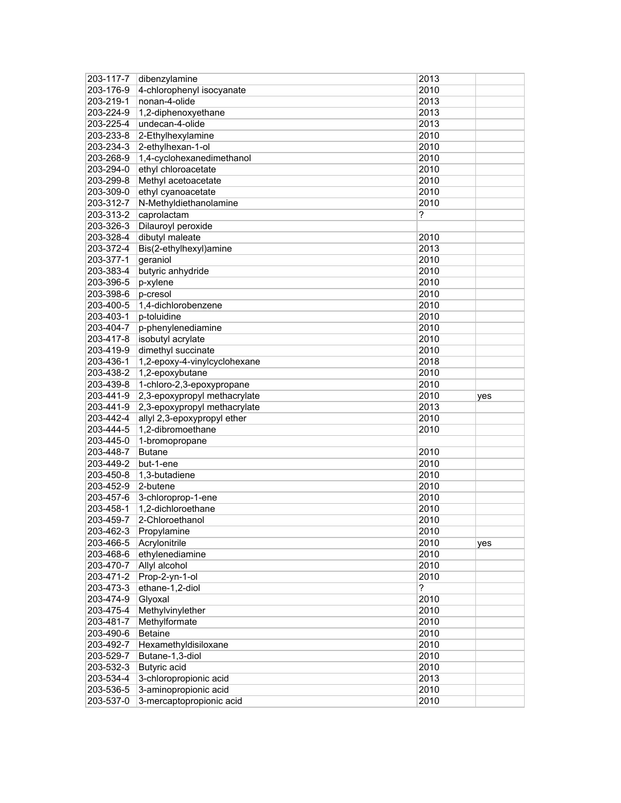| 203-117-7              | dibenzylamine                                     | 2013         |     |
|------------------------|---------------------------------------------------|--------------|-----|
| 203-176-9              | 4-chlorophenyl isocyanate                         | 2010         |     |
| 203-219-1              | nonan-4-olide                                     | 2013         |     |
| 203-224-9              | 1,2-diphenoxyethane                               | 2013         |     |
| 203-225-4              | undecan-4-olide                                   | 2013         |     |
| 203-233-8              | 2-Ethylhexylamine                                 | 2010         |     |
| 203-234-3              | 2-ethylhexan-1-ol                                 | 2010         |     |
| 203-268-9              | 1,4-cyclohexanedimethanol                         | 2010         |     |
| 203-294-0              | ethyl chloroacetate                               | 2010         |     |
| 203-299-8              | Methyl acetoacetate                               | 2010         |     |
| 203-309-0              | ethyl cyanoacetate                                | 2010         |     |
| 203-312-7              | N-Methyldiethanolamine                            | 2010         |     |
| 203-313-2              | caprolactam                                       | ?            |     |
| 203-326-3              | Dilauroyl peroxide                                |              |     |
| 203-328-4              | dibutyl maleate                                   | 2010         |     |
| 203-372-4              | Bis(2-ethylhexyl)amine                            | 2013         |     |
| 203-377-1              |                                                   | 2010         |     |
|                        | geraniol                                          |              |     |
| 203-383-4              | butyric anhydride                                 | 2010         |     |
| 203-396-5              | p-xylene                                          | 2010         |     |
| 203-398-6              | p-cresol                                          | 2010         |     |
| 203-400-5              | 1,4-dichlorobenzene                               | 2010         |     |
| 203-403-1              | p-toluidine                                       | 2010         |     |
| 203-404-7              | p-phenylenediamine                                | 2010         |     |
| 203-417-8              | isobutyl acrylate                                 | 2010         |     |
| 203-419-9              | dimethyl succinate                                | 2010         |     |
| 203-436-1              | 1,2-epoxy-4-vinylcyclohexane                      | 2018         |     |
| 203-438-2              | 1,2-epoxybutane                                   | 2010         |     |
| 203-439-8              | 1-chloro-2,3-epoxypropane                         | 2010         |     |
|                        |                                                   |              |     |
| 203-441-9              | 2,3-epoxypropyl methacrylate                      | 2010         | yes |
| 203-441-9              | 2,3-epoxypropyl methacrylate                      | 2013         |     |
| 203-442-4              | allyl 2,3-epoxypropyl ether                       | 2010         |     |
| 203-444-5              | 1,2-dibromoethane                                 | 2010         |     |
| 203-445-0              | 1-bromopropane                                    |              |     |
| 203-448-7              | <b>Butane</b>                                     | 2010         |     |
| 203-449-2              | but-1-ene                                         | 2010         |     |
| 203-450-8              | 1,3-butadiene                                     | 2010         |     |
| 203-452-9              | 2-butene                                          | 2010         |     |
| 203-457-6              |                                                   | 2010         |     |
|                        | 3-chloroprop-1-ene                                |              |     |
| 203-458-1              | 1,2-dichloroethane                                | 2010         |     |
| 203-459-7              | 2-Chloroethanol                                   | 2010         |     |
| 203-462-3              | Propylamine                                       | 2010         |     |
| 203-466-5              | Acrylonitrile                                     | 2010         | yes |
| 203-468-6              | ethylenediamine                                   | 2010         |     |
| 203-470-7              | Allyl alcohol                                     | 2010         |     |
| 203-471-2              | Prop-2-yn-1-ol                                    | 2010         |     |
| 203-473-3              | ethane-1,2-diol                                   | ?            |     |
| 203-474-9              | Glyoxal                                           | 2010         |     |
| 203-475-4              | Methylvinylether                                  | 2010         |     |
| 203-481-7              | Methylformate                                     | 2010         |     |
| 203-490-6              | <b>Betaine</b>                                    | 2010         |     |
| 203-492-7              | Hexamethyldisiloxane                              | 2010         |     |
| 203-529-7              | Butane-1,3-diol                                   | 2010         |     |
| 203-532-3              | Butyric acid                                      | 2010         |     |
| 203-534-4              | 3-chloropropionic acid                            | 2013         |     |
| 203-536-5<br>203-537-0 | 3-aminopropionic acid<br>3-mercaptopropionic acid | 2010<br>2010 |     |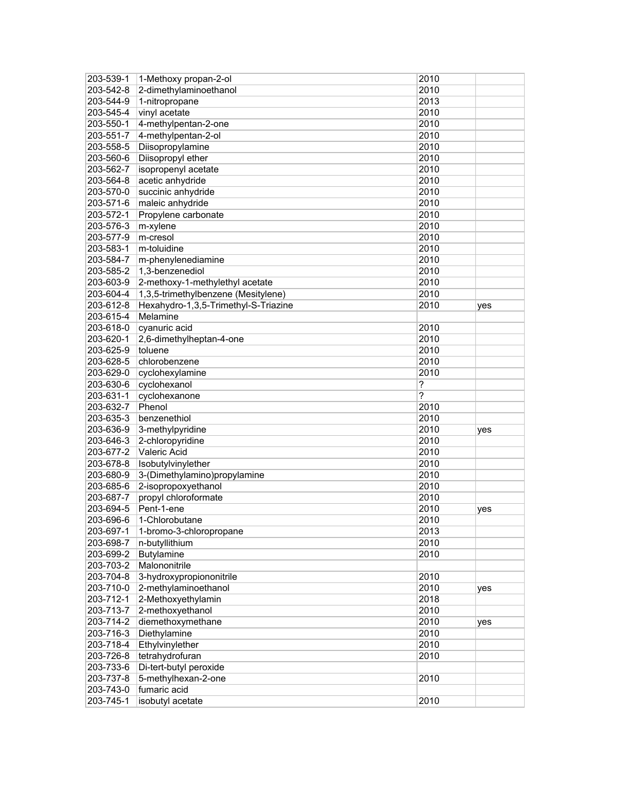| 203-539-1 | 1-Methoxy propan-2-ol                | 2010   |     |
|-----------|--------------------------------------|--------|-----|
| 203-542-8 | 2-dimethylaminoethanol               | 2010   |     |
| 203-544-9 | 1-nitropropane                       | 2013   |     |
| 203-545-4 | vinyl acetate                        | 2010   |     |
| 203-550-1 | 4-methylpentan-2-one                 | 2010   |     |
| 203-551-7 | 4-methylpentan-2-ol                  | 2010   |     |
| 203-558-5 | Diisopropylamine                     | 2010   |     |
| 203-560-6 | Diisopropyl ether                    | 2010   |     |
| 203-562-7 | isopropenyl acetate                  | 2010   |     |
| 203-564-8 | acetic anhydride                     | 2010   |     |
| 203-570-0 | succinic anhydride                   | 2010   |     |
| 203-571-6 | maleic anhydride                     | 2010   |     |
| 203-572-1 | Propylene carbonate                  | 2010   |     |
| 203-576-3 | m-xylene                             | 2010   |     |
| 203-577-9 | m-cresol                             | 2010   |     |
| 203-583-1 | m-toluidine                          | 2010   |     |
| 203-584-7 | m-phenylenediamine                   | 2010   |     |
| 203-585-2 | 1,3-benzenediol                      | 2010   |     |
| 203-603-9 | 2-methoxy-1-methylethyl acetate      | 2010   |     |
| 203-604-4 | 1,3,5-trimethylbenzene (Mesitylene)  | 2010   |     |
| 203-612-8 | Hexahydro-1,3,5-Trimethyl-S-Triazine | 2010   |     |
| 203-615-4 | Melamine                             |        | yes |
| 203-618-0 | cyanuric acid                        | 2010   |     |
| 203-620-1 | 2,6-dimethylheptan-4-one             | 2010   |     |
| 203-625-9 | toluene                              | 2010   |     |
|           | chlorobenzene                        |        |     |
| 203-628-5 |                                      | 2010   |     |
| 203-629-0 | cyclohexylamine                      | 2010   |     |
| 203-630-6 | cyclohexanol                         | ?<br>? |     |
| 203-631-1 | cyclohexanone                        |        |     |
| 203-632-7 | Phenol                               | 2010   |     |
| 203-635-3 | benzenethiol                         | 2010   |     |
| 203-636-9 | 3-methylpyridine                     | 2010   | yes |
| 203-646-3 | 2-chloropyridine                     | 2010   |     |
| 203-677-2 | Valeric Acid                         | 2010   |     |
| 203-678-8 | Isobutylvinylether                   | 2010   |     |
| 203-680-9 | 3-(Dimethylamino)propylamine         | 2010   |     |
| 203-685-6 | 2-isopropoxyethanol                  | 2010   |     |
| 203-687-7 | propyl chloroformate                 | 2010   |     |
| 203-694-5 | Pent-1-ene                           | 2010   | yes |
| 203-696-6 | 1-Chlorobutane                       | 2010   |     |
| 203-697-1 | 1-bromo-3-chloropropane              | 2013   |     |
| 203-698-7 | n-butyllithium                       | 2010   |     |
| 203-699-2 | <b>Butylamine</b>                    | 2010   |     |
| 203-703-2 | Malononitrile                        |        |     |
| 203-704-8 | 3-hydroxypropiononitrile             | 2010   |     |
| 203-710-0 | 2-methylaminoethanol                 | 2010   | yes |
| 203-712-1 | 2-Methoxyethylamin                   | 2018   |     |
| 203-713-7 | 2-methoxyethanol                     | 2010   |     |
| 203-714-2 | diemethoxymethane                    | 2010   | yes |
| 203-716-3 | Diethylamine                         | 2010   |     |
| 203-718-4 | Ethylvinylether                      | 2010   |     |
| 203-726-8 | tetrahydrofuran                      | 2010   |     |
| 203-733-6 | Di-tert-butyl peroxide               |        |     |
| 203-737-8 | 5-methylhexan-2-one                  | 2010   |     |
| 203-743-0 | fumaric acid                         |        |     |
| 203-745-1 | isobutyl acetate                     | 2010   |     |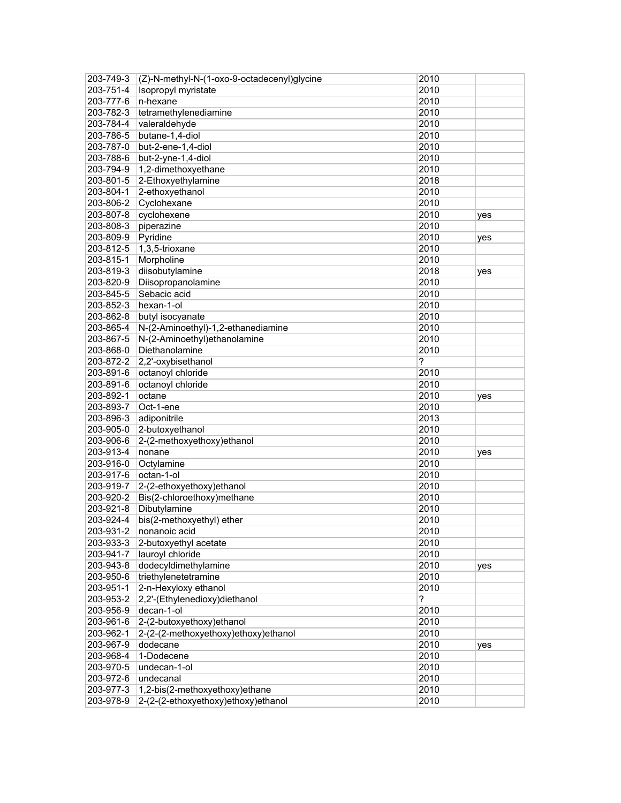| 203-749-3 | (Z)-N-methyl-N-(1-oxo-9-octadecenyl)glycine | 2010 |     |
|-----------|---------------------------------------------|------|-----|
| 203-751-4 | Isopropyl myristate                         | 2010 |     |
| 203-777-6 | n-hexane                                    | 2010 |     |
| 203-782-3 | tetramethylenediamine                       | 2010 |     |
| 203-784-4 | valeraldehyde                               | 2010 |     |
| 203-786-5 | butane-1,4-diol                             | 2010 |     |
| 203-787-0 | but-2-ene-1,4-diol                          | 2010 |     |
| 203-788-6 | but-2-yne-1,4-diol                          | 2010 |     |
| 203-794-9 | 1,2-dimethoxyethane                         | 2010 |     |
| 203-801-5 | 2-Ethoxyethylamine                          | 2018 |     |
| 203-804-1 | 2-ethoxyethanol                             | 2010 |     |
| 203-806-2 | Cyclohexane                                 | 2010 |     |
| 203-807-8 | cyclohexene                                 | 2010 | yes |
| 203-808-3 | piperazine                                  | 2010 |     |
| 203-809-9 | Pyridine                                    | 2010 | yes |
| 203-812-5 | 1,3,5-trioxane                              | 2010 |     |
| 203-815-1 | Morpholine                                  | 2010 |     |
| 203-819-3 | diisobutylamine                             | 2018 | yes |
| 203-820-9 | Diisopropanolamine                          | 2010 |     |
| 203-845-5 | Sebacic acid                                | 2010 |     |
| 203-852-3 | hexan-1-ol                                  | 2010 |     |
| 203-862-8 | butyl isocyanate                            | 2010 |     |
| 203-865-4 | N-(2-Aminoethyl)-1,2-ethanediamine          | 2010 |     |
| 203-867-5 | N-(2-Aminoethyl)ethanolamine                | 2010 |     |
| 203-868-0 | Diethanolamine                              | 2010 |     |
| 203-872-2 | 2,2'-oxybisethanol                          | ?    |     |
| 203-891-6 | octanoyl chloride                           | 2010 |     |
| 203-891-6 | octanoyl chloride                           | 2010 |     |
| 203-892-1 | octane                                      | 2010 | yes |
| 203-893-7 | Oct-1-ene                                   | 2010 |     |
| 203-896-3 | adiponitrile                                | 2013 |     |
| 203-905-0 | 2-butoxyethanol                             | 2010 |     |
| 203-906-6 | 2-(2-methoxyethoxy)ethanol                  | 2010 |     |
| 203-913-4 | nonane                                      | 2010 | yes |
| 203-916-0 | Octylamine                                  | 2010 |     |
| 203-917-6 | octan-1-ol                                  | 2010 |     |
| 203-919-7 | 2-(2-ethoxyethoxy)ethanol                   | 2010 |     |
| 203-920-2 | Bis(2-chloroethoxy)methane                  | 2010 |     |
| 203-921-8 | Dibutylamine                                | 2010 |     |
| 203-924-4 | bis(2-methoxyethyl) ether                   | 2010 |     |
| 203-931-2 | nonanoic acid                               | 2010 |     |
| 203-933-3 | 2-butoxyethyl acetate                       | 2010 |     |
| 203-941-7 | lauroyl chloride                            | 2010 |     |
| 203-943-8 | dodecyldimethylamine                        | 2010 | yes |
| 203-950-6 | triethylenetetramine                        | 2010 |     |
| 203-951-1 | 2-n-Hexyloxy ethanol                        | 2010 |     |
| 203-953-2 | 2,2'-(Ethylenedioxy)diethanol               | ?    |     |
| 203-956-9 | decan-1-ol                                  | 2010 |     |
| 203-961-6 | 2-(2-butoxyethoxy)ethanol                   | 2010 |     |
| 203-962-1 | 2-(2-(2-methoxyethoxy)ethoxy)ethanol        | 2010 |     |
| 203-967-9 | dodecane                                    | 2010 | yes |
| 203-968-4 | 1-Dodecene                                  | 2010 |     |
| 203-970-5 | undecan-1-ol                                | 2010 |     |
| 203-972-6 | undecanal                                   | 2010 |     |
| 203-977-3 | 1,2-bis(2-methoxyethoxy)ethane              | 2010 |     |
| 203-978-9 | 2-(2-(2-ethoxyethoxy)ethoxy)ethanol         | 2010 |     |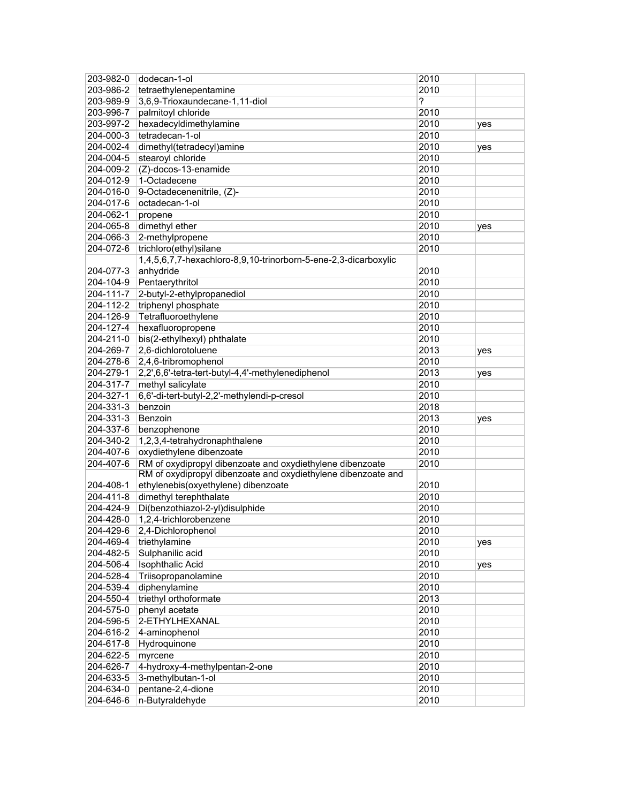| 203-982-0              | dodecan-1-ol                                                                                                               | 2010         |     |
|------------------------|----------------------------------------------------------------------------------------------------------------------------|--------------|-----|
| 203-986-2              | tetraethylenepentamine                                                                                                     | 2010         |     |
| 203-989-9              | 3,6,9-Trioxaundecane-1,11-diol                                                                                             | ?            |     |
| 203-996-7              | palmitoyl chloride                                                                                                         | 2010         |     |
| 203-997-2              | hexadecyldimethylamine                                                                                                     | 2010         | yes |
| 204-000-3              | tetradecan-1-ol                                                                                                            | 2010         |     |
| 204-002-4              | dimethyl(tetradecyl)amine                                                                                                  | 2010         | yes |
| 204-004-5              | stearoyl chloride                                                                                                          | 2010         |     |
| 204-009-2              | (Z)-docos-13-enamide                                                                                                       | 2010         |     |
| 204-012-9              | 1-Octadecene                                                                                                               | 2010         |     |
| 204-016-0              | 9-Octadecenenitrile, (Z)-                                                                                                  | 2010         |     |
| 204-017-6              | octadecan-1-ol                                                                                                             | 2010         |     |
| 204-062-1              | propene                                                                                                                    | 2010         |     |
| 204-065-8              | dimethyl ether                                                                                                             | 2010         | yes |
| 204-066-3              | 2-methylpropene                                                                                                            | 2010         |     |
| 204-072-6              | trichloro(ethyl)silane                                                                                                     | 2010         |     |
|                        | 1,4,5,6,7,7-hexachloro-8,9,10-trinorborn-5-ene-2,3-dicarboxylic                                                            |              |     |
| 204-077-3              | anhydride                                                                                                                  | 2010         |     |
| 204-104-9              | Pentaerythritol                                                                                                            | 2010         |     |
| 204-111-7              | 2-butyl-2-ethylpropanediol                                                                                                 | 2010         |     |
| 204-112-2              | triphenyl phosphate                                                                                                        | 2010         |     |
| 204-126-9              | Tetrafluoroethylene                                                                                                        | 2010         |     |
| 204-127-4              | hexafluoropropene                                                                                                          | 2010         |     |
| 204-211-0              | bis(2-ethylhexyl) phthalate                                                                                                | 2010         |     |
| 204-269-7              | 2,6-dichlorotoluene                                                                                                        | 2013         |     |
| 204-278-6              | 2,4,6-tribromophenol                                                                                                       | 2010         | yes |
|                        |                                                                                                                            |              |     |
| 204-279-1              | 2,2',6,6'-tetra-tert-butyl-4,4'-methylenediphenol                                                                          | 2013         | yes |
| 204-317-7              | methyl salicylate                                                                                                          | 2010         |     |
| 204-327-1              | 6,6'-di-tert-butyl-2,2'-methylendi-p-cresol                                                                                | 2010         |     |
| 204-331-3              | benzoin                                                                                                                    | 2018         |     |
| 204-331-3              | Benzoin                                                                                                                    | 2013         | yes |
| 204-337-6<br>204-340-2 | benzophenone                                                                                                               | 2010<br>2010 |     |
|                        | 1,2,3,4-tetrahydronaphthalene                                                                                              |              |     |
| 204-407-6              | oxydiethylene dibenzoate                                                                                                   | 2010         |     |
| 204-407-6              | RM of oxydipropyl dibenzoate and oxydiethylene dibenzoate<br>RM of oxydipropyl dibenzoate and oxydiethylene dibenzoate and | 2010         |     |
| 204-408-1              |                                                                                                                            | 2010         |     |
|                        | ethylenebis(oxyethylene) dibenzoate                                                                                        | 2010         |     |
| 204-411-8              | dimethyl terephthalate                                                                                                     |              |     |
| 204-424-9              | Di(benzothiazol-2-yl)disulphide                                                                                            | 2010         |     |
| 204-428-0              | 1,2,4-trichlorobenzene                                                                                                     | 2010         |     |
| 204-429-6              | 2,4-Dichlorophenol                                                                                                         | 2010         |     |
| 204-469-4              | triethylamine                                                                                                              | 2010         | yes |
| 204-482-5              | Sulphanilic acid                                                                                                           | 2010         |     |
| 204-506-4              | <b>Isophthalic Acid</b>                                                                                                    | 2010         | yes |
| 204-528-4              | Triisopropanolamine                                                                                                        | 2010         |     |
| 204-539-4              | diphenylamine                                                                                                              | 2010         |     |
| 204-550-4              | triethyl orthoformate                                                                                                      | 2013         |     |
| 204-575-0              | phenyl acetate                                                                                                             | 2010         |     |
| 204-596-5              | 2-ETHYLHEXANAL                                                                                                             | 2010         |     |
| 204-616-2              | 4-aminophenol                                                                                                              | 2010         |     |
| 204-617-8              | Hydroquinone                                                                                                               | 2010         |     |
| 204-622-5              | myrcene                                                                                                                    | 2010         |     |
| 204-626-7              | 4-hydroxy-4-methylpentan-2-one                                                                                             | 2010         |     |
| 204-633-5              | 3-methylbutan-1-ol                                                                                                         | 2010         |     |
| 204-634-0              | pentane-2,4-dione                                                                                                          | 2010         |     |
| 204-646-6              | n-Butyraldehyde                                                                                                            | 2010         |     |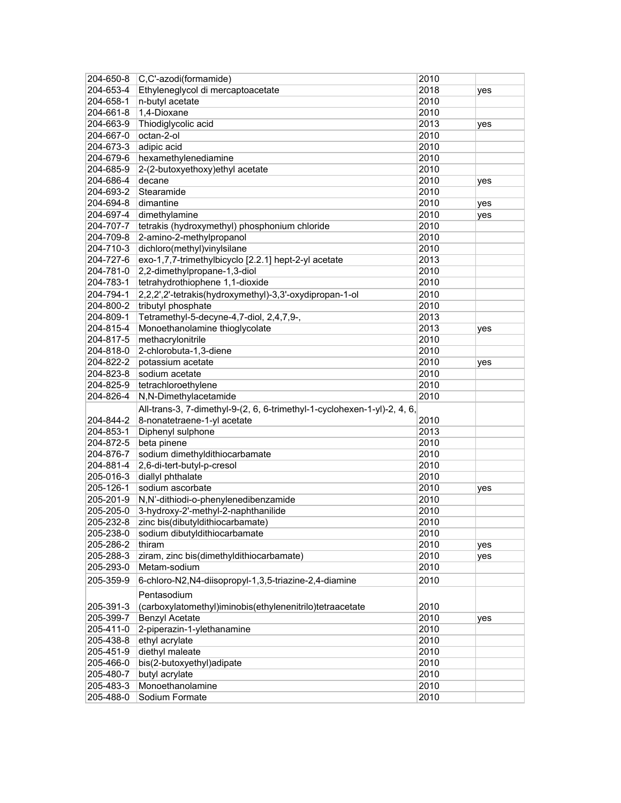| 204-650-8              | C,C'-azodi(formamide)                                                    | 2010         |     |
|------------------------|--------------------------------------------------------------------------|--------------|-----|
| 204-653-4              | Ethyleneglycol di mercaptoacetate                                        | 2018         | yes |
| 204-658-1              | n-butyl acetate                                                          | 2010         |     |
| 204-661-8              | 1,4-Dioxane                                                              | 2010         |     |
| 204-663-9              | Thiodiglycolic acid                                                      | 2013         | yes |
| 204-667-0              | octan-2-ol                                                               | 2010         |     |
| 204-673-3              | adipic acid                                                              | 2010         |     |
| 204-679-6              | hexamethylenediamine                                                     | 2010         |     |
| 204-685-9              | 2-(2-butoxyethoxy)ethyl acetate                                          | 2010         |     |
| 204-686-4              | decane                                                                   | 2010         | yes |
| 204-693-2              | Stearamide                                                               | 2010         |     |
| 204-694-8              | dimantine                                                                | 2010         | yes |
| 204-697-4              | dimethylamine                                                            | 2010         | yes |
| 204-707-7              | tetrakis (hydroxymethyl) phosphonium chloride                            | 2010         |     |
| 204-709-8              | 2-amino-2-methylpropanol                                                 | 2010         |     |
| 204-710-3              | dichloro(methyl)vinylsilane                                              | 2010         |     |
| 204-727-6              | exo-1,7,7-trimethylbicyclo [2.2.1] hept-2-yl acetate                     | 2013         |     |
| 204-781-0              | 2,2-dimethylpropane-1,3-diol                                             | 2010         |     |
| 204-783-1              | tetrahydrothiophene 1,1-dioxide                                          | 2010         |     |
| 204-794-1              | 2,2,2',2'-tetrakis(hydroxymethyl)-3,3'-oxydipropan-1-ol                  | 2010         |     |
| 204-800-2              | tributyl phosphate                                                       | 2010         |     |
| 204-809-1              | Tetramethyl-5-decyne-4,7-diol, 2,4,7,9-,                                 | 2013         |     |
| 204-815-4              | Monoethanolamine thioglycolate                                           | 2013         | yes |
| 204-817-5              | methacrylonitrile                                                        | 2010         |     |
| 204-818-0              | 2-chlorobuta-1,3-diene                                                   | 2010         |     |
| 204-822-2              | potassium acetate                                                        | 2010         | yes |
| 204-823-8              | sodium acetate                                                           | 2010         |     |
| 204-825-9              | tetrachloroethylene                                                      | 2010         |     |
| 204-826-4              | N,N-Dimethylacetamide                                                    | 2010         |     |
|                        | All-trans-3, 7-dimethyl-9-(2, 6, 6-trimethyl-1-cyclohexen-1-yl)-2, 4, 6, |              |     |
| 204-844-2              | 8-nonatetraene-1-yl acetate                                              | 2010         |     |
| 204-853-1              |                                                                          |              |     |
| 204-872-5              | Diphenyl sulphone<br>beta pinene                                         | 2013<br>2010 |     |
| 204-876-7              |                                                                          | 2010         |     |
| 204-881-4              | sodium dimethyldithiocarbamate                                           | 2010         |     |
|                        | 2,6-di-tert-butyl-p-cresol                                               | 2010         |     |
| 205-016-3              | diallyl phthalate                                                        |              |     |
| 205-126-1              | sodium ascorbate                                                         | 2010         | yes |
| 205-201-9              | N,N'-dithiodi-o-phenylenedibenzamide                                     | 2010         |     |
| 205-205-0              | 3-hydroxy-2'-methyl-2-naphthanilide                                      | 2010         |     |
| 205-232-8              | zinc bis(dibutyldithiocarbamate)                                         | 2010         |     |
| 205-238-0              | sodium dibutyldithiocarbamate                                            | 2010         |     |
| 205-286-2              | thiram                                                                   | 2010         | yes |
| 205-288-3              | ziram, zinc bis(dimethyldithiocarbamate)                                 | 2010         | yes |
| 205-293-0              | Metam-sodium                                                             | 2010         |     |
| 205-359-9              | 6-chloro-N2,N4-diisopropyl-1,3,5-triazine-2,4-diamine                    | 2010         |     |
|                        | Pentasodium                                                              |              |     |
| 205-391-3              | (carboxylatomethyl)iminobis(ethylenenitrilo)tetraacetate                 | 2010         |     |
| 205-399-7              | <b>Benzyl Acetate</b>                                                    | 2010         | yes |
| 205-411-0              | 2-piperazin-1-ylethanamine                                               | 2010         |     |
| 205-438-8              | ethyl acrylate                                                           | 2010         |     |
| 205-451-9              |                                                                          |              |     |
|                        | diethyl maleate                                                          | 2010         |     |
| 205-466-0              | bis(2-butoxyethyl)adipate                                                | 2010         |     |
| 205-480-7              | butyl acrylate                                                           | 2010         |     |
| 205-483-3<br>205-488-0 | Monoethanolamine<br>Sodium Formate                                       | 2010<br>2010 |     |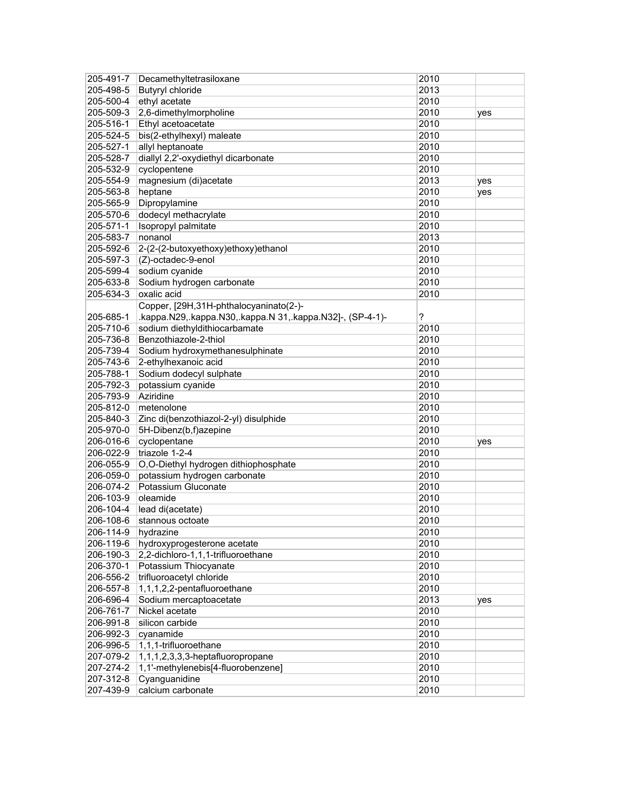| 205-491-7 | Decamethyltetrasiloxane                                   | 2010 |     |
|-----------|-----------------------------------------------------------|------|-----|
| 205-498-5 | <b>Butyryl chloride</b>                                   | 2013 |     |
| 205-500-4 | ethyl acetate                                             | 2010 |     |
| 205-509-3 | 2,6-dimethylmorpholine                                    | 2010 | yes |
| 205-516-1 | Ethyl acetoacetate                                        | 2010 |     |
| 205-524-5 | bis(2-ethylhexyl) maleate                                 | 2010 |     |
| 205-527-1 | allyl heptanoate                                          | 2010 |     |
| 205-528-7 | diallyl 2,2'-oxydiethyl dicarbonate                       | 2010 |     |
| 205-532-9 | cyclopentene                                              | 2010 |     |
| 205-554-9 | magnesium (di)acetate                                     | 2013 | yes |
| 205-563-8 | heptane                                                   | 2010 | yes |
| 205-565-9 | Dipropylamine                                             | 2010 |     |
| 205-570-6 | dodecyl methacrylate                                      | 2010 |     |
| 205-571-1 | Isopropyl palmitate                                       | 2010 |     |
| 205-583-7 | nonanol                                                   | 2013 |     |
| 205-592-6 | 2-(2-(2-butoxyethoxy)ethoxy)ethanol                       | 2010 |     |
| 205-597-3 | (Z)-octadec-9-enol                                        | 2010 |     |
| 205-599-4 | sodium cyanide                                            | 2010 |     |
| 205-633-8 | Sodium hydrogen carbonate                                 | 2010 |     |
| 205-634-3 | oxalic acid                                               | 2010 |     |
|           |                                                           |      |     |
|           | Copper, [29H,31H-phthalocyaninato(2-)-                    |      |     |
| 205-685-1 | .kappa.N29,.kappa.N30,.kappa.N 31,.kappa.N32]-, (SP-4-1)- | ?    |     |
| 205-710-6 | sodium diethyldithiocarbamate                             | 2010 |     |
| 205-736-8 | Benzothiazole-2-thiol                                     | 2010 |     |
| 205-739-4 | Sodium hydroxymethanesulphinate                           | 2010 |     |
| 205-743-6 | 2-ethylhexanoic acid                                      | 2010 |     |
| 205-788-1 | Sodium dodecyl sulphate                                   | 2010 |     |
| 205-792-3 | potassium cyanide                                         | 2010 |     |
| 205-793-9 | Aziridine                                                 | 2010 |     |
| 205-812-0 | metenolone                                                | 2010 |     |
| 205-840-3 | Zinc di(benzothiazol-2-yl) disulphide                     | 2010 |     |
| 205-970-0 | 5H-Dibenz(b,f)azepine                                     | 2010 |     |
| 206-016-6 | cyclopentane                                              | 2010 | yes |
| 206-022-9 | triazole 1-2-4                                            | 2010 |     |
| 206-055-9 | O,O-Diethyl hydrogen dithiophosphate                      | 2010 |     |
| 206-059-0 | potassium hydrogen carbonate                              | 2010 |     |
| 206-074-2 | Potassium Gluconate                                       | 2010 |     |
| 206-103-9 | oleamide                                                  | 2010 |     |
| 206-104-4 | lead di(acetate)                                          | 2010 |     |
| 206-108-6 | stannous octoate                                          | 2010 |     |
| 206-114-9 | hydrazine                                                 | 2010 |     |
| 206-119-6 | hydroxyprogesterone acetate                               | 2010 |     |
| 206-190-3 | 2,2-dichloro-1,1,1-trifluoroethane                        | 2010 |     |
| 206-370-1 | Potassium Thiocyanate                                     | 2010 |     |
| 206-556-2 | trifluoroacetyl chloride                                  | 2010 |     |
| 206-557-8 | 1,1,1,2,2-pentafluoroethane                               | 2010 |     |
| 206-696-4 | Sodium mercaptoacetate                                    | 2013 | yes |
| 206-761-7 | Nickel acetate                                            | 2010 |     |
| 206-991-8 | silicon carbide                                           | 2010 |     |
| 206-992-3 | cyanamide                                                 | 2010 |     |
| 206-996-5 | 1,1,1-trifluoroethane                                     | 2010 |     |
| 207-079-2 | 1,1,1,2,3,3,3-heptafluoropropane                          | 2010 |     |
| 207-274-2 | 1,1'-methylenebis[4-fluorobenzene]                        | 2010 |     |
| 207-312-8 | Cyanguanidine                                             | 2010 |     |
| 207-439-9 | calcium carbonate                                         | 2010 |     |
|           |                                                           |      |     |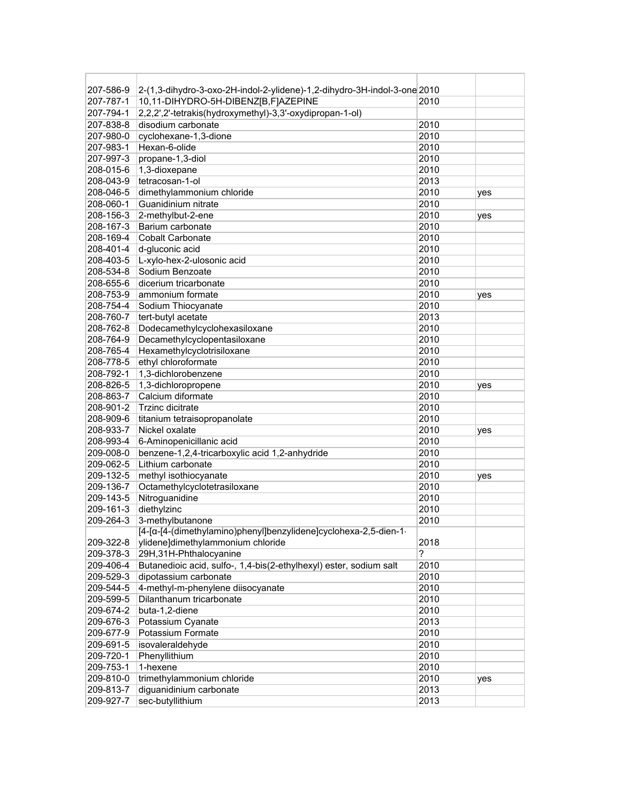| 207-586-9 | 2-(1,3-dihydro-3-oxo-2H-indol-2-ylidene)-1,2-dihydro-3H-indol-3-one 2010 |      |     |
|-----------|--------------------------------------------------------------------------|------|-----|
| 207-787-1 | 10,11-DIHYDRO-5H-DIBENZ[B,F]AZEPINE                                      | 2010 |     |
| 207-794-1 | 2,2,2',2'-tetrakis(hydroxymethyl)-3,3'-oxydipropan-1-ol)                 |      |     |
| 207-838-8 | disodium carbonate                                                       | 2010 |     |
| 207-980-0 | cyclohexane-1,3-dione                                                    | 2010 |     |
| 207-983-1 | Hexan-6-olide                                                            | 2010 |     |
| 207-997-3 | propane-1,3-diol                                                         | 2010 |     |
| 208-015-6 | 1,3-dioxepane                                                            | 2010 |     |
| 208-043-9 | tetracosan-1-ol                                                          | 2013 |     |
| 208-046-5 | dimethylammonium chloride                                                | 2010 | yes |
| 208-060-1 | Guanidinium nitrate                                                      | 2010 |     |
| 208-156-3 | 2-methylbut-2-ene                                                        | 2010 | yes |
| 208-167-3 | Barium carbonate                                                         | 2010 |     |
| 208-169-4 | <b>Cobalt Carbonate</b>                                                  | 2010 |     |
| 208-401-4 | d-gluconic acid                                                          | 2010 |     |
| 208-403-5 | L-xylo-hex-2-ulosonic acid                                               | 2010 |     |
| 208-534-8 | Sodium Benzoate                                                          | 2010 |     |
| 208-655-6 | dicerium tricarbonate                                                    | 2010 |     |
| 208-753-9 | ammonium formate                                                         | 2010 | yes |
| 208-754-4 | Sodium Thiocyanate                                                       | 2010 |     |
| 208-760-7 | tert-butyl acetate                                                       | 2013 |     |
| 208-762-8 | Dodecamethylcyclohexasiloxane                                            | 2010 |     |
| 208-764-9 | Decamethylcyclopentasiloxane                                             | 2010 |     |
| 208-765-4 | Hexamethylcyclotrisiloxane                                               | 2010 |     |
| 208-778-5 | ethyl chloroformate                                                      | 2010 |     |
| 208-792-1 | 1,3-dichlorobenzene                                                      | 2010 |     |
| 208-826-5 | 1,3-dichloropropene                                                      | 2010 |     |
| 208-863-7 | Calcium diformate                                                        | 2010 | yes |
| 208-901-2 | <b>Trzinc dicitrate</b>                                                  | 2010 |     |
| 208-909-6 | titanium tetraisopropanolate                                             | 2010 |     |
| 208-933-7 | Nickel oxalate                                                           | 2010 | yes |
| 208-993-4 | 6-Aminopenicillanic acid                                                 | 2010 |     |
| 209-008-0 | benzene-1,2,4-tricarboxylic acid 1,2-anhydride                           | 2010 |     |
| 209-062-5 | Lithium carbonate                                                        | 2010 |     |
| 209-132-5 | methyl isothiocyanate                                                    | 2010 | yes |
| 209-136-7 | Octamethylcyclotetrasiloxane                                             | 2010 |     |
| 209-143-5 | Nitroguanidine                                                           | 2010 |     |
| 209-161-3 | diethylzinc                                                              | 2010 |     |
| 209-264-3 | 3-methylbutanone                                                         | 2010 |     |
|           | [4-[a-[4-(dimethylamino)phenyl]benzylidene]cyclohexa-2,5-dien-1-         |      |     |
| 209-322-8 | ylidene]dimethylammonium chloride                                        | 2018 |     |
| 209-378-3 | 29H,31H-Phthalocyanine                                                   | ?    |     |
| 209-406-4 | Butanedioic acid, sulfo-, 1,4-bis(2-ethylhexyl) ester, sodium salt       | 2010 |     |
| 209-529-3 | dipotassium carbonate                                                    | 2010 |     |
| 209-544-5 | 4-methyl-m-phenylene diisocyanate                                        | 2010 |     |
| 209-599-5 | Dilanthanum tricarbonate                                                 | 2010 |     |
| 209-674-2 | buta-1,2-diene                                                           | 2010 |     |
| 209-676-3 | Potassium Cyanate                                                        | 2013 |     |
| 209-677-9 | Potassium Formate                                                        | 2010 |     |
| 209-691-5 |                                                                          | 2010 |     |
| 209-720-1 | isovaleraldehyde<br>Phenyllithium                                        | 2010 |     |
|           |                                                                          | 2010 |     |
| 209-753-1 | 1-hexene                                                                 |      |     |
| 209-810-0 | trimethylammonium chloride                                               | 2010 | yes |
| 209-813-7 | diguanidinium carbonate                                                  | 2013 |     |
| 209-927-7 | sec-butyllithium                                                         | 2013 |     |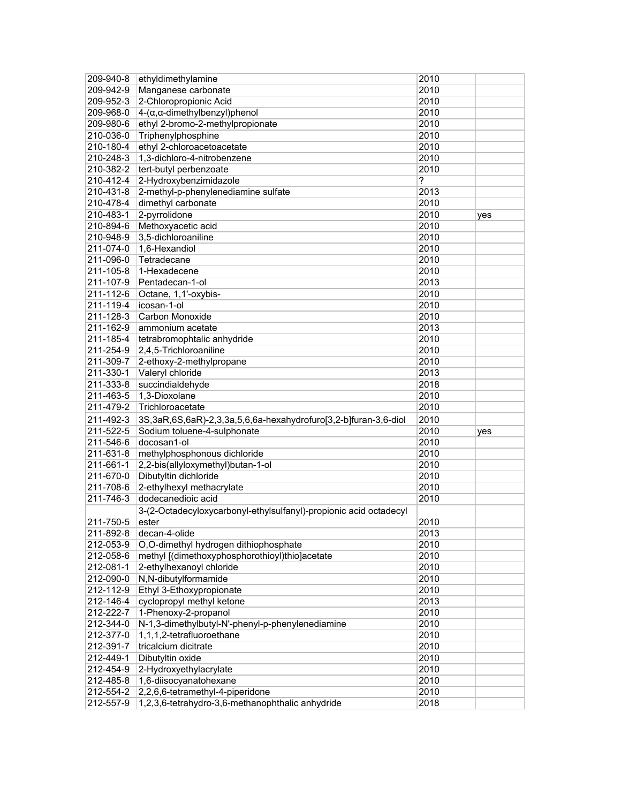| 209-940-8              | ethyldimethylamine                                                                   | 2010         |     |
|------------------------|--------------------------------------------------------------------------------------|--------------|-----|
| 209-942-9              | Manganese carbonate                                                                  | 2010         |     |
| 209-952-3              | 2-Chloropropionic Acid                                                               | 2010         |     |
| 209-968-0              | 4-(α, α-dimethylbenzyl) phenol                                                       | 2010         |     |
| 209-980-6              | ethyl 2-bromo-2-methylpropionate                                                     | 2010         |     |
| 210-036-0              | Triphenylphosphine                                                                   | 2010         |     |
| 210-180-4              | ethyl 2-chloroacetoacetate                                                           | 2010         |     |
| 210-248-3              | 1,3-dichloro-4-nitrobenzene                                                          | 2010         |     |
| 210-382-2              | tert-butyl perbenzoate                                                               | 2010         |     |
| 210-412-4              | 2-Hydroxybenzimidazole                                                               | ?            |     |
| 210-431-8              | 2-methyl-p-phenylenediamine sulfate                                                  | 2013         |     |
| 210-478-4              | dimethyl carbonate                                                                   | 2010         |     |
| 210-483-1              | 2-pyrrolidone                                                                        | 2010         | yes |
| 210-894-6              | Methoxyacetic acid                                                                   | 2010         |     |
| 210-948-9              | 3,5-dichloroaniline                                                                  | 2010         |     |
| 211-074-0              | 1,6-Hexandiol                                                                        | 2010         |     |
| 211-096-0              | Tetradecane                                                                          | 2010         |     |
| 211-105-8              | 1-Hexadecene                                                                         | 2010         |     |
| 211-107-9              | Pentadecan-1-ol                                                                      | 2013         |     |
| 211-112-6              | Octane, 1,1'-oxybis-                                                                 | 2010         |     |
| 211-119-4              | icosan-1-ol                                                                          | 2010         |     |
|                        |                                                                                      |              |     |
| 211-128-3              | Carbon Monoxide                                                                      | 2010         |     |
| 211-162-9              | ammonium acetate                                                                     | 2013         |     |
| 211-185-4              | tetrabromophtalic anhydride                                                          | 2010         |     |
| 211-254-9              | 2,4,5-Trichloroaniline                                                               | 2010         |     |
| 211-309-7              | 2-ethoxy-2-methylpropane                                                             | 2010         |     |
| 211-330-1              | Valeryl chloride                                                                     | 2013         |     |
| 211-333-8              | succindialdehyde                                                                     | 2018         |     |
| 211-463-5              | 1,3-Dioxolane                                                                        | 2010         |     |
|                        |                                                                                      |              |     |
| 211-479-2              | Trichloroacetate                                                                     | 2010         |     |
| 211-492-3              | 3S, 3aR, 6S, 6aR)-2, 3, 3a, 5, 6, 6a-hexahydrofuro[3, 2-b] furan-3, 6-diol           | 2010         |     |
| 211-522-5              | Sodium toluene-4-sulphonate                                                          | 2010         | yes |
| 211-546-6              | docosan1-ol                                                                          | 2010         |     |
| 211-631-8              | methylphosphonous dichloride                                                         | 2010         |     |
| 211-661-1              | 2,2-bis(allyloxymethyl)butan-1-ol                                                    | 2010         |     |
| 211-670-0              | Dibutyltin dichloride                                                                | 2010         |     |
| 211-708-6              | 2-ethylhexyl methacrylate                                                            | 2010         |     |
| 211-746-3              | dodecanedioic acid                                                                   | 2010         |     |
|                        | 3-(2-Octadecyloxycarbonyl-ethylsulfanyl)-propionic acid octadecyl                    |              |     |
| 211-750-5              | ester                                                                                | 2010         |     |
| 211-892-8              | decan-4-olide                                                                        | 2013         |     |
| 212-053-9              | O,O-dimethyl hydrogen dithiophosphate                                                | 2010         |     |
| 212-058-6              | methyl [(dimethoxyphosphorothioyl)thio]acetate                                       | 2010         |     |
| 212-081-1              |                                                                                      |              |     |
|                        | 2-ethylhexanoyl chloride                                                             | 2010         |     |
| 212-090-0              | N,N-dibutylformamide                                                                 | 2010         |     |
| 212-112-9              | Ethyl 3-Ethoxypropionate                                                             | 2010         |     |
| 212-146-4<br>212-222-7 | cyclopropyl methyl ketone                                                            | 2013<br>2010 |     |
|                        | 1-Phenoxy-2-propanol                                                                 |              |     |
| 212-344-0              | N-1,3-dimethylbutyl-N'-phenyl-p-phenylenediamine                                     | 2010         |     |
| 212-377-0              | 1,1,1,2-tetrafluoroethane                                                            | 2010         |     |
| 212-391-7              | tricalcium dicitrate                                                                 | 2010         |     |
| 212-449-1              | Dibutyltin oxide                                                                     | 2010         |     |
| 212-454-9              | 2-Hydroxyethylacrylate                                                               | 2010         |     |
| 212-485-8              | 1,6-diisocyanatohexane                                                               | 2010         |     |
| 212-554-2<br>212-557-9 | 2,2,6,6-tetramethyl-4-piperidone<br>1,2,3,6-tetrahydro-3,6-methanophthalic anhydride | 2010<br>2018 |     |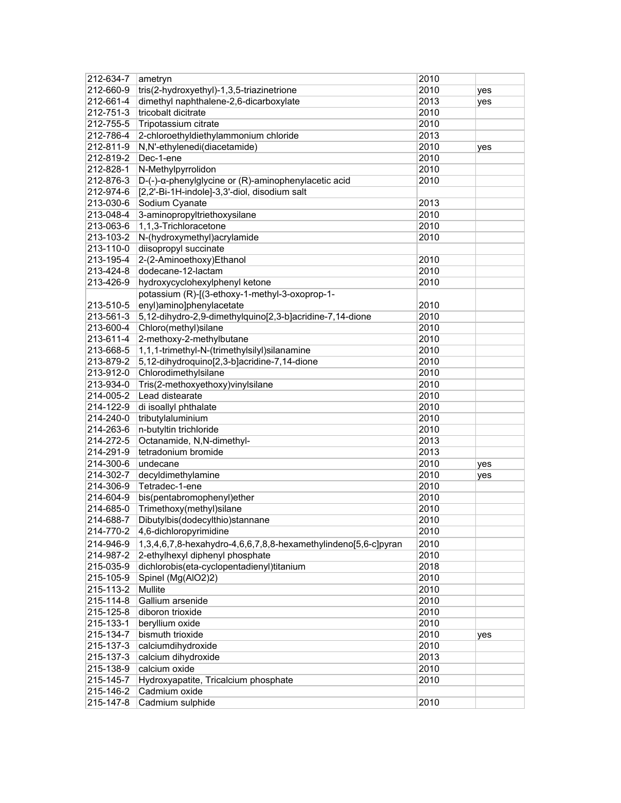| 212-634-7              | ametryn                                                        | 2010         |     |
|------------------------|----------------------------------------------------------------|--------------|-----|
| 212-660-9              | tris(2-hydroxyethyl)-1,3,5-triazinetrione                      | 2010         | yes |
| 212-661-4              | dimethyl naphthalene-2,6-dicarboxylate                         | 2013         | yes |
| 212-751-3              | tricobalt dicitrate                                            | 2010         |     |
| 212-755-5              | Tripotassium citrate                                           | 2010         |     |
| 212-786-4              | 2-chloroethyldiethylammonium chloride                          | 2013         |     |
| 212-811-9              | N,N'-ethylenedi(diacetamide)                                   | 2010         | yes |
| 212-819-2              | Dec-1-ene                                                      | 2010         |     |
| 212-828-1              | N-Methylpyrrolidon                                             | 2010         |     |
| 212-876-3              | D-(-)-α-phenylglycine or (R)-aminophenylacetic acid            | 2010         |     |
| 212-974-6              | [2,2'-Bi-1H-indole]-3,3'-diol, disodium salt                   |              |     |
| 213-030-6              | Sodium Cyanate                                                 | 2013         |     |
| 213-048-4              | 3-aminopropyltriethoxysilane                                   | 2010         |     |
| 213-063-6              | 1,1,3-Trichloracetone                                          | 2010         |     |
| 213-103-2              | N-(hydroxymethyl)acrylamide                                    | 2010         |     |
| 213-110-0              | diisopropyl succinate                                          |              |     |
| 213-195-4              | 2-(2-Aminoethoxy)Ethanol                                       | 2010         |     |
| 213-424-8              | dodecane-12-lactam                                             | 2010         |     |
| 213-426-9              | hydroxycyclohexylphenyl ketone                                 | 2010         |     |
|                        | potassium (R)-[(3-ethoxy-1-methyl-3-oxoprop-1-                 |              |     |
| 213-510-5              | enyl)amino]phenylacetate                                       | 2010         |     |
| 213-561-3              | 5,12-dihydro-2,9-dimethylquino[2,3-b]acridine-7,14-dione       | 2010         |     |
| 213-600-4              | Chloro(methyl)silane                                           | 2010         |     |
| 213-611-4              | 2-methoxy-2-methylbutane                                       | 2010         |     |
| 213-668-5              | 1,1,1-trimethyl-N-(trimethylsilyl)silanamine                   | 2010         |     |
| 213-879-2              | 5,12-dihydroquino[2,3-b]acridine-7,14-dione                    | 2010         |     |
| 213-912-0              | Chlorodimethylsilane                                           | 2010         |     |
|                        |                                                                | 2010         |     |
| 213-934-0              | Tris(2-methoxyethoxy)vinylsilane<br>Lead distearate            |              |     |
| 214-005-2<br>214-122-9 |                                                                | 2010         |     |
| 214-240-0              | di isoallyl phthalate                                          | 2010<br>2010 |     |
|                        | tributylaluminium                                              | 2010         |     |
| 214-263-6              | n-butyltin trichloride<br>Octanamide, N,N-dimethyl-            |              |     |
| 214-272-5<br>214-291-9 | tetradonium bromide                                            | 2013<br>2013 |     |
|                        |                                                                |              |     |
| 214-300-6              | undecane                                                       | 2010         | yes |
| 214-302-7              | decyldimethylamine                                             | 2010         | yes |
| 214-306-9              | Tetradec-1-ene                                                 | 2010         |     |
| 214-604-9              | bis(pentabromophenyl)ether                                     | 2010         |     |
| 214-685-0              | Trimethoxy(methyl)silane                                       | 2010         |     |
| 214-688-7              | Dibutylbis(dodecylthio)stannane                                | 2010         |     |
| 214-770-2              | 4,6-dichloropyrimidine                                         | 2010         |     |
| 214-946-9              | 1,3,4,6,7,8-hexahydro-4,6,6,7,8,8-hexamethylindeno[5,6-c]pyran | 2010         |     |
| 214-987-2              | 2-ethylhexyl diphenyl phosphate                                | 2010         |     |
| 215-035-9              | dichlorobis(eta-cyclopentadienyl)titanium                      | 2018         |     |
| 215-105-9              | Spinel (Mg(AIO2)2)                                             | 2010         |     |
| 215-113-2              | Mullite                                                        | 2010         |     |
| 215-114-8              | Gallium arsenide                                               | 2010         |     |
| 215-125-8              | diboron trioxide                                               | 2010         |     |
| 215-133-1              | beryllium oxide                                                | 2010         |     |
| 215-134-7              | bismuth trioxide                                               | 2010         | yes |
| 215-137-3              | calciumdihydroxide                                             | 2010         |     |
| 215-137-3              | calcium dihydroxide                                            | 2013         |     |
| 215-138-9              | calcium oxide                                                  | 2010         |     |
| 215-145-7              | Hydroxyapatite, Tricalcium phosphate                           | 2010         |     |
| 215-146-2              | Cadmium oxide                                                  |              |     |
| 215-147-8              | Cadmium sulphide                                               | 2010         |     |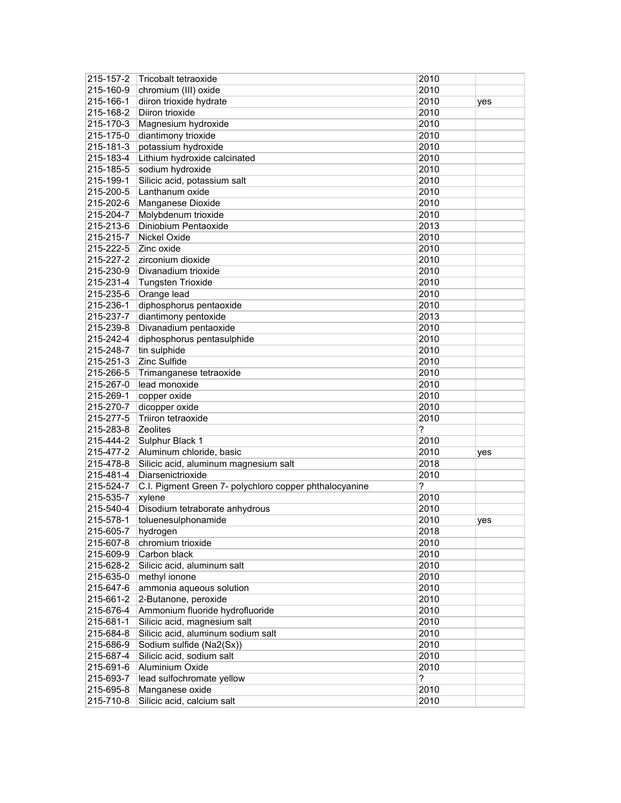| 215-157-2 | Tricobalt tetraoxide                                   | 2010 |     |
|-----------|--------------------------------------------------------|------|-----|
| 215-160-9 | chromium (III) oxide                                   | 2010 |     |
| 215-166-1 | diiron trioxide hydrate                                | 2010 | yes |
| 215-168-2 | Diiron trioxide                                        | 2010 |     |
| 215-170-3 | Magnesium hydroxide                                    | 2010 |     |
| 215-175-0 | diantimony trioxide                                    | 2010 |     |
| 215-181-3 | potassium hydroxide                                    | 2010 |     |
| 215-183-4 | Lithium hydroxide calcinated                           | 2010 |     |
| 215-185-5 | sodium hydroxide                                       | 2010 |     |
| 215-199-1 | Silicic acid, potassium salt                           | 2010 |     |
| 215-200-5 | Lanthanum oxide                                        | 2010 |     |
| 215-202-6 | <b>Manganese Dioxide</b>                               | 2010 |     |
| 215-204-7 | Molybdenum trioxide                                    | 2010 |     |
| 215-213-6 | Diniobium Pentaoxide                                   | 2013 |     |
| 215-215-7 | <b>Nickel Oxide</b>                                    | 2010 |     |
| 215-222-5 | Zinc oxide                                             | 2010 |     |
| 215-227-2 | zirconium dioxide                                      | 2010 |     |
| 215-230-9 | Divanadium trioxide                                    | 2010 |     |
| 215-231-4 | <b>Tungsten Trioxide</b>                               | 2010 |     |
| 215-235-6 | Orange lead                                            | 2010 |     |
| 215-236-1 | diphosphorus pentaoxide                                | 2010 |     |
| 215-237-7 | diantimony pentoxide                                   | 2013 |     |
| 215-239-8 | Divanadium pentaoxide                                  | 2010 |     |
| 215-242-4 | diphosphorus pentasulphide                             | 2010 |     |
| 215-248-7 | tin sulphide                                           | 2010 |     |
| 215-251-3 | <b>Zinc Sulfide</b>                                    | 2010 |     |
|           |                                                        | 2010 |     |
| 215-266-5 | Trimanganese tetraoxide                                |      |     |
| 215-267-0 | lead monoxide                                          | 2010 |     |
| 215-269-1 | copper oxide                                           | 2010 |     |
| 215-270-7 | dicopper oxide                                         | 2010 |     |
| 215-277-5 | Triiron tetraoxide                                     | 2010 |     |
| 215-283-8 | Zeolites                                               | ?    |     |
| 215-444-2 | Sulphur Black 1                                        | 2010 |     |
| 215-477-2 | Aluminum chloride, basic                               | 2010 | yes |
| 215-478-8 | Silicic acid, aluminum magnesium salt                  | 2018 |     |
| 215-481-4 | Diarsenictrioxide                                      | 2010 |     |
| 215-524-7 | C.I. Pigment Green 7- polychloro copper phthalocyanine | ?    |     |
| 215-535-7 | xylene                                                 | 2010 |     |
| 215-540-4 | Disodium tetraborate anhydrous                         | 2010 |     |
| 215-578-1 | toluenesulphonamide                                    | 2010 | yes |
| 215-605-7 | hydrogen                                               | 2018 |     |
| 215-607-8 | chromium trioxide                                      | 2010 |     |
| 215-609-9 | Carbon black                                           | 2010 |     |
| 215-628-2 | Silicic acid, aluminum salt                            | 2010 |     |
| 215-635-0 | methyl ionone                                          | 2010 |     |
| 215-647-6 | ammonia aqueous solution                               | 2010 |     |
| 215-661-2 | 2-Butanone, peroxide                                   | 2010 |     |
| 215-676-4 | Ammonium fluoride hydrofluoride                        | 2010 |     |
| 215-681-1 | Silicic acid, magnesium salt                           | 2010 |     |
| 215-684-8 | Silicic acid, aluminum sodium salt                     | 2010 |     |
| 215-686-9 | Sodium sulfide (Na2(Sx))                               | 2010 |     |
| 215-687-4 | Silicic acid, sodium salt                              | 2010 |     |
| 215-691-6 | Aluminium Oxide                                        | 2010 |     |
| 215-693-7 | lead sulfochromate yellow                              | ?    |     |
| 215-695-8 | Manganese oxide                                        | 2010 |     |
| 215-710-8 | Silicic acid, calcium salt                             | 2010 |     |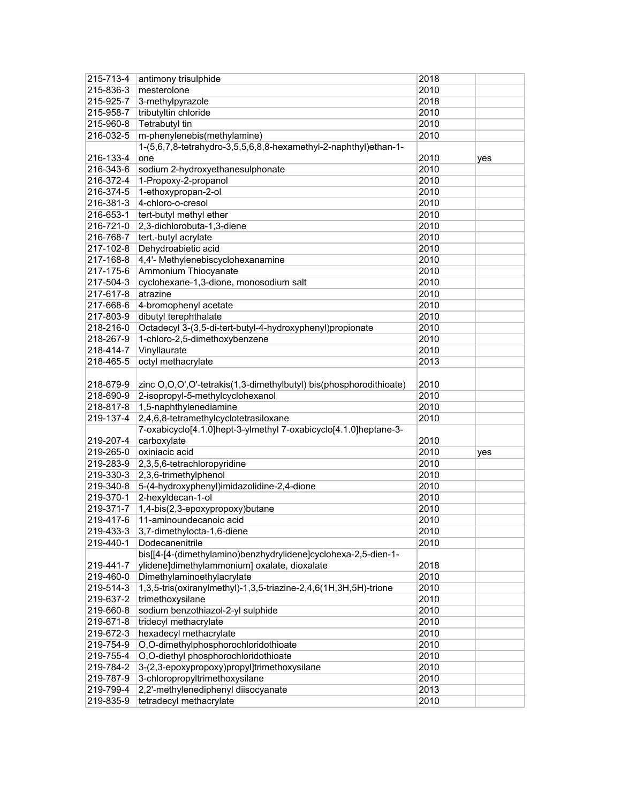| 215-713-4              | antimony trisulphide                                               | 2018         |     |
|------------------------|--------------------------------------------------------------------|--------------|-----|
| 215-836-3              | mesterolone                                                        | 2010         |     |
| 215-925-7              | 3-methylpyrazole                                                   | 2018         |     |
| 215-958-7              | tributyltin chloride                                               | 2010         |     |
| 215-960-8              | <b>Tetrabutyl tin</b>                                              | 2010         |     |
| 216-032-5              | m-phenylenebis(methylamine)                                        | 2010         |     |
|                        | 1-(5,6,7,8-tetrahydro-3,5,5,6,8,8-hexamethyl-2-naphthyl)ethan-1-   |              |     |
| 216-133-4              | one                                                                | 2010         | yes |
| 216-343-6              | sodium 2-hydroxyethanesulphonate                                   | 2010         |     |
| 216-372-4              | 1-Propoxy-2-propanol                                               | 2010         |     |
| 216-374-5              | 1-ethoxypropan-2-ol                                                | 2010         |     |
| 216-381-3              | 4-chloro-o-cresol                                                  | 2010         |     |
| 216-653-1              | tert-butyl methyl ether                                            | 2010         |     |
| 216-721-0              | 2,3-dichlorobuta-1,3-diene                                         | 2010         |     |
| 216-768-7              | tert.-butyl acrylate                                               | 2010         |     |
| 217-102-8              | Dehydroabietic acid                                                | 2010         |     |
| 217-168-8              | 4,4'- Methylenebiscyclohexanamine                                  | 2010         |     |
| 217-175-6              | Ammonium Thiocyanate                                               | 2010         |     |
| 217-504-3              | cyclohexane-1,3-dione, monosodium salt                             | 2010         |     |
| 217-617-8              | atrazine                                                           | 2010         |     |
| 217-668-6              | 4-bromophenyl acetate                                              | 2010         |     |
| 217-803-9              | dibutyl terephthalate                                              | 2010         |     |
| 218-216-0              | Octadecyl 3-(3,5-di-tert-butyl-4-hydroxyphenyl)propionate          | 2010         |     |
| 218-267-9              | 1-chloro-2,5-dimethoxybenzene                                      | 2010         |     |
| 218-414-7              | Vinyllaurate                                                       | 2010         |     |
| 218-465-5              | octyl methacrylate                                                 | 2013         |     |
|                        |                                                                    |              |     |
| 218-679-9              | zinc O,O,O',O'-tetrakis(1,3-dimethylbutyl) bis(phosphorodithioate) | 2010         |     |
| 218-690-9              | 2-isopropyl-5-methylcyclohexanol                                   | 2010         |     |
| 218-817-8              | 1,5-naphthylenediamine                                             | 2010         |     |
| 219-137-4              | 2,4,6,8-tetramethylcyclotetrasiloxane                              | 2010         |     |
|                        | 7-oxabicyclo[4.1.0]hept-3-ylmethyl 7-oxabicyclo[4.1.0]heptane-3-   |              |     |
| 219-207-4              | carboxylate                                                        | 2010         |     |
| 219-265-0              | oxiniacic acid                                                     | 2010         | yes |
|                        |                                                                    |              |     |
|                        |                                                                    |              |     |
| 219-283-9              | 2,3,5,6-tetrachloropyridine                                        | 2010         |     |
| 219-330-3              | 2,3,6-trimethylphenol                                              | 2010         |     |
| 219-340-8              | 5-(4-hydroxyphenyl)imidazolidine-2,4-dione                         | 2010         |     |
| 219-370-1              | 2-hexyldecan-1-ol                                                  | 2010         |     |
| 219-371-7              | 1,4-bis(2,3-epoxypropoxy)butane                                    | 2010         |     |
| 219-417-6              | 11-aminoundecanoic acid                                            | 2010         |     |
| 219-433-3              | 3,7-dimethylocta-1,6-diene                                         | 2010         |     |
| 219-440-1              | Dodecanenitrile                                                    | 2010         |     |
|                        | bis[[4-[4-(dimethylamino)benzhydrylidene]cyclohexa-2,5-dien-1-     |              |     |
| 219-441-7              | ylidene]dimethylammonium] oxalate, dioxalate                       | 2018         |     |
| 219-460-0              | Dimethylaminoethylacrylate                                         | 2010         |     |
| 219-514-3              | 1,3,5-tris(oxiranylmethyl)-1,3,5-triazine-2,4,6(1H,3H,5H)-trione   | 2010         |     |
| 219-637-2              | trimethoxysilane                                                   | 2010         |     |
| 219-660-8              | sodium benzothiazol-2-yl sulphide                                  | 2010         |     |
| 219-671-8              | tridecyl methacrylate                                              | 2010         |     |
| 219-672-3              | hexadecyl methacrylate                                             | 2010         |     |
| 219-754-9              | O,O-dimethylphosphorochloridothioate                               | 2010         |     |
| 219-755-4              | O,O-diethyl phosphorochloridothioate                               | 2010         |     |
| 219-784-2              | 3-(2,3-epoxypropoxy)propyl]trimethoxysilane                        | 2010         |     |
| 219-787-9              | 3-chloropropyltrimethoxysilane                                     | 2010         |     |
| 219-799-4<br>219-835-9 | 2,2'-methylenediphenyl diisocyanate<br>tetradecyl methacrylate     | 2013<br>2010 |     |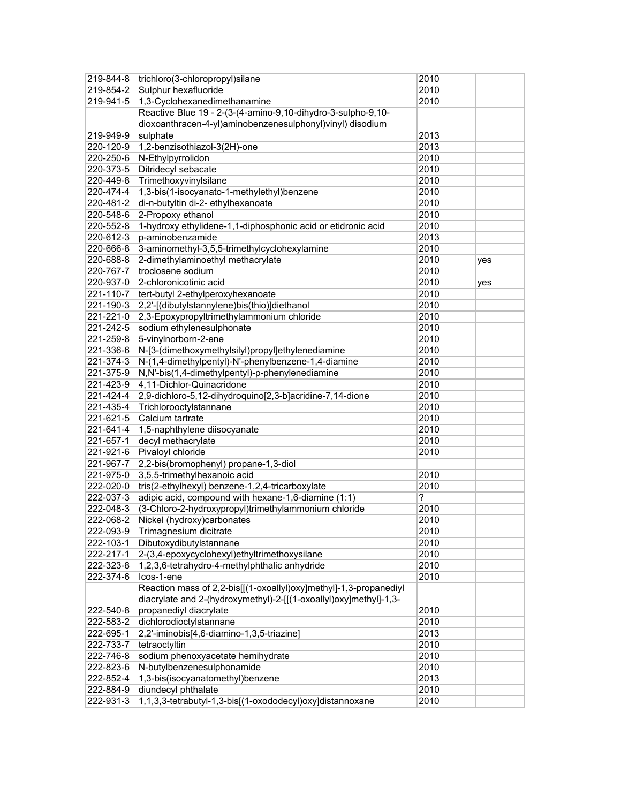| 219-844-8 | trichloro(3-chloropropyl)silane                                   | 2010 |     |
|-----------|-------------------------------------------------------------------|------|-----|
| 219-854-2 | Sulphur hexafluoride                                              | 2010 |     |
| 219-941-5 | 1,3-Cyclohexanedimethanamine                                      | 2010 |     |
|           | Reactive Blue 19 - 2-(3-(4-amino-9,10-dihydro-3-sulpho-9,10-      |      |     |
|           | dioxoanthracen-4-yl)aminobenzenesulphonyl)vinyl) disodium         |      |     |
| 219-949-9 | sulphate                                                          | 2013 |     |
| 220-120-9 | 1,2-benzisothiazol-3(2H)-one                                      | 2013 |     |
| 220-250-6 | N-Ethylpyrrolidon                                                 | 2010 |     |
| 220-373-5 | Ditridecyl sebacate                                               | 2010 |     |
| 220-449-8 | Trimethoxyvinylsilane                                             | 2010 |     |
| 220-474-4 | 1,3-bis(1-isocyanato-1-methylethyl)benzene                        | 2010 |     |
| 220-481-2 | di-n-butyltin di-2- ethylhexanoate                                | 2010 |     |
| 220-548-6 | 2-Propoxy ethanol                                                 | 2010 |     |
| 220-552-8 | 1-hydroxy ethylidene-1,1-diphosphonic acid or etidronic acid      | 2010 |     |
| 220-612-3 | p-aminobenzamide                                                  | 2013 |     |
| 220-666-8 | 3-aminomethyl-3,5,5-trimethylcyclohexylamine                      | 2010 |     |
| 220-688-8 | 2-dimethylaminoethyl methacrylate                                 | 2010 | yes |
| 220-767-7 | troclosene sodium                                                 | 2010 |     |
| 220-937-0 | 2-chloronicotinic acid                                            | 2010 | yes |
| 221-110-7 | tert-butyl 2-ethylperoxyhexanoate                                 | 2010 |     |
| 221-190-3 | 2,2'-[(dibutylstannylene)bis(thio)]diethanol                      | 2010 |     |
| 221-221-0 | 2,3-Epoxypropyltrimethylammonium chloride                         | 2010 |     |
| 221-242-5 | sodium ethylenesulphonate                                         | 2010 |     |
| 221-259-8 | 5-vinylnorborn-2-ene                                              | 2010 |     |
| 221-336-6 | N-[3-(dimethoxymethylsilyl)propyl]ethylenediamine                 | 2010 |     |
| 221-374-3 | N-(1,4-dimethylpentyl)-N'-phenylbenzene-1,4-diamine               | 2010 |     |
| 221-375-9 | N,N'-bis(1,4-dimethylpentyl)-p-phenylenediamine                   | 2010 |     |
| 221-423-9 | 4,11-Dichlor-Quinacridone                                         | 2010 |     |
| 221-424-4 | 2,9-dichloro-5,12-dihydroquino[2,3-b]acridine-7,14-dione          | 2010 |     |
| 221-435-4 | Trichlorooctylstannane                                            | 2010 |     |
| 221-621-5 | Calcium tartrate                                                  | 2010 |     |
| 221-641-4 | 1,5-naphthylene diisocyanate                                      | 2010 |     |
| 221-657-1 | decyl methacrylate                                                | 2010 |     |
| 221-921-6 | Pivaloyl chloride                                                 | 2010 |     |
| 221-967-7 | 2,2-bis(bromophenyl) propane-1,3-diol                             |      |     |
| 221-975-0 | 3,5,5-trimethylhexanoic acid                                      | 2010 |     |
| 222-020-0 | tris(2-ethylhexyl) benzene-1,2,4-tricarboxylate                   | 2010 |     |
| 222-037-3 | adipic acid, compound with hexane-1,6-diamine (1:1)               | ?    |     |
| 222-048-3 | (3-Chloro-2-hydroxypropyl)trimethylammonium chloride              | 2010 |     |
| 222-068-2 | Nickel (hydroxy)carbonates                                        | 2010 |     |
| 222-093-9 | Trimagnesium dicitrate                                            | 2010 |     |
| 222-103-1 | Dibutoxydibutylstannane                                           | 2010 |     |
| 222-217-1 | 2-(3,4-epoxycyclohexyl)ethyltrimethoxysilane                      | 2010 |     |
| 222-323-8 | 1,2,3,6-tetrahydro-4-methylphthalic anhydride                     | 2010 |     |
| 222-374-6 | Icos-1-ene                                                        | 2010 |     |
|           | Reaction mass of 2,2-bis[[(1-oxoallyl)oxy]methyl]-1,3-propanediyl |      |     |
|           | diacrylate and 2-(hydroxymethyl)-2-[[(1-oxoallyl)oxy]methyl]-1,3- |      |     |
| 222-540-8 | propanediyl diacrylate                                            | 2010 |     |
| 222-583-2 | dichlorodioctylstannane                                           | 2010 |     |
| 222-695-1 | 2,2'-iminobis[4,6-diamino-1,3,5-triazine]                         | 2013 |     |
| 222-733-7 | tetraoctyltin                                                     | 2010 |     |
| 222-746-8 | sodium phenoxyacetate hemihydrate                                 | 2010 |     |
| 222-823-6 | N-butylbenzenesulphonamide                                        | 2010 |     |
| 222-852-4 | 1,3-bis(isocyanatomethyl)benzene                                  | 2013 |     |
| 222-884-9 | diundecyl phthalate                                               | 2010 |     |
| 222-931-3 | 1,1,3,3-tetrabutyl-1,3-bis[(1-oxododecyl)oxy]distannoxane         | 2010 |     |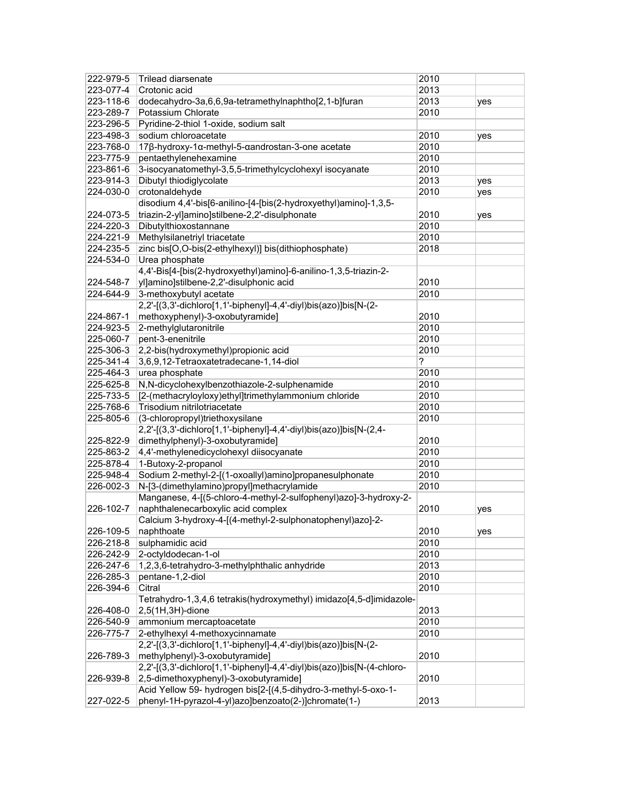| 222-979-5 | Trilead diarsenate                                                      | 2010 |     |
|-----------|-------------------------------------------------------------------------|------|-----|
| 223-077-4 | Crotonic acid                                                           | 2013 |     |
| 223-118-6 | dodecahydro-3a,6,6,9a-tetramethylnaphtho[2,1-b]furan                    | 2013 | yes |
| 223-289-7 | Potassium Chlorate                                                      | 2010 |     |
| 223-296-5 | Pyridine-2-thiol 1-oxide, sodium salt                                   |      |     |
| 223-498-3 | sodium chloroacetate                                                    | 2010 | yes |
| 223-768-0 | 17β-hydroxy-1α-methyl-5-αandrostan-3-one acetate                        | 2010 |     |
| 223-775-9 | pentaethylenehexamine                                                   | 2010 |     |
| 223-861-6 | 3-isocyanatomethyl-3,5,5-trimethylcyclohexyl isocyanate                 | 2010 |     |
| 223-914-3 | Dibutyl thiodiglycolate                                                 | 2013 | yes |
| 224-030-0 | crotonaldehyde                                                          | 2010 | yes |
|           | disodium 4,4'-bis[6-anilino-[4-[bis(2-hydroxyethyl)amino]-1,3,5-        |      |     |
| 224-073-5 | triazin-2-yl]amino]stilbene-2,2'-disulphonate                           | 2010 | yes |
| 224-220-3 | Dibutylthioxostannane                                                   | 2010 |     |
| 224-221-9 | Methylsilanetriyl triacetate                                            | 2010 |     |
| 224-235-5 | zinc bis[O,O-bis(2-ethylhexyl)] bis(dithiophosphate)                    | 2018 |     |
|           | Urea phosphate                                                          |      |     |
| 224-534-0 |                                                                         |      |     |
|           | 4,4'-Bis[4-[bis(2-hydroxyethyl)amino]-6-anilino-1,3,5-triazin-2-        |      |     |
| 224-548-7 | yl]amino]stilbene-2,2'-disulphonic acid                                 | 2010 |     |
| 224-644-9 | 3-methoxybutyl acetate                                                  | 2010 |     |
|           | 2,2'-[(3,3'-dichloro[1,1'-biphenyl]-4,4'-diyl)bis(azo)]bis[N-(2-        |      |     |
| 224-867-1 | methoxyphenyl)-3-oxobutyramide]                                         | 2010 |     |
| 224-923-5 | 2-methylglutaronitrile                                                  | 2010 |     |
| 225-060-7 | pent-3-enenitrile                                                       | 2010 |     |
| 225-306-3 | 2,2-bis(hydroxymethyl)propionic acid                                    | 2010 |     |
| 225-341-4 | 3,6,9,12-Tetraoxatetradecane-1,14-diol                                  | ?    |     |
| 225-464-3 | urea phosphate                                                          | 2010 |     |
| 225-625-8 | N,N-dicyclohexylbenzothiazole-2-sulphenamide                            | 2010 |     |
| 225-733-5 | [2-(methacryloyloxy)ethyl]trimethylammonium chloride                    | 2010 |     |
| 225-768-6 | Trisodium nitrilotriacetate                                             | 2010 |     |
| 225-805-6 | (3-chloropropyl)triethoxysilane                                         | 2010 |     |
|           | 2,2'-[(3,3'-dichloro[1,1'-biphenyl]-4,4'-diyl)bis(azo)]bis[N-(2,4-      |      |     |
| 225-822-9 | dimethylphenyl)-3-oxobutyramide]                                        | 2010 |     |
| 225-863-2 | 4,4'-methylenedicyclohexyl diisocyanate                                 | 2010 |     |
| 225-878-4 | 1-Butoxy-2-propanol                                                     | 2010 |     |
| 225-948-4 | Sodium 2-methyl-2-[(1-oxoallyl)amino]propanesulphonate                  | 2010 |     |
| 226-002-3 | N-[3-(dimethylamino)propyl]methacrylamide                               | 2010 |     |
|           | Manganese, 4-[(5-chloro-4-methyl-2-sulfophenyl)azo]-3-hydroxy-2-        |      |     |
| 226-102-7 | naphthalenecarboxylic acid complex                                      | 2010 | yes |
|           | Calcium 3-hydroxy-4-[(4-methyl-2-sulphonatophenyl)azo]-2-               |      |     |
| 226-109-5 | naphthoate                                                              | 2010 | yes |
| 226-218-8 | sulphamidic acid                                                        | 2010 |     |
| 226-242-9 | 2-octyldodecan-1-ol                                                     | 2010 |     |
| 226-247-6 | 1,2,3,6-tetrahydro-3-methylphthalic anhydride                           | 2013 |     |
| 226-285-3 | pentane-1,2-diol                                                        | 2010 |     |
| 226-394-6 | Citral                                                                  | 2010 |     |
|           | Tetrahydro-1,3,4,6 tetrakis(hydroxymethyl) imidazo[4,5-d]imidazole-     |      |     |
| 226-408-0 | 2,5(1H,3H)-dione                                                        | 2013 |     |
|           | ammonium mercaptoacetate                                                | 2010 |     |
| 226-540-9 |                                                                         |      |     |
| 226-775-7 | 2-ethylhexyl 4-methoxycinnamate                                         | 2010 |     |
|           | 2,2'-[(3,3'-dichloro[1,1'-biphenyl]-4,4'-diyl)bis(azo)]bis[N-(2-        |      |     |
| 226-789-3 | methylphenyl)-3-oxobutyramide]                                          | 2010 |     |
|           | 2,2'-[(3,3'-dichloro[1,1'-biphenyl]-4,4'-diyl)bis(azo)]bis[N-(4-chloro- |      |     |
| 226-939-8 | 2,5-dimethoxyphenyl)-3-oxobutyramide]                                   | 2010 |     |
|           | Acid Yellow 59- hydrogen bis[2-[(4,5-dihydro-3-methyl-5-oxo-1-          |      |     |
| 227-022-5 | phenyl-1H-pyrazol-4-yl)azo]benzoato(2-)]chromate(1-)                    | 2013 |     |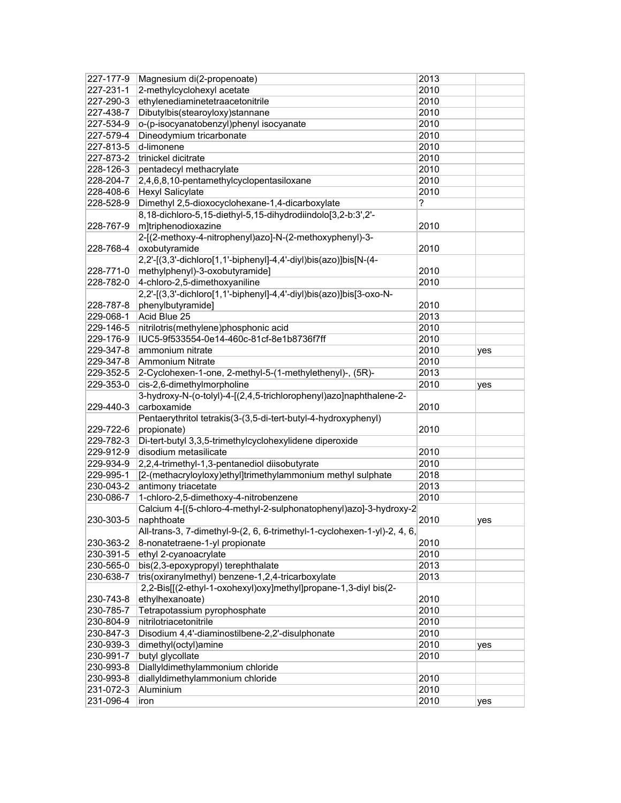| 227-177-9              | Magnesium di(2-propenoate)                                               | 2013         |     |
|------------------------|--------------------------------------------------------------------------|--------------|-----|
| 227-231-1              | 2-methylcyclohexyl acetate                                               | 2010         |     |
| 227-290-3              | ethylenediaminetetraacetonitrile                                         | 2010         |     |
| 227-438-7              | Dibutylbis(stearoyloxy)stannane                                          | 2010         |     |
| 227-534-9              | o-(p-isocyanatobenzyl)phenyl isocyanate                                  | 2010         |     |
| 227-579-4              | Dineodymium tricarbonate                                                 | 2010         |     |
| 227-813-5              | d-limonene                                                               | 2010         |     |
| 227-873-2              | trinickel dicitrate                                                      | 2010         |     |
| 228-126-3              | pentadecyl methacrylate                                                  | 2010         |     |
| 228-204-7              | 2,4,6,8,10-pentamethylcyclopentasiloxane                                 | 2010         |     |
| 228-408-6              | <b>Hexyl Salicylate</b>                                                  | 2010         |     |
| 228-528-9              | Dimethyl 2,5-dioxocyclohexane-1,4-dicarboxylate                          | ?            |     |
|                        | 8,18-dichloro-5,15-diethyl-5,15-dihydrodiindolo[3,2-b:3',2'-             |              |     |
| 228-767-9              | m]triphenodioxazine                                                      | 2010         |     |
|                        | 2-[(2-methoxy-4-nitrophenyl)azo]-N-(2-methoxyphenyl)-3-                  |              |     |
| 228-768-4              | oxobutyramide                                                            | 2010         |     |
|                        | 2,2'-[(3,3'-dichloro[1,1'-biphenyl]-4,4'-diyl)bis(azo)]bis[N-(4-         |              |     |
| 228-771-0              | methylphenyl)-3-oxobutyramide]                                           | 2010         |     |
| 228-782-0              | 4-chloro-2,5-dimethoxyaniline                                            | 2010         |     |
|                        | 2,2'-[(3,3'-dichloro[1,1'-biphenyl]-4,4'-diyl)bis(azo)]bis[3-oxo-N-      |              |     |
| 228-787-8              | phenylbutyramide]                                                        | 2010         |     |
| 229-068-1              | Acid Blue 25                                                             | 2013         |     |
| 229-146-5              | nitrilotris(methylene)phosphonic acid                                    | 2010         |     |
| 229-176-9              | IUC5-9f533554-0e14-460c-81cf-8e1b8736f7ff                                | 2010         |     |
| 229-347-8              | ammonium nitrate                                                         | 2010         | yes |
| 229-347-8              | <b>Ammonium Nitrate</b>                                                  | 2010         |     |
| 229-352-5              | 2-Cyclohexen-1-one, 2-methyl-5-(1-methylethenyl)-, (5R)-                 | 2013         |     |
| 229-353-0              | cis-2,6-dimethylmorpholine                                               | 2010         | yes |
|                        | 3-hydroxy-N-(o-tolyl)-4-[(2,4,5-trichlorophenyl)azo]naphthalene-2-       |              |     |
| 229-440-3              | carboxamide                                                              | 2010         |     |
|                        | Pentaerythritol tetrakis(3-(3,5-di-tert-butyl-4-hydroxyphenyl)           |              |     |
| 229-722-6              | propionate)                                                              | 2010         |     |
| 229-782-3              | Di-tert-butyl 3,3,5-trimethylcyclohexylidene diperoxide                  |              |     |
| 229-912-9              | disodium metasilicate                                                    | 2010         |     |
| 229-934-9              | 2,2,4-trimethyl-1,3-pentanediol diisobutyrate                            | 2010         |     |
| 229-995-1              | [2-(methacryloyloxy)ethyl]trimethylammonium methyl sulphate              | 2018         |     |
| 230-043-2              | antimony triacetate                                                      | 2013         |     |
| 230-086-7              | 1-chloro-2,5-dimethoxy-4-nitrobenzene                                    | 2010         |     |
|                        | Calcium 4-[(5-chloro-4-methyl-2-sulphonatophenyl)azo]-3-hydroxy-2        |              |     |
| 230-303-5              | naphthoate                                                               | 2010         | yes |
|                        | All-trans-3, 7-dimethyl-9-(2, 6, 6-trimethyl-1-cyclohexen-1-yl)-2, 4, 6, |              |     |
| 230-363-2              | 8-nonatetraene-1-yl propionate                                           | 2010         |     |
| 230-391-5              | ethyl 2-cyanoacrylate                                                    | 2010         |     |
| 230-565-0              | bis(2,3-epoxypropyl) terephthalate                                       | 2013         |     |
| 230-638-7              | tris(oxiranylmethyl) benzene-1,2,4-tricarboxylate                        | 2013         |     |
|                        | 2,2-Bis[[(2-ethyl-1-oxohexyl)oxy]methyl]propane-1,3-diyl bis(2-          |              |     |
| 230-743-8              | ethylhexanoate)                                                          | 2010         |     |
| 230-785-7              | Tetrapotassium pyrophosphate                                             | 2010         |     |
| 230-804-9              | nitrilotriacetonitrile                                                   | 2010         |     |
| 230-847-3              | Disodium 4,4'-diaminostilbene-2,2'-disulphonate                          | 2010         |     |
| 230-939-3              | dimethyl(octyl)amine                                                     | 2010         | yes |
| 230-991-7              | butyl glycollate                                                         | 2010         |     |
| 230-993-8              | Diallyldimethylammonium chloride                                         |              |     |
| 230-993-8              |                                                                          |              |     |
|                        |                                                                          |              |     |
|                        | diallyldimethylammonium chloride                                         | 2010         |     |
| 231-072-3<br>231-096-4 | Aluminium<br>iron                                                        | 2010<br>2010 | yes |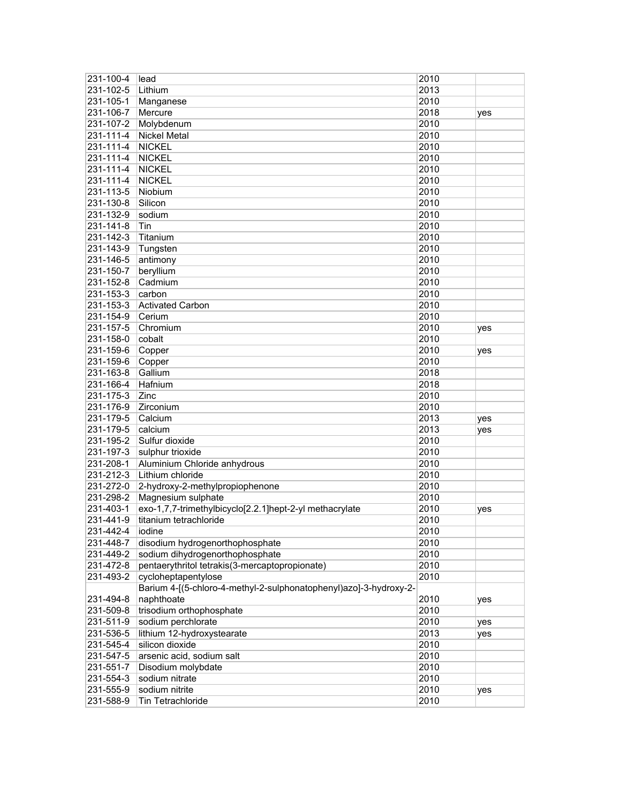| 231-100-4 | lead                                                              | 2010 |     |
|-----------|-------------------------------------------------------------------|------|-----|
| 231-102-5 | Lithium                                                           | 2013 |     |
| 231-105-1 | Manganese                                                         | 2010 |     |
| 231-106-7 | Mercure                                                           | 2018 | yes |
| 231-107-2 | Molybdenum                                                        | 2010 |     |
| 231-111-4 | <b>Nickel Metal</b>                                               | 2010 |     |
| 231-111-4 | <b>NICKEL</b>                                                     | 2010 |     |
| 231-111-4 | <b>NICKEL</b>                                                     | 2010 |     |
| 231-111-4 | <b>NICKEL</b>                                                     | 2010 |     |
| 231-111-4 | <b>NICKEL</b>                                                     | 2010 |     |
| 231-113-5 | Niobium                                                           | 2010 |     |
| 231-130-8 | Silicon                                                           | 2010 |     |
| 231-132-9 | sodium                                                            | 2010 |     |
| 231-141-8 | Tin                                                               | 2010 |     |
| 231-142-3 | Titanium                                                          | 2010 |     |
| 231-143-9 | Tungsten                                                          | 2010 |     |
| 231-146-5 | antimony                                                          | 2010 |     |
| 231-150-7 | beryllium                                                         | 2010 |     |
| 231-152-8 | Cadmium                                                           | 2010 |     |
| 231-153-3 | carbon                                                            | 2010 |     |
| 231-153-3 | <b>Activated Carbon</b>                                           | 2010 |     |
| 231-154-9 | Cerium                                                            | 2010 |     |
| 231-157-5 | Chromium                                                          | 2010 |     |
| 231-158-0 | cobalt                                                            | 2010 | yes |
| 231-159-6 | Copper                                                            | 2010 |     |
| 231-159-6 | Copper                                                            | 2010 | yes |
| 231-163-8 | Gallium                                                           | 2018 |     |
| 231-166-4 | Hafnium                                                           | 2018 |     |
| 231-175-3 | Zinc                                                              | 2010 |     |
| 231-176-9 | Zirconium                                                         | 2010 |     |
| 231-179-5 | Calcium                                                           | 2013 | yes |
| 231-179-5 | calcium                                                           | 2013 | yes |
| 231-195-2 | Sulfur dioxide                                                    | 2010 |     |
| 231-197-3 | sulphur trioxide                                                  | 2010 |     |
| 231-208-1 | Aluminium Chloride anhydrous                                      | 2010 |     |
| 231-212-3 | Lithium chloride                                                  | 2010 |     |
| 231-272-0 | 2-hydroxy-2-methylpropiophenone                                   | 2010 |     |
| 231-298-2 | Magnesium sulphate                                                | 2010 |     |
| 231-403-1 | exo-1,7,7-trimethylbicyclo[2.2.1]hept-2-yl methacrylate           | 2010 | yes |
| 231-441-9 | titanium tetrachloride                                            | 2010 |     |
| 231-442-4 | iodine                                                            | 2010 |     |
| 231-448-7 | disodium hydrogenorthophosphate                                   | 2010 |     |
| 231-449-2 | sodium dihydrogenorthophosphate                                   | 2010 |     |
| 231-472-8 | pentaerythritol tetrakis(3-mercaptopropionate)                    | 2010 |     |
| 231-493-2 | cycloheptapentylose                                               | 2010 |     |
|           | Barium 4-[(5-chloro-4-methyl-2-sulphonatophenyl)azo]-3-hydroxy-2- |      |     |
| 231-494-8 | naphthoate                                                        | 2010 | yes |
| 231-509-8 | trisodium orthophosphate                                          | 2010 |     |
| 231-511-9 | sodium perchlorate                                                | 2010 | yes |
| 231-536-5 | lithium 12-hydroxystearate                                        | 2013 | yes |
| 231-545-4 | silicon dioxide                                                   | 2010 |     |
| 231-547-5 | arsenic acid, sodium salt                                         | 2010 |     |
| 231-551-7 | Disodium molybdate                                                | 2010 |     |
| 231-554-3 | sodium nitrate                                                    | 2010 |     |
| 231-555-9 | sodium nitrite                                                    | 2010 | yes |
| 231-588-9 | Tin Tetrachloride                                                 | 2010 |     |
|           |                                                                   |      |     |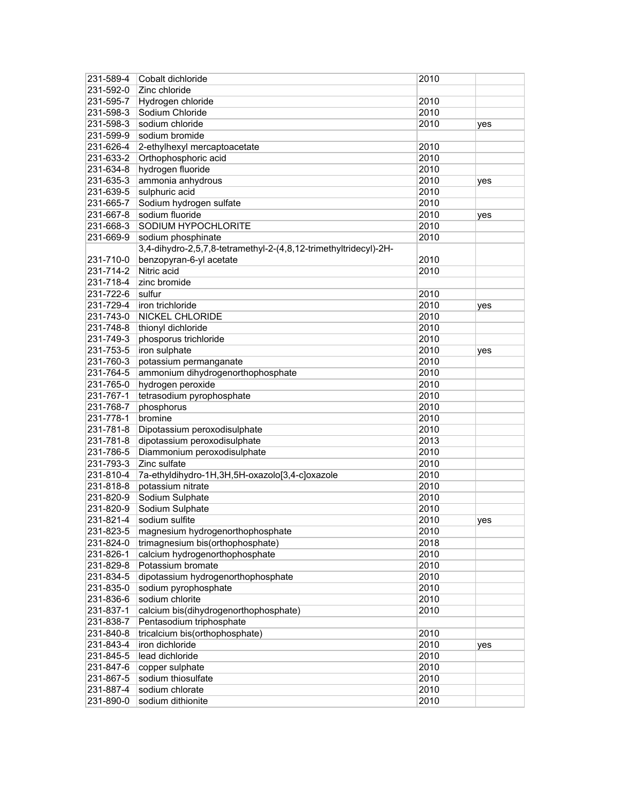| 231-589-4 | Cobalt dichloride                                                | 2010 |     |
|-----------|------------------------------------------------------------------|------|-----|
| 231-592-0 | Zinc chloride                                                    |      |     |
| 231-595-7 | Hydrogen chloride                                                | 2010 |     |
| 231-598-3 | Sodium Chloride                                                  | 2010 |     |
| 231-598-3 | sodium chloride                                                  | 2010 | yes |
| 231-599-9 | sodium bromide                                                   |      |     |
| 231-626-4 | 2-ethylhexyl mercaptoacetate                                     | 2010 |     |
| 231-633-2 | Orthophosphoric acid                                             | 2010 |     |
| 231-634-8 | hydrogen fluoride                                                | 2010 |     |
| 231-635-3 | ammonia anhydrous                                                | 2010 | yes |
| 231-639-5 | sulphuric acid                                                   | 2010 |     |
| 231-665-7 | Sodium hydrogen sulfate                                          | 2010 |     |
| 231-667-8 | sodium fluoride                                                  | 2010 | yes |
| 231-668-3 | SODIUM HYPOCHLORITE                                              | 2010 |     |
| 231-669-9 | sodium phosphinate                                               | 2010 |     |
|           | 3,4-dihydro-2,5,7,8-tetramethyl-2-(4,8,12-trimethyltridecyl)-2H- |      |     |
| 231-710-0 | benzopyran-6-yl acetate                                          | 2010 |     |
| 231-714-2 | Nitric acid                                                      | 2010 |     |
| 231-718-4 | zinc bromide                                                     |      |     |
| 231-722-6 | sulfur                                                           | 2010 |     |
| 231-729-4 | iron trichloride                                                 | 2010 | yes |
| 231-743-0 | <b>NICKEL CHLORIDE</b>                                           | 2010 |     |
| 231-748-8 | thionyl dichloride                                               | 2010 |     |
| 231-749-3 | phosporus trichloride                                            | 2010 |     |
| 231-753-5 | iron sulphate                                                    | 2010 | yes |
| 231-760-3 | potassium permanganate                                           | 2010 |     |
| 231-764-5 | ammonium dihydrogenorthophosphate                                | 2010 |     |
| 231-765-0 | hydrogen peroxide                                                | 2010 |     |
| 231-767-1 | tetrasodium pyrophosphate                                        | 2010 |     |
| 231-768-7 | phosphorus                                                       | 2010 |     |
| 231-778-1 | bromine                                                          | 2010 |     |
| 231-781-8 | Dipotassium peroxodisulphate                                     | 2010 |     |
| 231-781-8 | dipotassium peroxodisulphate                                     | 2013 |     |
| 231-786-5 | Diammonium peroxodisulphate                                      | 2010 |     |
| 231-793-3 | Zinc sulfate                                                     | 2010 |     |
| 231-810-4 | 7a-ethyldihydro-1H,3H,5H-oxazolo[3,4-c]oxazole                   | 2010 |     |
| 231-818-8 | potassium nitrate                                                | 2010 |     |
| 231-820-9 | Sodium Sulphate                                                  | 2010 |     |
| 231-820-9 | Sodium Sulphate                                                  | 2010 |     |
| 231-821-4 | sodium sulfite                                                   | 2010 | yes |
| 231-823-5 | magnesium hydrogenorthophosphate                                 | 2010 |     |
| 231-824-0 | trimagnesium bis(orthophosphate)                                 | 2018 |     |
| 231-826-1 | calcium hydrogenorthophosphate                                   | 2010 |     |
| 231-829-8 | Potassium bromate                                                | 2010 |     |
| 231-834-5 | dipotassium hydrogenorthophosphate                               | 2010 |     |
| 231-835-0 | sodium pyrophosphate                                             | 2010 |     |
| 231-836-6 | sodium chlorite                                                  | 2010 |     |
| 231-837-1 | calcium bis(dihydrogenorthophosphate)                            | 2010 |     |
| 231-838-7 | Pentasodium triphosphate                                         |      |     |
| 231-840-8 | tricalcium bis(orthophosphate)                                   | 2010 |     |
| 231-843-4 | iron dichloride                                                  | 2010 | yes |
| 231-845-5 | lead dichloride                                                  | 2010 |     |
| 231-847-6 | copper sulphate                                                  | 2010 |     |
| 231-867-5 | sodium thiosulfate                                               | 2010 |     |
| 231-887-4 | sodium chlorate                                                  | 2010 |     |
| 231-890-0 | sodium dithionite                                                | 2010 |     |
|           |                                                                  |      |     |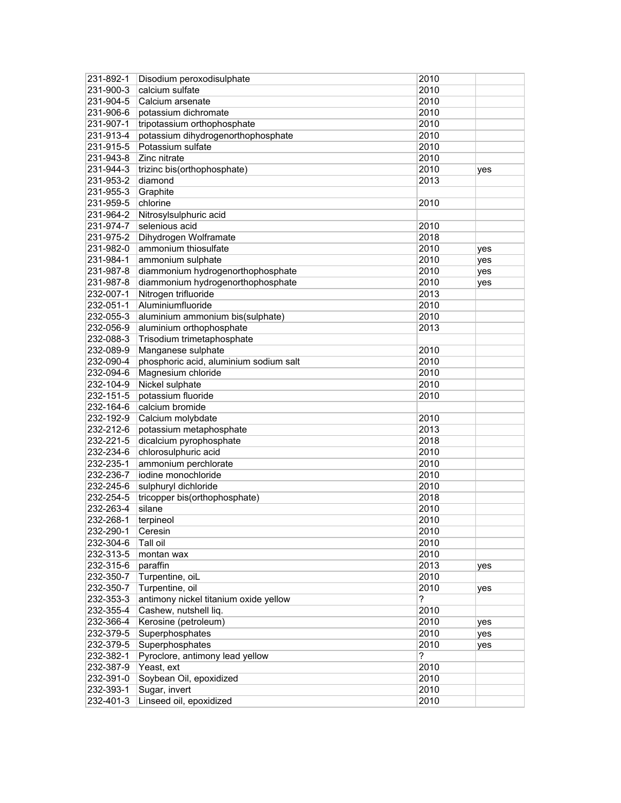| 231-892-1              | Disodium peroxodisulphate              | 2010         |     |
|------------------------|----------------------------------------|--------------|-----|
| 231-900-3              | calcium sulfate                        | 2010         |     |
| 231-904-5              | Calcium arsenate                       | 2010         |     |
| 231-906-6              | potassium dichromate                   | 2010         |     |
| 231-907-1              | tripotassium orthophosphate            | 2010         |     |
| 231-913-4              | potassium dihydrogenorthophosphate     | 2010         |     |
| 231-915-5              | Potassium sulfate                      | 2010         |     |
| 231-943-8              | Zinc nitrate                           | 2010         |     |
| 231-944-3              | trizinc bis(orthophosphate)            | 2010         | yes |
| 231-953-2              | diamond                                | 2013         |     |
| 231-955-3              | Graphite                               |              |     |
| 231-959-5              | chlorine                               | 2010         |     |
| 231-964-2              | Nitrosylsulphuric acid                 |              |     |
| 231-974-7              | selenious acid                         | 2010         |     |
| 231-975-2              | Dihydrogen Wolframate                  | 2018         |     |
| 231-982-0              | ammonium thiosulfate                   | 2010         | yes |
| 231-984-1              | ammonium sulphate                      | 2010         | yes |
| 231-987-8              | diammonium hydrogenorthophosphate      | 2010         | yes |
| 231-987-8              | diammonium hydrogenorthophosphate      | 2010         | yes |
| 232-007-1              | Nitrogen trifluoride                   | 2013         |     |
| 232-051-1              | Aluminiumfluoride                      | 2010         |     |
| 232-055-3              | aluminium ammonium bis(sulphate)       | 2010         |     |
| 232-056-9              |                                        |              |     |
| 232-088-3              | aluminium orthophosphate               | 2013         |     |
|                        | Trisodium trimetaphosphate             |              |     |
| 232-089-9<br>232-090-4 | Manganese sulphate                     | 2010<br>2010 |     |
|                        | phosphoric acid, aluminium sodium salt |              |     |
| 232-094-6              | Magnesium chloride                     | 2010         |     |
| 232-104-9              | Nickel sulphate                        | 2010         |     |
| 232-151-5              | potassium fluoride                     | 2010         |     |
| 232-164-6              | calcium bromide                        |              |     |
| 232-192-9              | Calcium molybdate                      | 2010         |     |
| 232-212-6              | potassium metaphosphate                | 2013<br>2018 |     |
| 232-221-5              | dicalcium pyrophosphate                |              |     |
| 232-234-6              | chlorosulphuric acid                   | 2010         |     |
| 232-235-1              | ammonium perchlorate                   | 2010         |     |
| 232-236-7              | iodine monochloride                    | 2010         |     |
| 232-245-6              | sulphuryl dichloride                   | 2010         |     |
| 232-254-5              | tricopper bis(orthophosphate)          | 2018         |     |
| 232-263-4              | silane                                 | 2010         |     |
| 232-268-1              | terpineol                              | 2010         |     |
| 232-290-1              | Ceresin                                | 2010         |     |
| 232-304-6              | Tall oil                               | 2010         |     |
| 232-313-5              | montan wax                             | 2010         |     |
| 232-315-6              | paraffin                               | 2013         | yes |
| 232-350-7              | Turpentine, oiL                        | 2010         |     |
| 232-350-7              | Turpentine, oil                        | 2010         | yes |
| 232-353-3              | antimony nickel titanium oxide yellow  | ?            |     |
| 232-355-4              | Cashew, nutshell liq.                  | 2010         |     |
| 232-366-4              | Kerosine (petroleum)                   | 2010         | yes |
| 232-379-5              | Superphosphates                        | 2010         | yes |
| 232-379-5              | Superphosphates                        | 2010         | yes |
| 232-382-1              | Pyroclore, antimony lead yellow        | ?            |     |
| 232-387-9              | Yeast, ext                             | 2010         |     |
| 232-391-0              | Soybean Oil, epoxidized                | 2010         |     |
| 232-393-1              | Sugar, invert                          | 2010         |     |
| 232-401-3              | Linseed oil, epoxidized                | 2010         |     |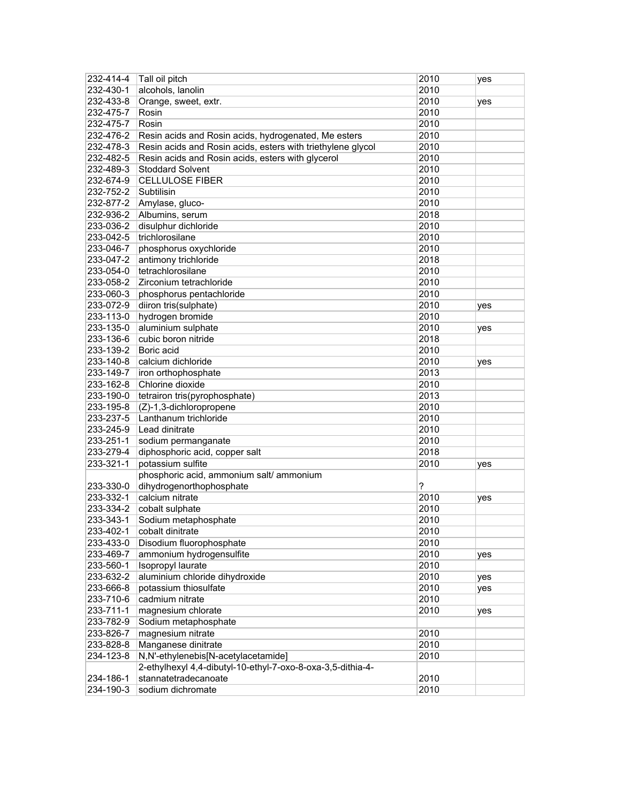| 232-414-4              | Tall oil pitch                                              | 2010 | yes |
|------------------------|-------------------------------------------------------------|------|-----|
| 232-430-1              | alcohols, lanolin                                           | 2010 |     |
| 232-433-8              | Orange, sweet, extr.                                        | 2010 | yes |
| 232-475-7              | Rosin                                                       | 2010 |     |
| 232-475-7              | Rosin                                                       | 2010 |     |
| 232-476-2              | Resin acids and Rosin acids, hydrogenated, Me esters        | 2010 |     |
| 232-478-3              | Resin acids and Rosin acids, esters with triethylene glycol | 2010 |     |
| 232-482-5              | Resin acids and Rosin acids, esters with glycerol           | 2010 |     |
| 232-489-3              | <b>Stoddard Solvent</b>                                     | 2010 |     |
| 232-674-9              | <b>CELLULOSE FIBER</b>                                      | 2010 |     |
| 232-752-2              | Subtilisin                                                  | 2010 |     |
| 232-877-2              | Amylase, gluco-                                             | 2010 |     |
| 232-936-2              | Albumins, serum                                             | 2018 |     |
| 233-036-2              | disulphur dichloride                                        | 2010 |     |
| 233-042-5              | trichlorosilane                                             | 2010 |     |
| 233-046-7              | phosphorus oxychloride                                      | 2010 |     |
| 233-047-2              | antimony trichloride                                        | 2018 |     |
| 233-054-0              | tetrachlorosilane                                           | 2010 |     |
| 233-058-2              | Zirconium tetrachloride                                     | 2010 |     |
| 233-060-3              | phosphorus pentachloride                                    | 2010 |     |
| 233-072-9              | diiron tris(sulphate)                                       | 2010 | yes |
| 233-113-0              | hydrogen bromide                                            | 2010 |     |
| 233-135-0              | aluminium sulphate                                          | 2010 | yes |
| 233-136-6              | cubic boron nitride                                         | 2018 |     |
| 233-139-2              | Boric acid                                                  | 2010 |     |
| 233-140-8              | calcium dichloride                                          | 2010 | yes |
| 233-149-7              | iron orthophosphate                                         | 2013 |     |
| 233-162-8              | Chlorine dioxide                                            | 2010 |     |
| 233-190-0              | tetrairon tris(pyrophosphate)                               | 2013 |     |
| 233-195-8              | (Z)-1,3-dichloropropene                                     | 2010 |     |
| 233-237-5              | Lanthanum trichloride                                       | 2010 |     |
| 233-245-9              | Lead dinitrate                                              | 2010 |     |
| 233-251-1              | sodium permanganate                                         | 2010 |     |
| 233-279-4              | diphosphoric acid, copper salt                              | 2018 |     |
| 233-321-1              | potassium sulfite                                           | 2010 |     |
|                        | phosphoric acid, ammonium salt/ ammonium                    |      | yes |
|                        |                                                             | ?    |     |
| 233-330-0<br>233-332-1 | dihydrogenorthophosphate<br>calcium nitrate                 | 2010 |     |
|                        |                                                             |      | yes |
| 233-334-2              | cobalt sulphate                                             | 2010 |     |
| 233-343-1              | Sodium metaphosphate                                        | 2010 |     |
| 233-402-1              | cobalt dinitrate                                            | 2010 |     |
| 233-433-0              | Disodium fluorophosphate                                    | 2010 |     |
| 233-469-7              | ammonium hydrogensulfite                                    | 2010 | yes |
| 233-560-1              | Isopropyl laurate                                           | 2010 |     |
| 233-632-2              | aluminium chloride dihydroxide                              | 2010 | yes |
| 233-666-8              | potassium thiosulfate                                       | 2010 | yes |
| 233-710-6              | cadmium nitrate                                             | 2010 |     |
| 233-711-1              | magnesium chlorate                                          | 2010 | yes |
| 233-782-9              | Sodium metaphosphate                                        |      |     |
| 233-826-7              | magnesium nitrate                                           | 2010 |     |
| 233-828-8              | Manganese dinitrate                                         | 2010 |     |
| 234-123-8              | N,N'-ethylenebis[N-acetylacetamide]                         | 2010 |     |
|                        | 2-ethylhexyl 4,4-dibutyl-10-ethyl-7-oxo-8-oxa-3,5-dithia-4- |      |     |
| 234-186-1              | stannatetradecanoate                                        | 2010 |     |
| 234-190-3              | sodium dichromate                                           | 2010 |     |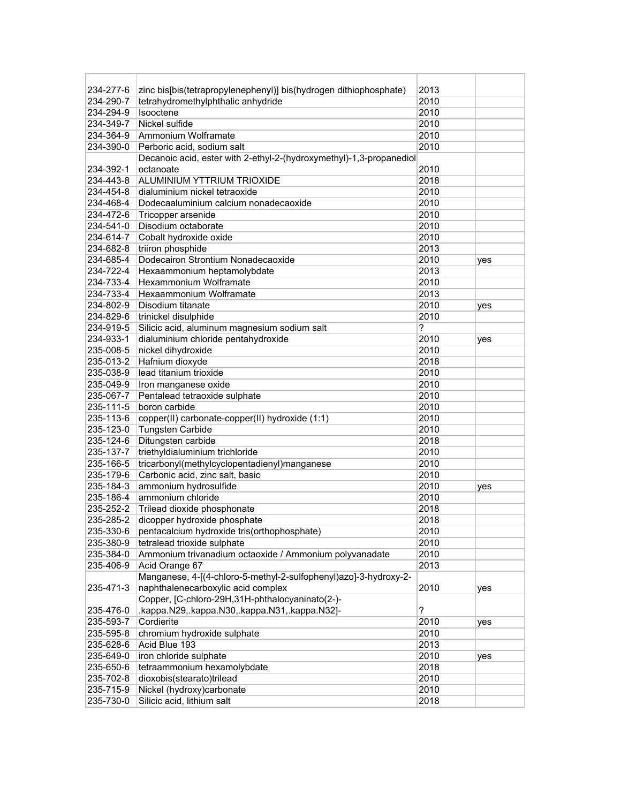| 234-277-6 | zinc bis[bis(tetrapropylenephenyl)] bis(hydrogen dithiophosphate)   | 2013 |     |
|-----------|---------------------------------------------------------------------|------|-----|
| 234-290-7 | tetrahydromethylphthalic anhydride                                  | 2010 |     |
| 234-294-9 | Isooctene                                                           | 2010 |     |
| 234-349-7 | Nickel sulfide                                                      | 2010 |     |
| 234-364-9 | Ammonium Wolframate                                                 | 2010 |     |
| 234-390-0 | Perboric acid, sodium salt                                          | 2010 |     |
|           | Decanoic acid, ester with 2-ethyl-2-(hydroxymethyl)-1,3-propanediol |      |     |
| 234-392-1 | octanoate                                                           | 2010 |     |
| 234-443-8 | ALUMINIUM YTTRIUM TRIOXIDE                                          | 2018 |     |
| 234-454-8 | dialuminium nickel tetraoxide                                       | 2010 |     |
| 234-468-4 | Dodecaaluminium calcium nonadecaoxide                               | 2010 |     |
| 234-472-6 | Tricopper arsenide                                                  | 2010 |     |
| 234-541-0 | Disodium octaborate                                                 | 2010 |     |
| 234-614-7 | Cobalt hydroxide oxide                                              | 2010 |     |
| 234-682-8 | triiron phosphide                                                   | 2013 |     |
| 234-685-4 | Dodecairon Strontium Nonadecaoxide                                  | 2010 | yes |
| 234-722-4 | Hexaammonium heptamolybdate                                         | 2013 |     |
| 234-733-4 | Hexammonium Wolframate                                              | 2010 |     |
| 234-733-4 | Hexaammonium Wolframate                                             | 2013 |     |
| 234-802-9 | Disodium titanate                                                   | 2010 | yes |
| 234-829-6 | trinickel disulphide                                                | 2010 |     |
| 234-919-5 | Silicic acid, aluminum magnesium sodium salt                        | ?    |     |
| 234-933-1 | dialuminium chloride pentahydroxide                                 | 2010 | yes |
| 235-008-5 | nickel dihydroxide                                                  | 2010 |     |
| 235-013-2 | Hafnium dioxyde                                                     | 2018 |     |
| 235-038-9 | lead titanium trioxide                                              | 2010 |     |
| 235-049-9 | Iron manganese oxide                                                | 2010 |     |
| 235-067-7 | Pentalead tetraoxide sulphate                                       | 2010 |     |
| 235-111-5 | boron carbide                                                       | 2010 |     |
| 235-113-6 | copper(II) carbonate-copper(II) hydroxide (1:1)                     | 2010 |     |
| 235-123-0 | <b>Tungsten Carbide</b>                                             | 2010 |     |
| 235-124-6 | Ditungsten carbide                                                  | 2018 |     |
| 235-137-7 | triethyldialuminium trichloride                                     | 2010 |     |
| 235-166-5 | tricarbonyl(methylcyclopentadienyl)manganese                        | 2010 |     |
| 235-179-6 | Carbonic acid, zinc salt, basic                                     | 2010 |     |
| 235-184-3 | ammonium hydrosulfide                                               | 2010 | yes |
| 235-186-4 | ammonium chloride                                                   | 2010 |     |
| 235-252-2 | Trilead dioxide phosphonate                                         | 2018 |     |
| 235-285-2 | dicopper hydroxide phosphate                                        | 2018 |     |
|           | 235-330-6 pentacalcium hydroxide tris(orthophosphate)               | 2010 |     |
| 235-380-9 | tetralead trioxide sulphate                                         | 2010 |     |
| 235-384-0 | Ammonium trivanadium octaoxide / Ammonium polyvanadate              | 2010 |     |
| 235-406-9 | Acid Orange 67                                                      | 2013 |     |
|           | Manganese, 4-[(4-chloro-5-methyl-2-sulfophenyl)azo]-3-hydroxy-2-    |      |     |
| 235-471-3 | naphthalenecarboxylic acid complex                                  | 2010 | yes |
|           | Copper, [C-chloro-29H,31H-phthalocyaninato(2-)-                     |      |     |
| 235-476-0 | .kappa.N29,.kappa.N30,.kappa.N31,.kappa.N32]-                       | ?    |     |
| 235-593-7 | Cordierite                                                          | 2010 | yes |
| 235-595-8 | chromium hydroxide sulphate                                         | 2010 |     |
| 235-628-6 | Acid Blue 193                                                       | 2013 |     |
| 235-649-0 | iron chloride sulphate                                              | 2010 |     |
| 235-650-6 | tetraammonium hexamolybdate                                         | 2018 | yes |
| 235-702-8 | dioxobis(stearato)trilead                                           | 2010 |     |
| 235-715-9 | Nickel (hydroxy)carbonate                                           | 2010 |     |
| 235-730-0 | Silicic acid, lithium salt                                          | 2018 |     |
|           |                                                                     |      |     |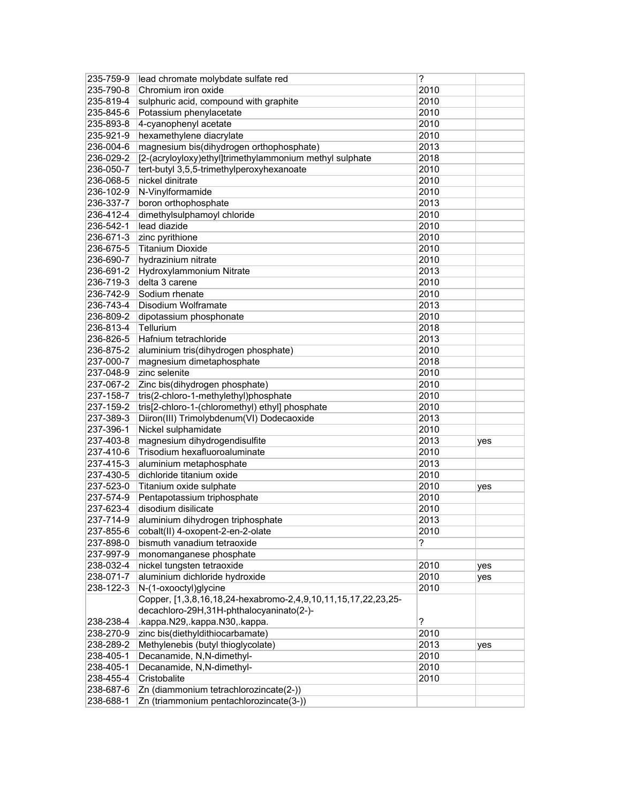| 235-759-9 | lead chromate molybdate sulfate red                           | ?    |     |
|-----------|---------------------------------------------------------------|------|-----|
| 235-790-8 | Chromium iron oxide                                           | 2010 |     |
| 235-819-4 | sulphuric acid, compound with graphite                        | 2010 |     |
| 235-845-6 | Potassium phenylacetate                                       | 2010 |     |
| 235-893-8 | 4-cyanophenyl acetate                                         | 2010 |     |
| 235-921-9 | hexamethylene diacrylate                                      | 2010 |     |
| 236-004-6 | magnesium bis(dihydrogen orthophosphate)                      | 2013 |     |
| 236-029-2 | [2-(acryloyloxy)ethyl]trimethylammonium methyl sulphate       | 2018 |     |
| 236-050-7 | tert-butyl 3,5,5-trimethylperoxyhexanoate                     | 2010 |     |
| 236-068-5 | nickel dinitrate                                              | 2010 |     |
| 236-102-9 | N-Vinylformamide                                              | 2010 |     |
| 236-337-7 | boron orthophosphate                                          | 2013 |     |
| 236-412-4 | dimethylsulphamoyl chloride                                   | 2010 |     |
| 236-542-1 | lead diazide                                                  | 2010 |     |
| 236-671-3 | zinc pyrithione                                               | 2010 |     |
| 236-675-5 | <b>Titanium Dioxide</b>                                       | 2010 |     |
| 236-690-7 | hydrazinium nitrate                                           | 2010 |     |
| 236-691-2 | Hydroxylammonium Nitrate                                      | 2013 |     |
| 236-719-3 | delta 3 carene                                                | 2010 |     |
| 236-742-9 | Sodium rhenate                                                | 2010 |     |
| 236-743-4 | Disodium Wolframate                                           | 2013 |     |
| 236-809-2 | dipotassium phosphonate                                       | 2010 |     |
| 236-813-4 | Tellurium                                                     | 2018 |     |
| 236-826-5 | Hafnium tetrachloride                                         | 2013 |     |
| 236-875-2 | aluminium tris(dihydrogen phosphate)                          | 2010 |     |
| 237-000-7 | magnesium dimetaphosphate                                     | 2018 |     |
| 237-048-9 | zinc selenite                                                 | 2010 |     |
| 237-067-2 | Zinc bis(dihydrogen phosphate)                                | 2010 |     |
| 237-158-7 | tris(2-chloro-1-methylethyl)phosphate                         | 2010 |     |
| 237-159-2 | tris[2-chloro-1-(chloromethyl) ethyl] phosphate               | 2010 |     |
| 237-389-3 | Diiron(III) Trimolybdenum(VI) Dodecaoxide                     | 2013 |     |
| 237-396-1 | Nickel sulphamidate                                           | 2010 |     |
| 237-403-8 | magnesium dihydrogendisulfite                                 | 2013 | yes |
| 237-410-6 | Trisodium hexafluoroaluminate                                 | 2010 |     |
| 237-415-3 | aluminium metaphosphate                                       | 2013 |     |
| 237-430-5 | dichloride titanium oxide                                     | 2010 |     |
| 237-523-0 | Titanium oxide sulphate                                       | 2010 | yes |
| 237-574-9 | Pentapotassium triphosphate                                   | 2010 |     |
| 237-623-4 | disodium disilicate                                           | 2010 |     |
| 237-714-9 | aluminium dihydrogen triphosphate                             | 2013 |     |
| 237-855-6 | cobalt(II) 4-oxopent-2-en-2-olate                             | 2010 |     |
| 237-898-0 | bismuth vanadium tetraoxide                                   | ?    |     |
| 237-997-9 | monomanganese phosphate                                       |      |     |
| 238-032-4 | nickel tungsten tetraoxide                                    | 2010 | yes |
| 238-071-7 | aluminium dichloride hydroxide                                | 2010 | yes |
| 238-122-3 | N-(1-oxooctyl)glycine                                         | 2010 |     |
|           | Copper, [1,3,8,16,18,24-hexabromo-2,4,9,10,11,15,17,22,23,25- |      |     |
|           | decachloro-29H,31H-phthalocyaninato(2-)-                      |      |     |
| 238-238-4 | .kappa.N29,.kappa.N30,.kappa.                                 | S.   |     |
| 238-270-9 | zinc bis(diethyldithiocarbamate)                              | 2010 |     |
| 238-289-2 | Methylenebis (butyl thioglycolate)                            | 2013 | yes |
| 238-405-1 | Decanamide, N,N-dimethyl-                                     | 2010 |     |
| 238-405-1 | Decanamide, N,N-dimethyl-                                     | 2010 |     |
| 238-455-4 | Cristobalite                                                  | 2010 |     |
| 238-687-6 | Zn (diammonium tetrachlorozincate(2-))                        |      |     |
| 238-688-1 | Zn (triammonium pentachlorozincate(3-))                       |      |     |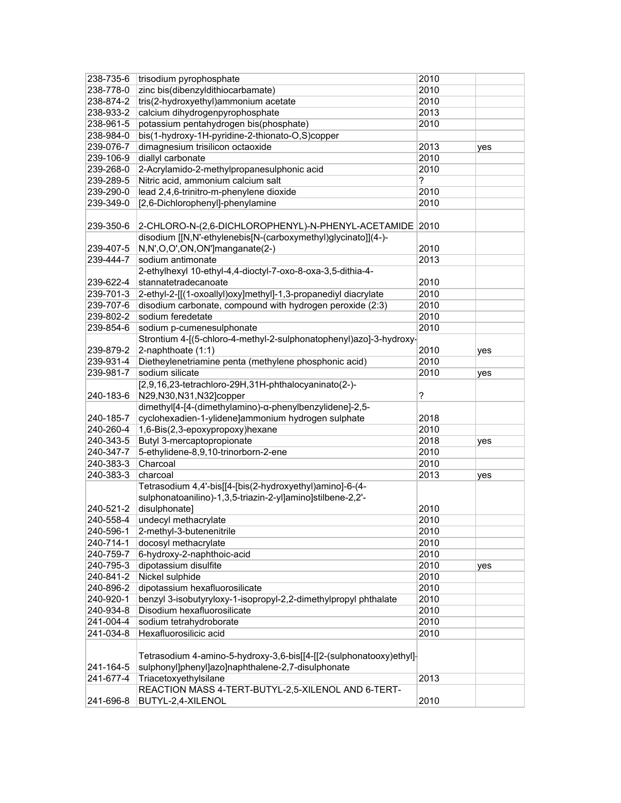| 238-735-6 | trisodium pyrophosphate                                             | 2010 |     |
|-----------|---------------------------------------------------------------------|------|-----|
| 238-778-0 | zinc bis(dibenzyldithiocarbamate)                                   | 2010 |     |
| 238-874-2 | tris(2-hydroxyethyl)ammonium acetate                                | 2010 |     |
| 238-933-2 | calcium dihydrogenpyrophosphate                                     | 2013 |     |
| 238-961-5 | potassium pentahydrogen bis(phosphate)                              | 2010 |     |
| 238-984-0 | bis(1-hydroxy-1H-pyridine-2-thionato-O,S)copper                     |      |     |
| 239-076-7 | dimagnesium trisilicon octaoxide                                    | 2013 | yes |
| 239-106-9 | diallyl carbonate                                                   | 2010 |     |
| 239-268-0 | 2-Acrylamido-2-methylpropanesulphonic acid                          | 2010 |     |
| 239-289-5 | Nitric acid, ammonium calcium salt                                  | ?    |     |
| 239-290-0 | lead 2,4,6-trinitro-m-phenylene dioxide                             | 2010 |     |
| 239-349-0 | [2,6-Dichlorophenyl]-phenylamine                                    | 2010 |     |
|           |                                                                     |      |     |
| 239-350-6 | 2-CHLORO-N-(2,6-DICHLOROPHENYL)-N-PHENYL-ACETAMIDE 2010             |      |     |
|           | disodium [[N,N'-ethylenebis[N-(carboxymethyl)glycinato]](4-)-       |      |     |
| 239-407-5 | N,N',O,O',ON,ON']manganate(2-)                                      | 2010 |     |
| 239-444-7 | sodium antimonate                                                   | 2013 |     |
|           | 2-ethylhexyl 10-ethyl-4,4-dioctyl-7-oxo-8-oxa-3,5-dithia-4-         |      |     |
| 239-622-4 | stannatetradecanoate                                                | 2010 |     |
| 239-701-3 | 2-ethyl-2-[[(1-oxoallyl)oxy]methyl]-1,3-propanediyl diacrylate      | 2010 |     |
| 239-707-6 | disodium carbonate, compound with hydrogen peroxide (2:3)           | 2010 |     |
| 239-802-2 | sodium feredetate                                                   | 2010 |     |
| 239-854-6 | sodium p-cumenesulphonate                                           | 2010 |     |
|           | Strontium 4-[(5-chloro-4-methyl-2-sulphonatophenyl)azo]-3-hydroxy-  |      |     |
| 239-879-2 | 2-naphthoate (1:1)                                                  | 2010 | yes |
| 239-931-4 | Dietheylenetriamine penta (methylene phosphonic acid)               | 2010 |     |
| 239-981-7 | sodium silicate                                                     | 2010 | yes |
|           | [2,9,16,23-tetrachloro-29H,31H-phthalocyaninato(2-)-                |      |     |
| 240-183-6 | N29, N30, N31, N32] copper                                          | ?    |     |
|           | dimethyl[4-[4-(dimethylamino)-α-phenylbenzylidene]-2,5-             |      |     |
| 240-185-7 | cyclohexadien-1-ylidene]ammonium hydrogen sulphate                  | 2018 |     |
| 240-260-4 | 1,6-Bis(2,3-epoxypropoxy)hexane                                     | 2010 |     |
| 240-343-5 | Butyl 3-mercaptopropionate                                          | 2018 | yes |
| 240-347-7 | 5-ethylidene-8,9,10-trinorborn-2-ene                                | 2010 |     |
| 240-383-3 | Charcoal                                                            | 2010 |     |
| 240-383-3 | charcoal                                                            | 2013 | yes |
|           | Tetrasodium 4,4'-bis[[4-[bis(2-hydroxyethyl)amino]-6-(4-            |      |     |
|           | sulphonatoanilino)-1,3,5-triazin-2-yl]amino]stilbene-2,2'-          |      |     |
| 240-521-2 | disulphonate]                                                       | 2010 |     |
| 240-558-4 | undecyl methacrylate                                                | 2010 |     |
| 240-596-1 | 2-methyl-3-butenenitrile                                            | 2010 |     |
| 240-714-1 | docosyl methacrylate                                                | 2010 |     |
| 240-759-7 | 6-hydroxy-2-naphthoic-acid                                          | 2010 |     |
| 240-795-3 | dipotassium disulfite                                               | 2010 | yes |
| 240-841-2 | Nickel sulphide                                                     | 2010 |     |
| 240-896-2 | dipotassium hexafluorosilicate                                      | 2010 |     |
| 240-920-1 | benzyl 3-isobutyryloxy-1-isopropyl-2,2-dimethylpropyl phthalate     | 2010 |     |
| 240-934-8 | Disodium hexafluorosilicate                                         | 2010 |     |
| 241-004-4 | sodium tetrahydroborate                                             | 2010 |     |
| 241-034-8 | Hexafluorosilicic acid                                              | 2010 |     |
|           |                                                                     |      |     |
|           | Tetrasodium 4-amino-5-hydroxy-3,6-bis[[4-[[2-(sulphonatooxy)ethyl]- |      |     |
| 241-164-5 | sulphonyl]phenyl]azo]naphthalene-2,7-disulphonate                   |      |     |
| 241-677-4 | Triacetoxyethylsilane                                               | 2013 |     |
|           | REACTION MASS 4-TERT-BUTYL-2,5-XILENOL AND 6-TERT-                  |      |     |
| 241-696-8 | BUTYL-2,4-XILENOL                                                   | 2010 |     |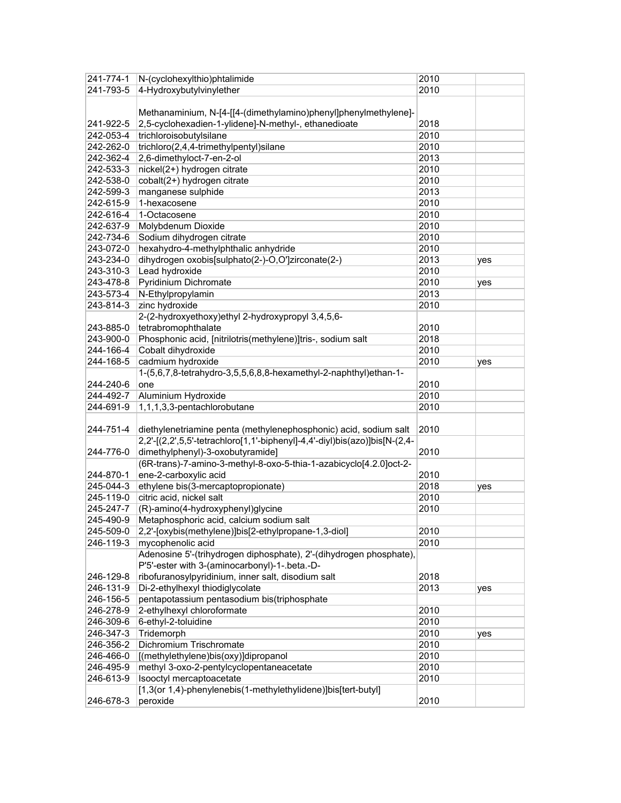| 241-774-1 | N-(cyclohexylthio)phtalimide                                               | 2010 |     |
|-----------|----------------------------------------------------------------------------|------|-----|
| 241-793-5 | 4-Hydroxybutylvinylether                                                   | 2010 |     |
|           | Methanaminium, N-[4-[[4-(dimethylamino)phenyl]phenylmethylene]-            |      |     |
| 241-922-5 | 2,5-cyclohexadien-1-ylidene]-N-methyl-, ethanedioate                       | 2018 |     |
| 242-053-4 | trichloroisobutylsilane                                                    | 2010 |     |
| 242-262-0 | trichloro $(2,4,4$ -trimethylpentyl)silane                                 | 2010 |     |
| 242-362-4 | 2,6-dimethyloct-7-en-2-ol                                                  | 2013 |     |
| 242-533-3 | nickel(2+) hydrogen citrate                                                | 2010 |     |
| 242-538-0 | cobalt(2+) hydrogen citrate                                                | 2010 |     |
| 242-599-3 | manganese sulphide                                                         | 2013 |     |
| 242-615-9 | 1-hexacosene                                                               | 2010 |     |
| 242-616-4 | 1-Octacosene                                                               | 2010 |     |
| 242-637-9 | Molybdenum Dioxide                                                         | 2010 |     |
| 242-734-6 | Sodium dihydrogen citrate                                                  | 2010 |     |
| 243-072-0 | hexahydro-4-methylphthalic anhydride                                       | 2010 |     |
| 243-234-0 | dihydrogen oxobis[sulphato(2-)-O,O']zirconate(2-)                          | 2013 |     |
| 243-310-3 | Lead hydroxide                                                             | 2010 | yes |
|           |                                                                            |      |     |
| 243-478-8 | Pyridinium Dichromate                                                      | 2010 | yes |
| 243-573-4 | N-Ethylpropylamin                                                          | 2013 |     |
| 243-814-3 | zinc hydroxide                                                             | 2010 |     |
|           | 2-(2-hydroxyethoxy)ethyl 2-hydroxypropyl 3,4,5,6-                          |      |     |
| 243-885-0 | tetrabromophthalate                                                        | 2010 |     |
| 243-900-0 | Phosphonic acid, [nitrilotris(methylene)]tris-, sodium salt                | 2018 |     |
| 244-166-4 | Cobalt dihydroxide                                                         | 2010 |     |
| 244-168-5 | cadmium hydroxide                                                          | 2010 | yes |
|           | 1-(5,6,7,8-tetrahydro-3,5,5,6,8,8-hexamethyl-2-naphthyl)ethan-1-           |      |     |
| 244-240-6 | one                                                                        | 2010 |     |
| 244-492-7 | Aluminium Hydroxide                                                        | 2010 |     |
| 244-691-9 | 1,1,1,3,3-pentachlorobutane                                                | 2010 |     |
|           |                                                                            |      |     |
| 244-751-4 | diethylenetriamine penta (methylenephosphonic) acid, sodium salt           | 2010 |     |
|           | 2,2'-[(2,2',5,5'-tetrachloro[1,1'-biphenyl]-4,4'-diyl)bis(azo)]bis[N-(2,4- |      |     |
| 244-776-0 | dimethylphenyl)-3-oxobutyramide]                                           | 2010 |     |
|           | (6R-trans)-7-amino-3-methyl-8-oxo-5-thia-1-azabicyclo[4.2.0]oct-2-         |      |     |
| 244-870-1 | ene-2-carboxylic acid                                                      | 2010 |     |
| 245-044-3 | ethylene bis(3-mercaptopropionate)                                         | 2018 | yes |
| 245-119-0 | citric acid, nickel salt                                                   | 2010 |     |
| 245-247-7 | (R)-amino(4-hydroxyphenyl)glycine                                          | 2010 |     |
| 245-490-9 | Metaphosphoric acid, calcium sodium salt                                   |      |     |
| 245-509-0 | 2,2'-[oxybis(methylene)]bis[2-ethylpropane-1,3-diol]                       | 2010 |     |
| 246-119-3 | mycophenolic acid                                                          | 2010 |     |
|           | Adenosine 5'-(trihydrogen diphosphate), 2'-(dihydrogen phosphate),         |      |     |
|           | P'5'-ester with 3-(aminocarbonyl)-1-.beta.-D-                              |      |     |
|           |                                                                            |      |     |
| 246-129-8 | ribofuranosylpyridinium, inner salt, disodium salt                         | 2018 |     |
| 246-131-9 | Di-2-ethylhexyl thiodiglycolate                                            | 2013 | yes |
| 246-156-5 | pentapotassium pentasodium bis(triphosphate                                |      |     |
| 246-278-9 | 2-ethylhexyl chloroformate                                                 | 2010 |     |
| 246-309-6 | 6-ethyl-2-toluidine                                                        | 2010 |     |
| 246-347-3 | Tridemorph                                                                 | 2010 | yes |
| 246-356-2 | Dichromium Trischromate                                                    | 2010 |     |
| 246-466-0 | [(methylethylene)bis(oxy)]dipropanol                                       | 2010 |     |
| 246-495-9 | methyl 3-oxo-2-pentylcyclopentaneacetate                                   | 2010 |     |
| 246-613-9 | Isooctyl mercaptoacetate                                                   | 2010 |     |
|           | [1,3(or 1,4)-phenylenebis(1-methylethylidene)]bis[tert-butyl]              |      |     |
| 246-678-3 | peroxide                                                                   | 2010 |     |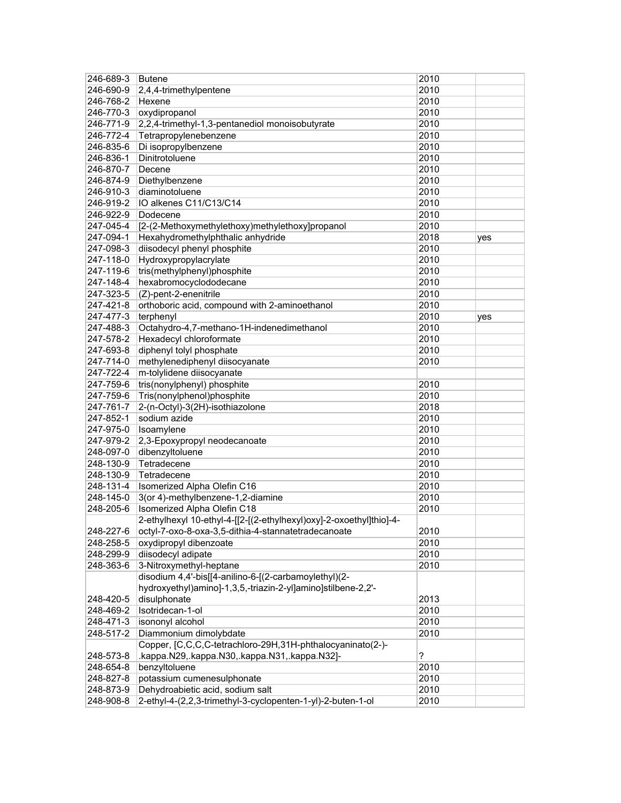| 246-689-3 | Butene                                                              | 2010 |     |
|-----------|---------------------------------------------------------------------|------|-----|
| 246-690-9 | 2,4,4-trimethylpentene                                              | 2010 |     |
| 246-768-2 | Hexene                                                              | 2010 |     |
| 246-770-3 | oxydipropanol                                                       | 2010 |     |
| 246-771-9 | 2,2,4-trimethyl-1,3-pentanediol monoisobutyrate                     | 2010 |     |
| 246-772-4 | Tetrapropylenebenzene                                               | 2010 |     |
| 246-835-6 | Di isopropylbenzene                                                 | 2010 |     |
| 246-836-1 | Dinitrotoluene                                                      | 2010 |     |
| 246-870-7 | Decene                                                              | 2010 |     |
| 246-874-9 | Diethylbenzene                                                      | 2010 |     |
| 246-910-3 | diaminotoluene                                                      | 2010 |     |
| 246-919-2 | IO alkenes C11/C13/C14                                              | 2010 |     |
| 246-922-9 | Dodecene                                                            | 2010 |     |
| 247-045-4 | [2-(2-Methoxymethylethoxy)methylethoxy]propanol                     | 2010 |     |
| 247-094-1 | Hexahydromethylphthalic anhydride                                   | 2018 | yes |
| 247-098-3 | diisodecyl phenyl phosphite                                         | 2010 |     |
| 247-118-0 | Hydroxypropylacrylate                                               | 2010 |     |
| 247-119-6 | tris(methylphenyl)phosphite                                         | 2010 |     |
| 247-148-4 | hexabromocyclododecane                                              | 2010 |     |
| 247-323-5 | (Z)-pent-2-enenitrile                                               | 2010 |     |
| 247-421-8 | orthoboric acid, compound with 2-aminoethanol                       | 2010 |     |
| 247-477-3 | terphenyl                                                           | 2010 | yes |
| 247-488-3 | Octahydro-4,7-methano-1H-indenedimethanol                           | 2010 |     |
| 247-578-2 | Hexadecyl chloroformate                                             | 2010 |     |
| 247-693-8 | diphenyl tolyl phosphate                                            | 2010 |     |
| 247-714-0 | methylenediphenyl diisocyanate                                      | 2010 |     |
| 247-722-4 | m-tolylidene diisocyanate                                           |      |     |
| 247-759-6 | tris(nonylphenyl) phosphite                                         | 2010 |     |
| 247-759-6 | Tris(nonylphenol)phosphite                                          | 2010 |     |
| 247-761-7 | 2-(n-Octyl)-3(2H)-isothiazolone                                     | 2018 |     |
| 247-852-1 | sodium azide                                                        | 2010 |     |
| 247-975-0 | Isoamylene                                                          | 2010 |     |
| 247-979-2 | 2,3-Epoxypropyl neodecanoate                                        | 2010 |     |
| 248-097-0 | dibenzyltoluene                                                     | 2010 |     |
| 248-130-9 | Tetradecene                                                         | 2010 |     |
| 248-130-9 | Tetradecene                                                         | 2010 |     |
| 248-131-4 | Isomerized Alpha Olefin C16                                         | 2010 |     |
| 248-145-0 | 3(or 4)-methylbenzene-1,2-diamine                                   | 2010 |     |
| 248-205-6 | Isomerized Alpha Olefin C18                                         | 2010 |     |
|           | 2-ethylhexyl 10-ethyl-4-[[2-[(2-ethylhexyl)oxy]-2-oxoethyl]thio]-4- |      |     |
| 248-227-6 | octyl-7-oxo-8-oxa-3,5-dithia-4-stannatetradecanoate                 | 2010 |     |
| 248-258-5 | oxydipropyl dibenzoate                                              | 2010 |     |
| 248-299-9 | diisodecyl adipate                                                  | 2010 |     |
| 248-363-6 | 3-Nitroxymethyl-heptane                                             | 2010 |     |
|           | disodium 4,4'-bis[[4-anilino-6-[(2-carbamoylethyl)(2-               |      |     |
|           | hydroxyethyl)amino]-1,3,5,-triazin-2-yl]amino]stilbene-2,2'-        |      |     |
| 248-420-5 | disulphonate                                                        | 2013 |     |
| 248-469-2 | Isotridecan-1-ol                                                    | 2010 |     |
| 248-471-3 | isononyl alcohol                                                    | 2010 |     |
| 248-517-2 | Diammonium dimolybdate                                              | 2010 |     |
|           | Copper, [C,C,C,C-tetrachloro-29H,31H-phthalocyaninato(2-)-          |      |     |
| 248-573-8 | .kappa.N29,.kappa.N30,.kappa.N31,.kappa.N32]-                       | ?    |     |
| 248-654-8 | benzyltoluene                                                       | 2010 |     |
| 248-827-8 | potassium cumenesulphonate                                          | 2010 |     |
| 248-873-9 | Dehydroabietic acid, sodium salt                                    | 2010 |     |
| 248-908-8 | 2-ethyl-4-(2,2,3-trimethyl-3-cyclopenten-1-yl)-2-buten-1-ol         | 2010 |     |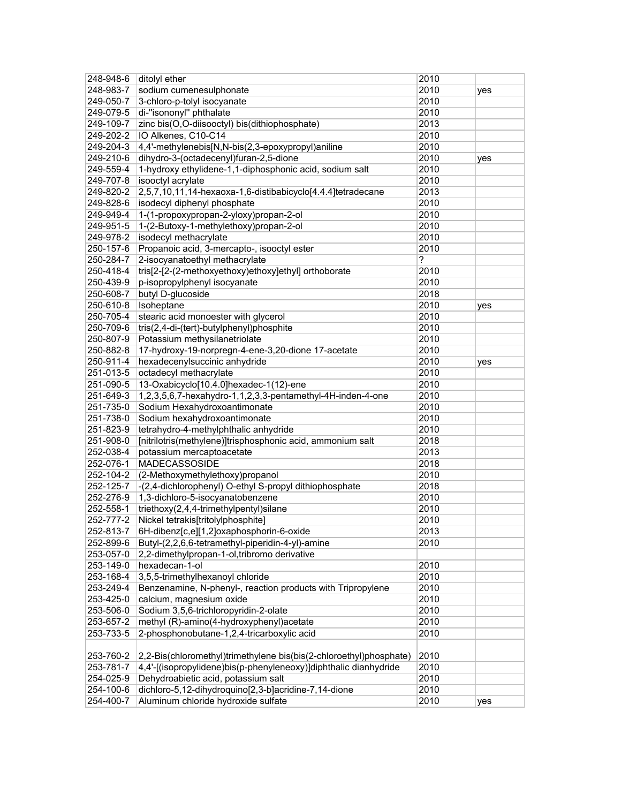| 248-948-6 | ditolyl ether                                                      | 2010 |     |
|-----------|--------------------------------------------------------------------|------|-----|
| 248-983-7 | sodium cumenesulphonate                                            | 2010 | yes |
| 249-050-7 | 3-chloro-p-tolyl isocyanate                                        | 2010 |     |
| 249-079-5 | di-"isononyl" phthalate                                            | 2010 |     |
| 249-109-7 | zinc bis(O,O-diisooctyl) bis(dithiophosphate)                      | 2013 |     |
| 249-202-2 | IO Alkenes, C10-C14                                                | 2010 |     |
| 249-204-3 | 4,4'-methylenebis[N,N-bis(2,3-epoxypropyl)aniline                  | 2010 |     |
| 249-210-6 | dihydro-3-(octadecenyl)furan-2,5-dione                             | 2010 | yes |
| 249-559-4 | 1-hydroxy ethylidene-1,1-diphosphonic acid, sodium salt            | 2010 |     |
| 249-707-8 | isooctyl acrylate                                                  | 2010 |     |
| 249-820-2 | 2,5,7,10,11,14-hexaoxa-1,6-distibabicyclo[4.4.4]tetradecane        | 2013 |     |
| 249-828-6 | isodecyl diphenyl phosphate                                        | 2010 |     |
| 249-949-4 | 1-(1-propoxypropan-2-yloxy)propan-2-ol                             | 2010 |     |
| 249-951-5 | 1-(2-Butoxy-1-methylethoxy)propan-2-ol                             | 2010 |     |
| 249-978-2 | isodecyl methacrylate                                              | 2010 |     |
| 250-157-6 | Propanoic acid, 3-mercapto-, isooctyl ester                        | 2010 |     |
| 250-284-7 | 2-isocyanatoethyl methacrylate                                     | ?    |     |
| 250-418-4 | tris[2-[2-(2-methoxyethoxy)ethoxy]ethyl] orthoborate               | 2010 |     |
|           |                                                                    | 2010 |     |
| 250-439-9 | p-isopropylphenyl isocyanate                                       |      |     |
| 250-608-7 | butyl D-glucoside                                                  | 2018 |     |
| 250-610-8 | Isoheptane                                                         | 2010 | yes |
| 250-705-4 | stearic acid monoester with glycerol                               | 2010 |     |
| 250-709-6 | tris(2,4-di-(tert)-butylphenyl)phosphite                           | 2010 |     |
| 250-807-9 | Potassium methysilanetriolate                                      | 2010 |     |
| 250-882-8 | 17-hydroxy-19-norpregn-4-ene-3,20-dione 17-acetate                 | 2010 |     |
| 250-911-4 | hexadecenylsuccinic anhydride                                      | 2010 | yes |
| 251-013-5 | octadecyl methacrylate                                             | 2010 |     |
| 251-090-5 | 13-Oxabicyclo[10.4.0]hexadec-1(12)-ene                             | 2010 |     |
| 251-649-3 | 1,2,3,5,6,7-hexahydro-1,1,2,3,3-pentamethyl-4H-inden-4-one         | 2010 |     |
| 251-735-0 | Sodium Hexahydroxoantimonate                                       | 2010 |     |
| 251-738-0 | Sodium hexahydroxoantimonate                                       | 2010 |     |
| 251-823-9 | tetrahydro-4-methylphthalic anhydride                              | 2010 |     |
| 251-908-0 | [nitrilotris(methylene)]trisphosphonic acid, ammonium salt         | 2018 |     |
| 252-038-4 | potassium mercaptoacetate                                          | 2013 |     |
| 252-076-1 | MADECASSOSIDE                                                      | 2018 |     |
| 252-104-2 | (2-Methoxymethylethoxy)propanol                                    | 2010 |     |
| 252-125-7 | -(2,4-dichlorophenyl) O-ethyl S-propyl dithiophosphate             | 2018 |     |
| 252-276-9 | 1,3-dichloro-5-isocyanatobenzene                                   | 2010 |     |
| 252-558-1 | triethoxy(2,4,4-trimethylpentyl)silane                             | 2010 |     |
| 252-777-2 | Nickel tetrakis[tritolylphosphite]                                 | 2010 |     |
| 252-813-7 | 6H-dibenz[c,e][1,2]oxaphosphorin-6-oxide                           | 2013 |     |
| 252-899-6 | Butyl-(2,2,6,6-tetramethyl-piperidin-4-yl)-amine                   | 2010 |     |
| 253-057-0 | 2,2-dimethylpropan-1-ol, tribromo derivative                       |      |     |
| 253-149-0 | hexadecan-1-ol                                                     | 2010 |     |
| 253-168-4 | 3,5,5-trimethylhexanoyl chloride                                   | 2010 |     |
| 253-249-4 | Benzenamine, N-phenyl-, reaction products with Tripropylene        | 2010 |     |
| 253-425-0 | calcium, magnesium oxide                                           | 2010 |     |
| 253-506-0 | Sodium 3,5,6-trichloropyridin-2-olate                              | 2010 |     |
| 253-657-2 | methyl (R)-amino(4-hydroxyphenyl)acetate                           | 2010 |     |
| 253-733-5 | 2-phosphonobutane-1,2,4-tricarboxylic acid                         | 2010 |     |
|           |                                                                    |      |     |
| 253-760-2 | 2,2-Bis(chloromethyl)trimethylene bis(bis(2-chloroethyl)phosphate) | 2010 |     |
| 253-781-7 | 4,4'-[(isopropylidene)bis(p-phenyleneoxy)]diphthalic dianhydride   | 2010 |     |
| 254-025-9 | Dehydroabietic acid, potassium salt                                | 2010 |     |
| 254-100-6 | dichloro-5,12-dihydroquino[2,3-b]acridine-7,14-dione               | 2010 |     |
| 254-400-7 | Aluminum chloride hydroxide sulfate                                | 2010 | yes |
|           |                                                                    |      |     |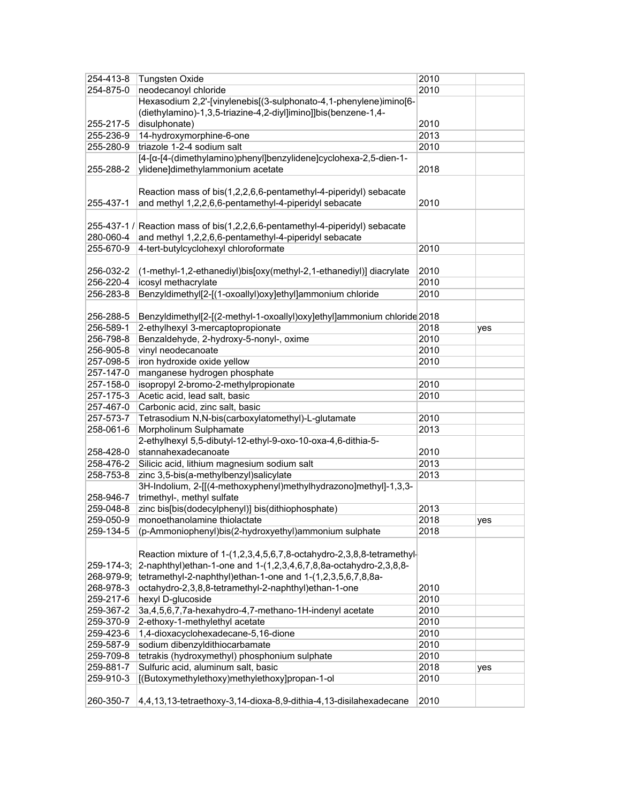| 254-413-8 | <b>Tungsten Oxide</b>                                                        | 2010 |     |
|-----------|------------------------------------------------------------------------------|------|-----|
| 254-875-0 | neodecanoyl chloride                                                         | 2010 |     |
|           | Hexasodium 2,2'-[vinylenebis[(3-sulphonato-4,1-phenylene)imino[6-            |      |     |
|           | (diethylamino)-1,3,5-triazine-4,2-diyl]imino]]bis(benzene-1,4-               |      |     |
| 255-217-5 | disulphonate)                                                                | 2010 |     |
| 255-236-9 | 14-hydroxymorphine-6-one                                                     | 2013 |     |
| 255-280-9 | triazole 1-2-4 sodium salt                                                   | 2010 |     |
|           | [4-[α-[4-(dimethylamino)phenyl]benzylidene]cyclohexa-2,5-dien-1-             |      |     |
| 255-288-2 | ylidene]dimethylammonium acetate                                             | 2018 |     |
|           |                                                                              |      |     |
|           | Reaction mass of bis(1,2,2,6,6-pentamethyl-4-piperidyl) sebacate             |      |     |
| 255-437-1 | and methyl 1,2,2,6,6-pentamethyl-4-piperidyl sebacate                        | 2010 |     |
|           |                                                                              |      |     |
|           | 255-437-1 / Reaction mass of bis(1,2,2,6,6-pentamethyl-4-piperidyl) sebacate |      |     |
| 280-060-4 | and methyl 1,2,2,6,6-pentamethyl-4-piperidyl sebacate                        |      |     |
| 255-670-9 | 4-tert-butylcyclohexyl chloroformate                                         | 2010 |     |
|           |                                                                              |      |     |
| 256-032-2 | (1-methyl-1,2-ethanediyl)bis[oxy(methyl-2,1-ethanediyl)] diacrylate          | 2010 |     |
| 256-220-4 | icosyl methacrylate                                                          | 2010 |     |
| 256-283-8 | Benzyldimethyl[2-[(1-oxoallyl)oxy]ethyl]ammonium chloride                    | 2010 |     |
|           |                                                                              |      |     |
| 256-288-5 | Benzyldimethyl[2-[(2-methyl-1-oxoallyl)oxy]ethyl]ammonium chloride 2018      |      |     |
| 256-589-1 | 2-ethylhexyl 3-mercaptopropionate                                            | 2018 | yes |
| 256-798-8 | Benzaldehyde, 2-hydroxy-5-nonyl-, oxime                                      | 2010 |     |
| 256-905-8 | vinyl neodecanoate                                                           | 2010 |     |
| 257-098-5 | iron hydroxide oxide yellow                                                  | 2010 |     |
| 257-147-0 | manganese hydrogen phosphate                                                 |      |     |
| 257-158-0 | isopropyl 2-bromo-2-methylpropionate                                         | 2010 |     |
| 257-175-3 | Acetic acid, lead salt, basic                                                | 2010 |     |
| 257-467-0 | Carbonic acid, zinc salt, basic                                              |      |     |
| 257-573-7 | Tetrasodium N,N-bis(carboxylatomethyl)-L-glutamate                           | 2010 |     |
| 258-061-6 | Morpholinum Sulphamate                                                       | 2013 |     |
|           | 2-ethylhexyl 5,5-dibutyl-12-ethyl-9-oxo-10-oxa-4,6-dithia-5-                 |      |     |
| 258-428-0 | stannahexadecanoate                                                          | 2010 |     |
| 258-476-2 | Silicic acid, lithium magnesium sodium salt                                  | 2013 |     |
| 258-753-8 | zinc 3,5-bis(a-methylbenzyl)salicylate                                       | 2013 |     |
|           | 3H-Indolium, 2-[[(4-methoxyphenyl)methylhydrazono]methyl]-1,3,3-             |      |     |
| 258-946-7 | trimethyl-, methyl sulfate                                                   |      |     |
| 259-048-8 | zinc bis[bis(dodecylphenyl)] bis(dithiophosphate)                            | 2013 |     |
| 259-050-9 | monoethanolamine thiolactate                                                 | 2018 | yes |
| 259-134-5 | (p-Ammoniophenyl)bis(2-hydroxyethyl)ammonium sulphate                        | 2018 |     |
|           |                                                                              |      |     |
|           | Reaction mixture of 1-(1,2,3,4,5,6,7,8-octahydro-2,3,8,8-tetramethyl-        |      |     |
|           | 259-174-3; 2-naphthyl)ethan-1-one and 1-(1,2,3,4,6,7,8,8a-octahydro-2,3,8,8- |      |     |
|           | 268-979-9;   tetramethyl-2-naphthyl) ethan-1-one and 1-(1,2,3,5,6,7,8,8a-    |      |     |
| 268-978-3 | octahydro-2,3,8,8-tetramethyl-2-naphthyl)ethan-1-one                         | 2010 |     |
| 259-217-6 | hexyl D-glucoside                                                            | 2010 |     |
| 259-367-2 | 3a, 4, 5, 6, 7, 7a-hexahydro-4, 7-methano-1H-indenyl acetate                 | 2010 |     |
| 259-370-9 | 2-ethoxy-1-methylethyl acetate                                               | 2010 |     |
| 259-423-6 | 1,4-dioxacyclohexadecane-5,16-dione                                          | 2010 |     |
| 259-587-9 | sodium dibenzyldithiocarbamate                                               | 2010 |     |
| 259-709-8 | tetrakis (hydroxymethyl) phosphonium sulphate                                | 2010 |     |
| 259-881-7 | Sulfuric acid, aluminum salt, basic                                          | 2018 | yes |
| 259-910-3 | [(Butoxymethylethoxy)methylethoxy]propan-1-ol                                | 2010 |     |
|           |                                                                              |      |     |
| 260-350-7 | 4,4,13,13-tetraethoxy-3,14-dioxa-8,9-dithia-4,13-disilahexadecane            | 2010 |     |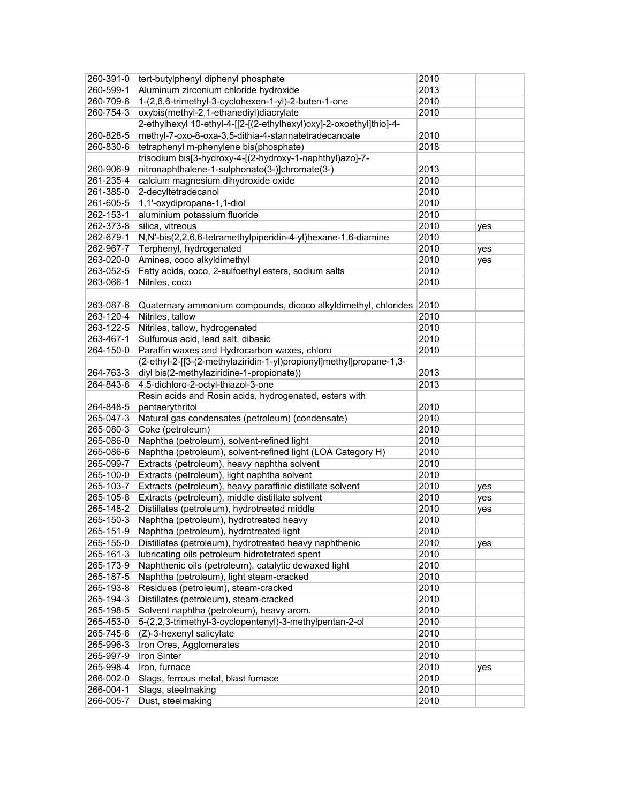| 260-391-0 | tert-butylphenyl diphenyl phosphate                                 | 2010 |     |
|-----------|---------------------------------------------------------------------|------|-----|
| 260-599-1 | Aluminum zirconium chloride hydroxide                               | 2013 |     |
| 260-709-8 | 1-(2,6,6-trimethyl-3-cyclohexen-1-yl)-2-buten-1-one                 | 2010 |     |
| 260-754-3 | oxybis(methyl-2,1-ethanediyl)diacrylate                             | 2010 |     |
|           | 2-ethylhexyl 10-ethyl-4-[[2-[(2-ethylhexyl)oxy]-2-oxoethyl]thio]-4- |      |     |
| 260-828-5 | methyl-7-oxo-8-oxa-3,5-dithia-4-stannatetradecanoate                | 2010 |     |
| 260-830-6 | tetraphenyl m-phenylene bis(phosphate)                              | 2018 |     |
|           | trisodium bis[3-hydroxy-4-[(2-hydroxy-1-naphthyl)azo]-7-            |      |     |
| 260-906-9 | nitronaphthalene-1-sulphonato(3-)]chromate(3-)                      | 2013 |     |
| 261-235-4 | calcium magnesium dihydroxide oxide                                 | 2010 |     |
| 261-385-0 | 2-decyltetradecanol                                                 | 2010 |     |
| 261-605-5 | 1,1'-oxydipropane-1,1-diol                                          | 2010 |     |
| 262-153-1 | aluminium potassium fluoride                                        | 2010 |     |
| 262-373-8 | silica, vitreous                                                    | 2010 | yes |
| 262-679-1 | N,N'-bis(2,2,6,6-tetramethylpiperidin-4-yl)hexane-1,6-diamine       | 2010 |     |
| 262-967-7 | Terphenyl, hydrogenated                                             | 2010 | yes |
| 263-020-0 | Amines, coco alkyldimethyl                                          | 2010 | yes |
| 263-052-5 | Fatty acids, coco, 2-sulfoethyl esters, sodium salts                | 2010 |     |
| 263-066-1 | Nitriles, coco                                                      | 2010 |     |
|           |                                                                     |      |     |
| 263-087-6 | Quaternary ammonium compounds, dicoco alkyldimethyl, chlorides      | 2010 |     |
| 263-120-4 | Nitriles, tallow                                                    | 2010 |     |
| 263-122-5 | Nitriles, tallow, hydrogenated                                      | 2010 |     |
| 263-467-1 | Sulfurous acid, lead salt, dibasic                                  | 2010 |     |
| 264-150-0 | Paraffin waxes and Hydrocarbon waxes, chloro                        | 2010 |     |
|           | (2-ethyl-2-[[3-(2-methylaziridin-1-yl)propionyl]methyl]propane-1,3- |      |     |
| 264-763-3 | diyl bis(2-methylaziridine-1-propionate))                           | 2013 |     |
| 264-843-8 | 4,5-dichloro-2-octyl-thiazol-3-one                                  | 2013 |     |
|           | Resin acids and Rosin acids, hydrogenated, esters with              |      |     |
| 264-848-5 | pentaerythritol                                                     | 2010 |     |
| 265-047-3 | Natural gas condensates (petroleum) (condensate)                    | 2010 |     |
| 265-080-3 | Coke (petroleum)                                                    | 2010 |     |
| 265-086-0 | Naphtha (petroleum), solvent-refined light                          | 2010 |     |
| 265-086-6 | Naphtha (petroleum), solvent-refined light (LOA Category H)         | 2010 |     |
| 265-099-7 | Extracts (petroleum), heavy naphtha solvent                         | 2010 |     |
| 265-100-0 | Extracts (petroleum), light naphtha solvent                         | 2010 |     |
| 265-103-7 | Extracts (petroleum), heavy paraffinic distillate solvent           | 2010 | yes |
| 265-105-8 | Extracts (petroleum), middle distillate solvent                     | 2010 | yes |
| 265-148-2 | Distillates (petroleum), hydrotreated middle                        | 2010 | yes |
| 265-150-3 | Naphtha (petroleum), hydrotreated heavy                             | 2010 |     |
| 265-151-9 | Naphtha (petroleum), hydrotreated light                             | 2010 |     |
| 265-155-0 | Distillates (petroleum), hydrotreated heavy naphthenic              | 2010 | yes |
| 265-161-3 | lubricating oils petroleum hidrotetrated spent                      | 2010 |     |
| 265-173-9 | Naphthenic oils (petroleum), catalytic dewaxed light                | 2010 |     |
| 265-187-5 | Naphtha (petroleum), light steam-cracked                            | 2010 |     |
| 265-193-8 | Residues (petroleum), steam-cracked                                 | 2010 |     |
| 265-194-3 | Distillates (petroleum), steam-cracked                              | 2010 |     |
| 265-198-5 | Solvent naphtha (petroleum), heavy arom.                            | 2010 |     |
| 265-453-0 | 5-(2,2,3-trimethyl-3-cyclopentenyl)-3-methylpentan-2-ol             | 2010 |     |
| 265-745-8 | (Z)-3-hexenyl salicylate                                            | 2010 |     |
| 265-996-3 | Iron Ores, Agglomerates                                             | 2010 |     |
| 265-997-9 | Iron Sinter                                                         | 2010 |     |
| 265-998-4 | Iron, furnace                                                       | 2010 | yes |
| 266-002-0 | Slags, ferrous metal, blast furnace                                 | 2010 |     |
| 266-004-1 | Slags, steelmaking                                                  | 2010 |     |
| 266-005-7 | Dust, steelmaking                                                   | 2010 |     |
|           |                                                                     |      |     |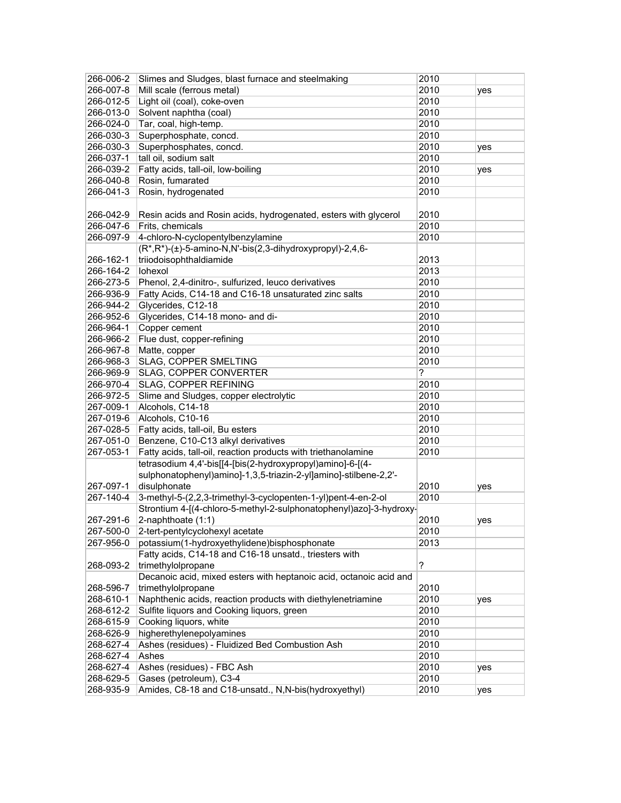| 266-006-2              | Slimes and Sludges, blast furnace and steelmaking                  | 2010         |     |
|------------------------|--------------------------------------------------------------------|--------------|-----|
| 266-007-8              | Mill scale (ferrous metal)                                         | 2010         | yes |
| 266-012-5              | Light oil (coal), coke-oven                                        | 2010         |     |
| 266-013-0              | Solvent naphtha (coal)                                             | 2010         |     |
| 266-024-0              | Tar, coal, high-temp.                                              | 2010         |     |
| 266-030-3              | Superphosphate, concd.                                             | 2010         |     |
| 266-030-3              | Superphosphates, concd.                                            | 2010         | yes |
| 266-037-1              | tall oil, sodium salt                                              | 2010         |     |
| 266-039-2              | Fatty acids, tall-oil, low-boiling                                 | 2010         | yes |
| 266-040-8              | Rosin, fumarated                                                   | 2010         |     |
| 266-041-3              | Rosin, hydrogenated                                                | 2010         |     |
|                        |                                                                    |              |     |
| 266-042-9              | Resin acids and Rosin acids, hydrogenated, esters with glycerol    | 2010         |     |
| 266-047-6              | Frits, chemicals                                                   | 2010         |     |
| 266-097-9              | 4-chloro-N-cyclopentylbenzylamine                                  | 2010         |     |
|                        | $(R^*, R^*)$ -(±)-5-amino-N,N'-bis(2,3-dihydroxypropyl)-2,4,6-     |              |     |
| 266-162-1              | triiodoisophthaldiamide                                            | 2013         |     |
| 266-164-2              | lohexol                                                            | 2013         |     |
| 266-273-5              | Phenol, 2,4-dinitro-, sulfurized, leuco derivatives                | 2010         |     |
| 266-936-9              | Fatty Acids, C14-18 and C16-18 unsaturated zinc salts              | 2010         |     |
| 266-944-2              | Glycerides, C12-18                                                 | 2010         |     |
| 266-952-6              | Glycerides, C14-18 mono- and di-                                   | 2010         |     |
| 266-964-1              | Copper cement                                                      | 2010         |     |
| 266-966-2              | Flue dust, copper-refining                                         | 2010         |     |
| 266-967-8              | Matte, copper                                                      | 2010         |     |
| 266-968-3              | <b>SLAG, COPPER SMELTING</b>                                       | 2010         |     |
| 266-969-9              | SLAG, COPPER CONVERTER                                             | ?            |     |
| 266-970-4              | SLAG, COPPER REFINING                                              | 2010         |     |
| 266-972-5              | Slime and Sludges, copper electrolytic                             | 2010         |     |
| 267-009-1              | Alcohols, C14-18                                                   | 2010         |     |
| 267-019-6              | Alcohols, C10-16                                                   | 2010         |     |
| 267-028-5              | Fatty acids, tall-oil, Bu esters                                   | 2010         |     |
| 267-051-0              | Benzene, C10-C13 alkyl derivatives                                 | 2010         |     |
| 267-053-1              | Fatty acids, tall-oil, reaction products with triethanolamine      | 2010         |     |
|                        | tetrasodium 4,4'-bis[[4-[bis(2-hydroxypropyl)amino]-6-[(4-         |              |     |
|                        | sulphonatophenyl)amino]-1,3,5-triazin-2-yl]amino]-stilbene-2,2'-   |              |     |
| 267-097-1              | disulphonate                                                       | 2010         | yes |
| 267-140-4              | 3-methyl-5-(2,2,3-trimethyl-3-cyclopenten-1-yl)pent-4-en-2-ol      | 2010         |     |
|                        | Strontium 4-[(4-chloro-5-methyl-2-sulphonatophenyl)azo]-3-hydroxy- |              |     |
| 267-291-6              | 2-naphthoate (1:1)                                                 | 2010         | yes |
| 267-500-0              | 2-tert-pentylcyclohexyl acetate                                    | 2010         |     |
| 267-956-0              | potassium(1-hydroxyethylidene)bisphosphonate                       | 2013         |     |
|                        | Fatty acids, C14-18 and C16-18 unsatd., triesters with             |              |     |
| 268-093-2              | trimethylolpropane                                                 | ?            |     |
|                        | Decanoic acid, mixed esters with heptanoic acid, octanoic acid and |              |     |
| 268-596-7              | trimethylolpropane                                                 | 2010         |     |
| 268-610-1              | Naphthenic acids, reaction products with diethylenetriamine        | 2010         |     |
| 268-612-2              | Sulfite liquors and Cooking liquors, green                         | 2010         | yes |
| 268-615-9              | Cooking liquors, white                                             | 2010         |     |
| 268-626-9              | higherethylenepolyamines                                           | 2010         |     |
| 268-627-4              | Ashes (residues) - Fluidized Bed Combustion Ash                    | 2010         |     |
|                        |                                                                    |              |     |
| 268-627-4              | Ashes                                                              | 2010         |     |
| 268-627-4<br>268-629-5 | Ashes (residues) - FBC Ash                                         | 2010<br>2010 | yes |
| 268-935-9              | Gases (petroleum), C3-4                                            |              |     |
|                        | Amides, C8-18 and C18-unsatd., N,N-bis(hydroxyethyl)               | 2010         | yes |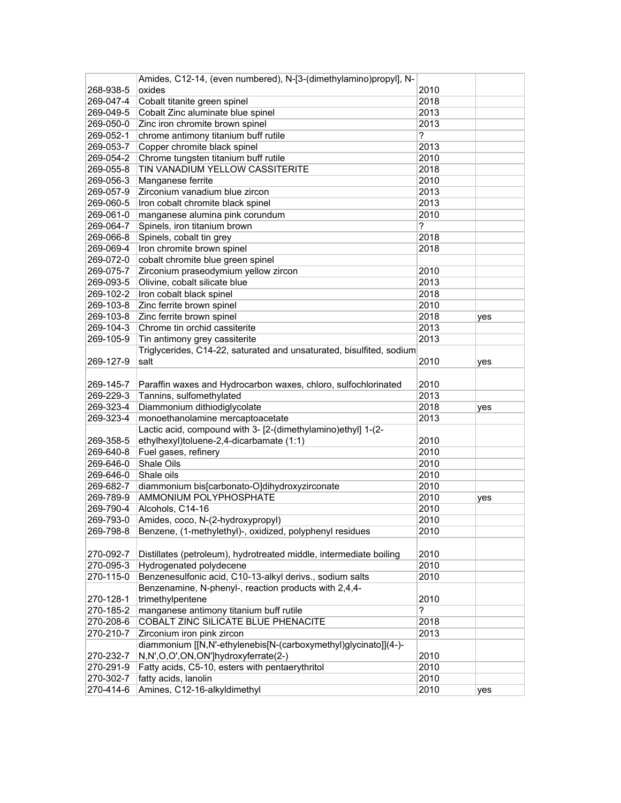|                        | Amides, C12-14, (even numbered), N-[3-(dimethylamino)propyl], N-                           |              |     |
|------------------------|--------------------------------------------------------------------------------------------|--------------|-----|
| 268-938-5              | oxides                                                                                     | 2010         |     |
| 269-047-4              | Cobalt titanite green spinel                                                               | 2018         |     |
| 269-049-5              | Cobalt Zinc aluminate blue spinel                                                          | 2013         |     |
| 269-050-0              | Zinc iron chromite brown spinel                                                            | 2013         |     |
| 269-052-1              | chrome antimony titanium buff rutile                                                       | ?            |     |
| 269-053-7              | Copper chromite black spinel                                                               | 2013         |     |
| 269-054-2              | Chrome tungsten titanium buff rutile                                                       | 2010         |     |
| 269-055-8              | TIN VANADIUM YELLOW CASSITERITE                                                            | 2018         |     |
| 269-056-3              | Manganese ferrite                                                                          | 2010         |     |
| 269-057-9              | Zirconium vanadium blue zircon                                                             | 2013         |     |
| 269-060-5              | Iron cobalt chromite black spinel                                                          | 2013         |     |
| 269-061-0              | manganese alumina pink corundum                                                            | 2010         |     |
| 269-064-7              | Spinels, iron titanium brown                                                               | ?            |     |
| 269-066-8              | Spinels, cobalt tin grey                                                                   | 2018         |     |
| 269-069-4              | Iron chromite brown spinel                                                                 | 2018         |     |
| 269-072-0              | cobalt chromite blue green spinel                                                          |              |     |
| 269-075-7              | Zirconium praseodymium yellow zircon                                                       | 2010         |     |
| 269-093-5              | Olivine, cobalt silicate blue                                                              | 2013         |     |
| 269-102-2              | Iron cobalt black spinel                                                                   | 2018         |     |
| 269-103-8              | Zinc ferrite brown spinel                                                                  | 2010         |     |
| 269-103-8              | Zinc ferrite brown spinel                                                                  | 2018         | yes |
| 269-104-3              | Chrome tin orchid cassiterite                                                              | 2013         |     |
| 269-105-9              | Tin antimony grey cassiterite                                                              | 2013         |     |
|                        | Triglycerides, C14-22, saturated and unsaturated, bisulfited, sodium                       |              |     |
| 269-127-9              | salt                                                                                       | 2010         |     |
|                        |                                                                                            |              | yes |
|                        |                                                                                            |              |     |
| 269-145-7<br>269-229-3 | Paraffin waxes and Hydrocarbon waxes, chloro, sulfochlorinated<br>Tannins, sulfomethylated | 2010<br>2013 |     |
|                        |                                                                                            |              |     |
| 269-323-4              | Diammonium dithiodiglycolate                                                               | 2018<br>2013 | yes |
| 269-323-4              | monoethanolamine mercaptoacetate                                                           |              |     |
|                        | Lactic acid, compound with 3- [2-(dimethylamino)ethyl] 1-(2-                               |              |     |
| 269-358-5              | ethylhexyl)toluene-2,4-dicarbamate (1:1)                                                   | 2010         |     |
| 269-640-8              | Fuel gases, refinery                                                                       | 2010         |     |
| 269-646-0              | Shale Oils                                                                                 | 2010         |     |
| 269-646-0              | Shale oils                                                                                 | 2010         |     |
| 269-682-7              | diammonium bis[carbonato-O]dihydroxyzirconate                                              | 2010         |     |
| 269-789-9              | AMMONIUM POLYPHOSPHATE                                                                     | 2010         | yes |
| 269-790-4              | Alcohols, C14-16                                                                           | 2010         |     |
| 269-793-0              | Amides, coco, N-(2-hydroxypropyl)                                                          | 2010         |     |
| 269-798-8              | Benzene, (1-methylethyl)-, oxidized, polyphenyl residues                                   | 2010         |     |
|                        |                                                                                            |              |     |
| 270-092-7              | Distillates (petroleum), hydrotreated middle, intermediate boiling                         | 2010         |     |
| 270-095-3              | Hydrogenated polydecene                                                                    | 2010         |     |
| 270-115-0              | Benzenesulfonic acid, C10-13-alkyl derivs., sodium salts                                   | 2010         |     |
|                        | Benzenamine, N-phenyl-, reaction products with 2,4,4-                                      |              |     |
| 270-128-1              | trimethylpentene                                                                           | 2010         |     |
| 270-185-2              | manganese antimony titanium buff rutile                                                    | ?            |     |
| 270-208-6              | COBALT ZINC SILICATE BLUE PHENACITE                                                        | 2018         |     |
| 270-210-7              | Zirconium iron pink zircon                                                                 | 2013         |     |
|                        | diammonium [[N,N'-ethylenebis[N-(carboxymethyl)glycinato]](4-)-                            |              |     |
| 270-232-7              | N,N',O,O',ON,ON']hydroxyferrate(2-)                                                        | 2010         |     |
| 270-291-9              | Fatty acids, C5-10, esters with pentaerythritol                                            | 2010         |     |
| 270-302-7              | fatty acids, lanolin                                                                       | 2010         |     |
| 270-414-6              | Amines, C12-16-alkyldimethyl                                                               | 2010         | yes |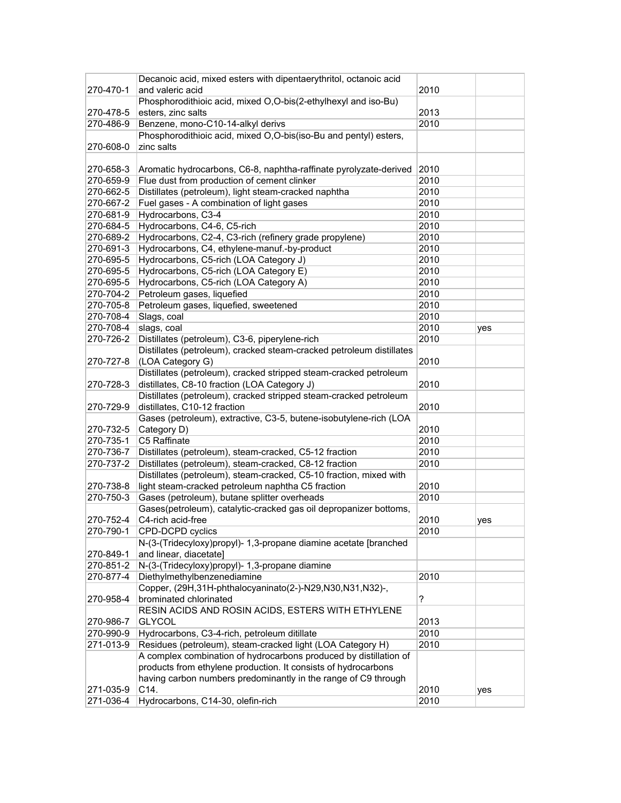|           | Decanoic acid, mixed esters with dipentaerythritol, octanoic acid    |      |     |
|-----------|----------------------------------------------------------------------|------|-----|
| 270-470-1 | and valeric acid                                                     | 2010 |     |
|           | Phosphorodithioic acid, mixed O,O-bis(2-ethylhexyl and iso-Bu)       |      |     |
| 270-478-5 | esters, zinc salts                                                   | 2013 |     |
| 270-486-9 | Benzene, mono-C10-14-alkyl derivs                                    | 2010 |     |
|           | Phosphorodithioic acid, mixed O,O-bis(iso-Bu and pentyl) esters,     |      |     |
| 270-608-0 | zinc salts                                                           |      |     |
| 270-658-3 | Aromatic hydrocarbons, C6-8, naphtha-raffinate pyrolyzate-derived    | 2010 |     |
| 270-659-9 | Flue dust from production of cement clinker                          | 2010 |     |
| 270-662-5 | Distillates (petroleum), light steam-cracked naphtha                 | 2010 |     |
| 270-667-2 | Fuel gases - A combination of light gases                            | 2010 |     |
| 270-681-9 | Hydrocarbons, C3-4                                                   | 2010 |     |
| 270-684-5 | Hydrocarbons, C4-6, C5-rich                                          | 2010 |     |
| 270-689-2 | Hydrocarbons, C2-4, C3-rich (refinery grade propylene)               | 2010 |     |
| 270-691-3 | Hydrocarbons, C4, ethylene-manuf.-by-product                         | 2010 |     |
| 270-695-5 | Hydrocarbons, C5-rich (LOA Category J)                               | 2010 |     |
| 270-695-5 | Hydrocarbons, C5-rich (LOA Category E)                               | 2010 |     |
| 270-695-5 | Hydrocarbons, C5-rich (LOA Category A)                               | 2010 |     |
| 270-704-2 | Petroleum gases, liquefied                                           | 2010 |     |
| 270-705-8 | Petroleum gases, liquefied, sweetened                                | 2010 |     |
| 270-708-4 | Slags, coal                                                          | 2010 |     |
| 270-708-4 | slags, coal                                                          | 2010 | yes |
| 270-726-2 | Distillates (petroleum), C3-6, piperylene-rich                       | 2010 |     |
|           | Distillates (petroleum), cracked steam-cracked petroleum distillates |      |     |
| 270-727-8 | (LOA Category G)                                                     | 2010 |     |
|           | Distillates (petroleum), cracked stripped steam-cracked petroleum    |      |     |
| 270-728-3 | distillates, C8-10 fraction (LOA Category J)                         | 2010 |     |
|           | Distillates (petroleum), cracked stripped steam-cracked petroleum    |      |     |
| 270-729-9 | distillates, C10-12 fraction                                         | 2010 |     |
|           | Gases (petroleum), extractive, C3-5, butene-isobutylene-rich (LOA    |      |     |
| 270-732-5 | Category D)                                                          | 2010 |     |
| 270-735-1 | C5 Raffinate                                                         | 2010 |     |
| 270-736-7 | Distillates (petroleum), steam-cracked, C5-12 fraction               | 2010 |     |
| 270-737-2 | Distillates (petroleum), steam-cracked, C8-12 fraction               | 2010 |     |
|           | Distillates (petroleum), steam-cracked, C5-10 fraction, mixed with   |      |     |
| 270-738-8 | light steam-cracked petroleum naphtha C5 fraction                    | 2010 |     |
| 270-750-3 | Gases (petroleum), butane splitter overheads                         | 2010 |     |
|           | Gases(petroleum), catalytic-cracked gas oil depropanizer bottoms,    |      |     |
| 270-752-4 | C4-rich acid-free                                                    | 2010 | yes |
| 270-790-1 | CPD-DCPD cyclics                                                     | 2010 |     |
|           | N-(3-(Tridecyloxy)propyl)- 1,3-propane diamine acetate [branched     |      |     |
| 270-849-1 | and linear, diacetate]                                               |      |     |
| 270-851-2 | N-(3-(Tridecyloxy)propyl)- 1,3-propane diamine                       |      |     |
| 270-877-4 | Diethylmethylbenzenediamine                                          | 2010 |     |
|           | Copper, (29H, 31H-phthalocyaninato(2-)-N29, N30, N31, N32)-,         |      |     |
| 270-958-4 | brominated chlorinated                                               | ?    |     |
|           | RESIN ACIDS AND ROSIN ACIDS, ESTERS WITH ETHYLENE                    |      |     |
| 270-986-7 | <b>GLYCOL</b>                                                        | 2013 |     |
| 270-990-9 | Hydrocarbons, C3-4-rich, petroleum ditillate                         | 2010 |     |
| 271-013-9 | Residues (petroleum), steam-cracked light (LOA Category H)           | 2010 |     |
|           | A complex combination of hydrocarbons produced by distillation of    |      |     |
|           | products from ethylene production. It consists of hydrocarbons       |      |     |
|           | having carbon numbers predominantly in the range of C9 through       |      |     |
| 271-035-9 | C14.                                                                 | 2010 | yes |
| 271-036-4 | Hydrocarbons, C14-30, olefin-rich                                    | 2010 |     |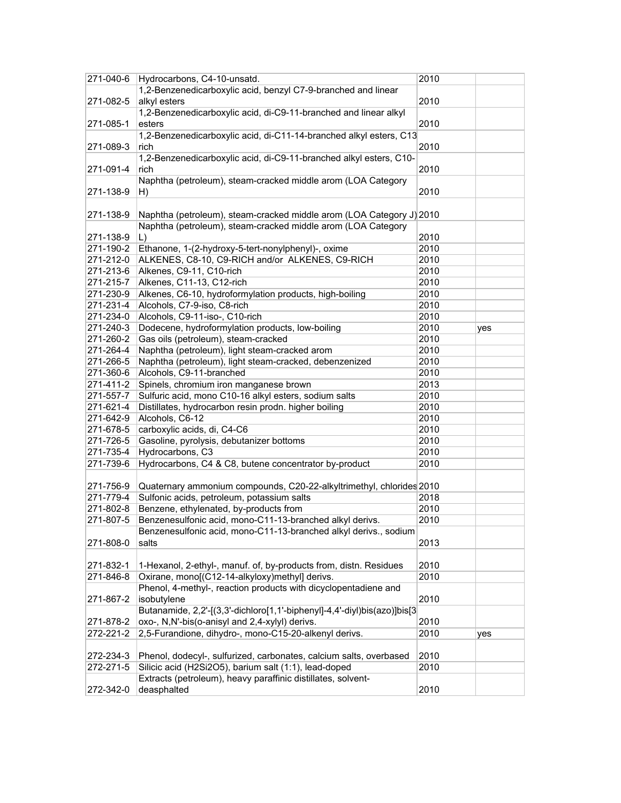| 271-040-6 | Hydrocarbons, C4-10-unsatd.                                              | 2010 |     |
|-----------|--------------------------------------------------------------------------|------|-----|
|           | 1,2-Benzenedicarboxylic acid, benzyl C7-9-branched and linear            |      |     |
| 271-082-5 | alkyl esters                                                             | 2010 |     |
|           | 1,2-Benzenedicarboxylic acid, di-C9-11-branched and linear alkyl         |      |     |
| 271-085-1 | esters                                                                   | 2010 |     |
|           | 1,2-Benzenedicarboxylic acid, di-C11-14-branched alkyl esters, C13       |      |     |
| 271-089-3 | rich                                                                     | 2010 |     |
|           | 1,2-Benzenedicarboxylic acid, di-C9-11-branched alkyl esters, C10-       |      |     |
|           |                                                                          |      |     |
| 271-091-4 | rich<br>Naphtha (petroleum), steam-cracked middle arom (LOA Category     | 2010 |     |
|           |                                                                          |      |     |
| 271-138-9 | H)                                                                       | 2010 |     |
|           |                                                                          |      |     |
| 271-138-9 | Naphtha (petroleum), steam-cracked middle arom (LOA Category J) 2010     |      |     |
|           | Naphtha (petroleum), steam-cracked middle arom (LOA Category             |      |     |
| 271-138-9 | $\lfloor$                                                                | 2010 |     |
| 271-190-2 | Ethanone, 1-(2-hydroxy-5-tert-nonylphenyl)-, oxime                       | 2010 |     |
| 271-212-0 | ALKENES, C8-10, C9-RICH and/or ALKENES, C9-RICH                          | 2010 |     |
| 271-213-6 | Alkenes, C9-11, C10-rich                                                 | 2010 |     |
| 271-215-7 | Alkenes, C11-13, C12-rich                                                | 2010 |     |
| 271-230-9 | Alkenes, C6-10, hydroformylation products, high-boiling                  | 2010 |     |
| 271-231-4 | Alcohols, C7-9-iso, C8-rich                                              | 2010 |     |
| 271-234-0 | Alcohols, C9-11-iso-, C10-rich                                           | 2010 |     |
| 271-240-3 | Dodecene, hydroformylation products, low-boiling                         | 2010 | yes |
| 271-260-2 | Gas oils (petroleum), steam-cracked                                      | 2010 |     |
| 271-264-4 | Naphtha (petroleum), light steam-cracked arom                            | 2010 |     |
| 271-266-5 | Naphtha (petroleum), light steam-cracked, debenzenized                   | 2010 |     |
| 271-360-6 | Alcohols, C9-11-branched                                                 | 2010 |     |
| 271-411-2 | Spinels, chromium iron manganese brown                                   | 2013 |     |
|           |                                                                          | 2010 |     |
| 271-557-7 | Sulfuric acid, mono C10-16 alkyl esters, sodium salts                    |      |     |
| 271-621-4 | Distillates, hydrocarbon resin prodn. higher boiling                     | 2010 |     |
| 271-642-9 | Alcohols, C6-12                                                          | 2010 |     |
| 271-678-5 | carboxylic acids, di, C4-C6                                              | 2010 |     |
| 271-726-5 | Gasoline, pyrolysis, debutanizer bottoms                                 | 2010 |     |
| 271-735-4 | Hydrocarbons, C3                                                         | 2010 |     |
| 271-739-6 | Hydrocarbons, C4 & C8, butene concentrator by-product                    | 2010 |     |
|           |                                                                          |      |     |
| 271-756-9 | Quaternary ammonium compounds, C20-22-alkyltrimethyl, chlorides 2010     |      |     |
| 271-779-4 | Sulfonic acids, petroleum, potassium salts                               | 2018 |     |
| 271-802-8 | Benzene, ethylenated, by-products from                                   | 2010 |     |
| 271-807-5 | Benzenesulfonic acid, mono-C11-13-branched alkyl derivs.                 | 2010 |     |
|           | Benzenesulfonic acid, mono-C11-13-branched alkyl derivs., sodium         |      |     |
| 271-808-0 | salts                                                                    | 2013 |     |
|           |                                                                          |      |     |
| 271-832-1 | 1-Hexanol, 2-ethyl-, manuf. of, by-products from, distn. Residues        | 2010 |     |
| 271-846-8 | Oxirane, mono[(C12-14-alkyloxy)methyl] derivs.                           | 2010 |     |
|           | Phenol, 4-methyl-, reaction products with dicyclopentadiene and          |      |     |
| 271-867-2 | isobutylene                                                              | 2010 |     |
|           | Butanamide, 2,2'-[(3,3'-dichloro[1,1'-biphenyl]-4,4'-diyl)bis(azo)]bis[3 |      |     |
| 271-878-2 | oxo-, N,N'-bis(o-anisyl and 2,4-xylyl) derivs.                           | 2010 |     |
| 272-221-2 | 2,5-Furandione, dihydro-, mono-C15-20-alkenyl derivs.                    | 2010 | yes |
|           |                                                                          |      |     |
|           |                                                                          |      |     |
| 272-234-3 | Phenol, dodecyl-, sulfurized, carbonates, calcium salts, overbased       | 2010 |     |
| 272-271-5 | Silicic acid (H2Si2O5), barium salt (1:1), lead-doped                    | 2010 |     |
|           | Extracts (petroleum), heavy paraffinic distillates, solvent-             |      |     |
| 272-342-0 | deasphalted                                                              | 2010 |     |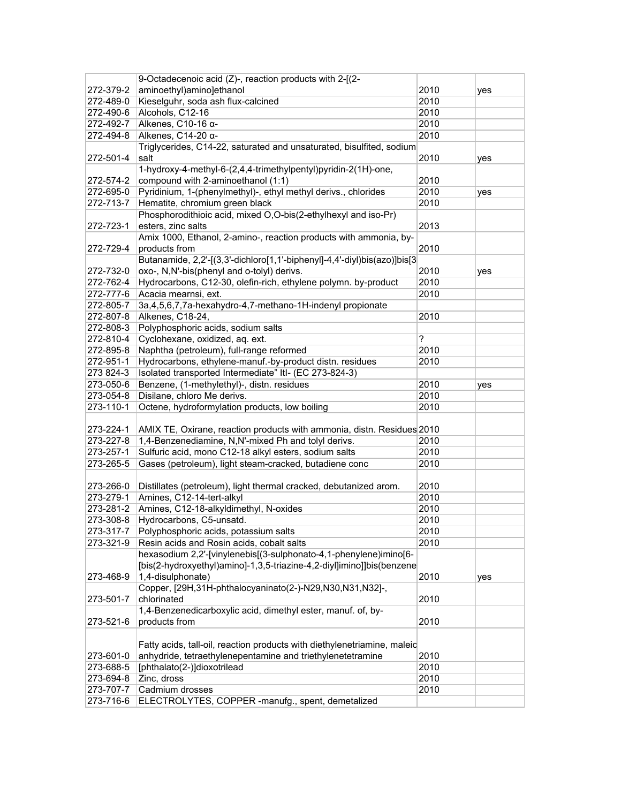|           | 9-Octadecenoic acid (Z)-, reaction products with 2-[(2-                  |      |     |
|-----------|--------------------------------------------------------------------------|------|-----|
| 272-379-2 | aminoethyl)amino]ethanol                                                 | 2010 | yes |
| 272-489-0 | Kieselguhr, soda ash flux-calcined                                       | 2010 |     |
| 272-490-6 | Alcohols, C12-16                                                         | 2010 |     |
| 272-492-7 | Alkenes, C10-16 α-                                                       | 2010 |     |
| 272-494-8 | Alkenes, C14-20 α-                                                       | 2010 |     |
|           | Triglycerides, C14-22, saturated and unsaturated, bisulfited, sodium     |      |     |
| 272-501-4 | salt                                                                     | 2010 | yes |
|           | 1-hydroxy-4-methyl-6-(2,4,4-trimethylpentyl)pyridin-2(1H)-one,           |      |     |
| 272-574-2 | compound with 2-aminoethanol (1:1)                                       | 2010 |     |
| 272-695-0 | Pyridinium, 1-(phenylmethyl)-, ethyl methyl derivs., chlorides           | 2010 | yes |
| 272-713-7 | Hematite, chromium green black                                           | 2010 |     |
|           | Phosphorodithioic acid, mixed O,O-bis(2-ethylhexyl and iso-Pr)           |      |     |
| 272-723-1 | esters, zinc salts                                                       | 2013 |     |
|           | Amix 1000, Ethanol, 2-amino-, reaction products with ammonia, by-        |      |     |
| 272-729-4 | products from                                                            | 2010 |     |
|           | Butanamide, 2,2'-[(3,3'-dichloro[1,1'-biphenyl]-4,4'-diyl)bis(azo)]bis[3 |      |     |
| 272-732-0 | oxo-, N,N'-bis(phenyl and o-tolyl) derivs.                               | 2010 | yes |
| 272-762-4 | Hydrocarbons, C12-30, olefin-rich, ethylene polymn. by-product           | 2010 |     |
| 272-777-6 | Acacia mearnsi, ext.                                                     | 2010 |     |
| 272-805-7 | 3a,4,5,6,7,7a-hexahydro-4,7-methano-1H-indenyl propionate                |      |     |
| 272-807-8 | Alkenes, C18-24,                                                         | 2010 |     |
| 272-808-3 | Polyphosphoric acids, sodium salts                                       |      |     |
| 272-810-4 | Cyclohexane, oxidized, aq. ext.                                          | ?    |     |
| 272-895-8 | Naphtha (petroleum), full-range reformed                                 | 2010 |     |
| 272-951-1 | Hydrocarbons, ethylene-manuf.-by-product distn. residues                 | 2010 |     |
| 273 824-3 | Isolated transported Intermediate" Itl- (EC 273-824-3)                   |      |     |
| 273-050-6 | Benzene, (1-methylethyl)-, distn. residues                               | 2010 | yes |
| 273-054-8 | Disilane, chloro Me derivs.                                              | 2010 |     |
| 273-110-1 | Octene, hydroformylation products, low boiling                           | 2010 |     |
|           |                                                                          |      |     |
| 273-224-1 | AMIX TE, Oxirane, reaction products with ammonia, distn. Residues 2010   |      |     |
| 273-227-8 | 1,4-Benzenediamine, N,N'-mixed Ph and tolyl derivs.                      | 2010 |     |
| 273-257-1 | Sulfuric acid, mono C12-18 alkyl esters, sodium salts                    | 2010 |     |
| 273-265-5 | Gases (petroleum), light steam-cracked, butadiene conc                   | 2010 |     |
|           |                                                                          |      |     |
| 273-266-0 | Distillates (petroleum), light thermal cracked, debutanized arom.        | 2010 |     |
| 273-279-1 | Amines, C12-14-tert-alkyl                                                | 2010 |     |
| 273-281-2 | Amines, C12-18-alkyldimethyl, N-oxides                                   | 2010 |     |
| 273-308-8 | Hydrocarbons, C5-unsatd.                                                 | 2010 |     |
| 273-317-7 | Polyphosphoric acids, potassium salts                                    | 2010 |     |
| 273-321-9 | Resin acids and Rosin acids, cobalt salts                                | 2010 |     |
|           | hexasodium 2,2'-[vinylenebis[(3-sulphonato-4,1-phenylene)imino[6-        |      |     |
|           | [bis(2-hydroxyethyl)amino]-1,3,5-triazine-4,2-diyl]imino]]bis(benzene    |      |     |
| 273-468-9 | 1,4-disulphonate)                                                        | 2010 | yes |
|           | Copper, [29H,31H-phthalocyaninato(2-)-N29,N30,N31,N32]-,                 |      |     |
| 273-501-7 | chlorinated                                                              | 2010 |     |
|           | 1,4-Benzenedicarboxylic acid, dimethyl ester, manuf. of, by-             |      |     |
| 273-521-6 | products from                                                            | 2010 |     |
|           |                                                                          |      |     |
|           | Fatty acids, tall-oil, reaction products with diethylenetriamine, maleic |      |     |
| 273-601-0 | anhydride, tetraethylenepentamine and triethylenetetramine               | 2010 |     |
| 273-688-5 | [phthalato(2-)]dioxotrilead                                              | 2010 |     |
| 273-694-8 | Zinc, dross                                                              | 2010 |     |
| 273-707-7 | Cadmium drosses                                                          | 2010 |     |
| 273-716-6 | ELECTROLYTES, COPPER -manufg., spent, demetalized                        |      |     |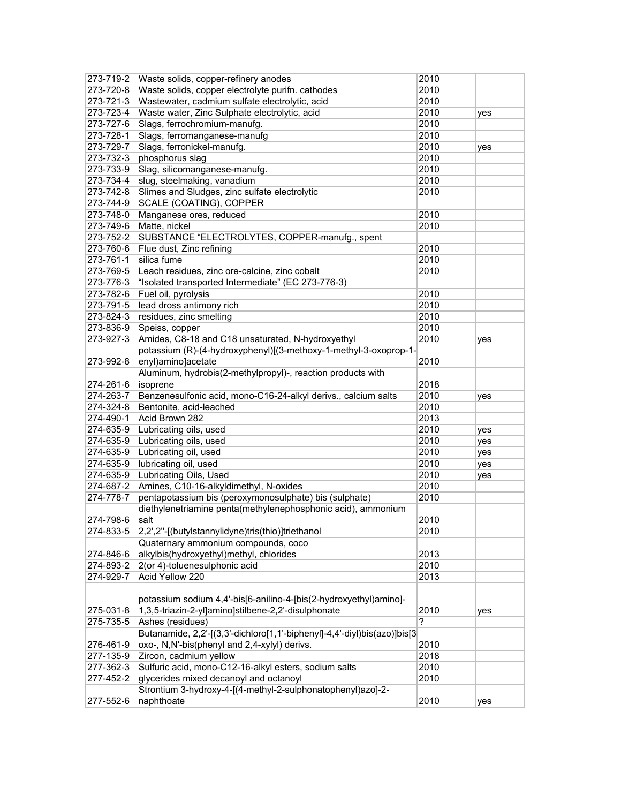| 273-719-2 | Waste solids, copper-refinery anodes                                     | 2010      |     |
|-----------|--------------------------------------------------------------------------|-----------|-----|
| 273-720-8 | Waste solids, copper electrolyte purifn. cathodes                        | 2010      |     |
| 273-721-3 | Wastewater, cadmium sulfate electrolytic, acid                           | 2010      |     |
| 273-723-4 | Waste water, Zinc Sulphate electrolytic, acid                            | 2010      | yes |
| 273-727-6 | Slags, ferrochromium-manufg.                                             | 2010      |     |
| 273-728-1 | Slags, ferromanganese-manufg                                             | 2010      |     |
| 273-729-7 | Slags, ferronickel-manufg.                                               | 2010      | yes |
| 273-732-3 | phosphorus slag                                                          | 2010      |     |
| 273-733-9 | Slag, silicomanganese-manufg.                                            | 2010      |     |
| 273-734-4 | slug, steelmaking, vanadium                                              | 2010      |     |
| 273-742-8 | Slimes and Sludges, zinc sulfate electrolytic                            | 2010      |     |
| 273-744-9 | SCALE (COATING), COPPER                                                  |           |     |
| 273-748-0 | Manganese ores, reduced                                                  | 2010      |     |
| 273-749-6 | Matte, nickel                                                            | 2010      |     |
| 273-752-2 | SUBSTANCE "ELECTROLYTES, COPPER-manufg., spent                           |           |     |
| 273-760-6 | Flue dust, Zinc refining                                                 | 2010      |     |
| 273-761-1 | silica fume                                                              | 2010      |     |
| 273-769-5 | Leach residues, zinc ore-calcine, zinc cobalt                            | 2010      |     |
| 273-776-3 | "Isolated transported Intermediate" (EC 273-776-3)                       |           |     |
| 273-782-6 | Fuel oil, pyrolysis                                                      | 2010      |     |
| 273-791-5 | lead dross antimony rich                                                 | 2010      |     |
| 273-824-3 | residues, zinc smelting                                                  | 2010      |     |
| 273-836-9 | Speiss, copper                                                           | 2010      |     |
| 273-927-3 | Amides, C8-18 and C18 unsaturated, N-hydroxyethyl                        | 2010      | yes |
|           | potassium (R)-(4-hydroxyphenyl)[(3-methoxy-1-methyl-3-oxoprop-1-         |           |     |
| 273-992-8 | enyl)amino]acetate                                                       | 2010      |     |
|           | Aluminum, hydrobis(2-methylpropyl)-, reaction products with              |           |     |
| 274-261-6 | isoprene                                                                 | 2018      |     |
| 274-263-7 | Benzenesulfonic acid, mono-C16-24-alkyl derivs., calcium salts           | 2010      | yes |
| 274-324-8 | Bentonite, acid-leached                                                  | 2010      |     |
| 274-490-1 | Acid Brown 282                                                           | 2013      |     |
| 274-635-9 | Lubricating oils, used                                                   | 2010      | yes |
| 274-635-9 | Lubricating oils, used                                                   | 2010      | yes |
| 274-635-9 | Lubricating oil, used                                                    | 2010      | yes |
| 274-635-9 | lubricating oil, used                                                    | 2010      |     |
| 274-635-9 | Lubricating Oils, Used                                                   | 2010      | yes |
| 274-687-2 | Amines, C10-16-alkyldimethyl, N-oxides                                   | 2010      | yes |
| 274-778-7 | pentapotassium bis (peroxymonosulphate) bis (sulphate)                   | 2010      |     |
|           | diethylenetriamine penta(methylenephosphonic acid), ammonium             |           |     |
| 274-798-6 | salt                                                                     | 2010      |     |
|           | 2,2',2"-[(butylstannylidyne)tris(thio)]triethanol                        |           |     |
| 274-833-5 | Quaternary ammonium compounds, coco                                      | 2010      |     |
| 274-846-6 | alkylbis(hydroxyethyl)methyl, chlorides                                  | 2013      |     |
| 274-893-2 | 2(or 4)-toluenesulphonic acid                                            | 2010      |     |
| 274-929-7 | Acid Yellow 220                                                          | 2013      |     |
|           |                                                                          |           |     |
|           |                                                                          |           |     |
|           | potassium sodium 4,4'-bis[6-anilino-4-[bis(2-hydroxyethyl)amino]-        |           |     |
| 275-031-8 | 1,3,5-triazin-2-yl]amino]stilbene-2,2'-disulphonate                      | 2010<br>? | yes |
| 275-735-5 | Ashes (residues)                                                         |           |     |
|           | Butanamide, 2,2'-[(3,3'-dichloro[1,1'-biphenyl]-4,4'-diyl)bis(azo)]bis[3 |           |     |
| 276-461-9 | oxo-, N,N'-bis(phenyl and 2,4-xylyl) derivs.                             | 2010      |     |
| 277-135-9 | Zircon, cadmium yellow                                                   | 2018      |     |
| 277-362-3 | Sulfuric acid, mono-C12-16-alkyl esters, sodium salts                    | 2010      |     |
| 277-452-2 | glycerides mixed decanoyl and octanoyl                                   | 2010      |     |
| 277-552-6 | Strontium 3-hydroxy-4-[(4-methyl-2-sulphonatophenyl)azo]-2-              |           |     |
|           | naphthoate                                                               | 2010      | yes |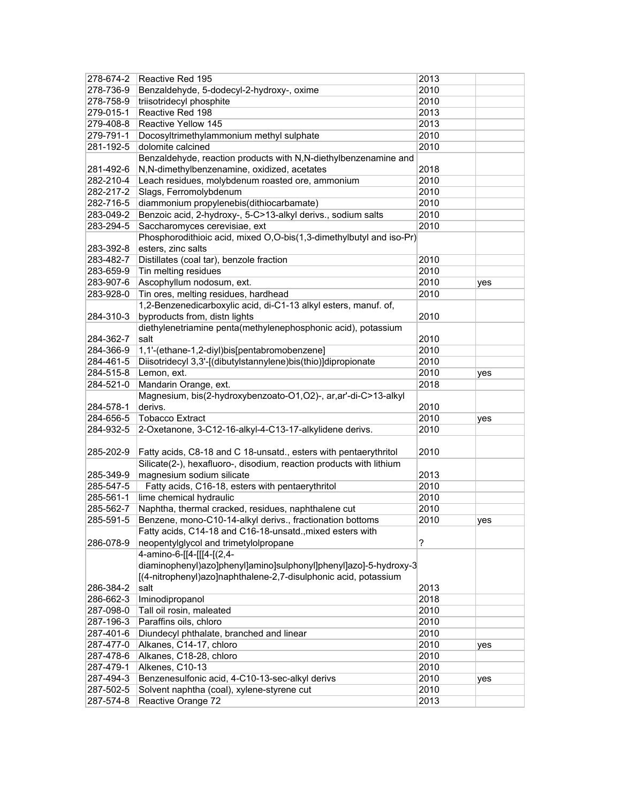| 278-674-2              | Reactive Red 195                                                                         | 2013 |     |
|------------------------|------------------------------------------------------------------------------------------|------|-----|
| 278-736-9              | Benzaldehyde, 5-dodecyl-2-hydroxy-, oxime                                                | 2010 |     |
| 278-758-9              | triisotridecyl phosphite                                                                 | 2010 |     |
| 279-015-1              | Reactive Red 198                                                                         | 2013 |     |
| 279-408-8              | Reactive Yellow 145                                                                      | 2013 |     |
| 279-791-1              | Docosyltrimethylammonium methyl sulphate                                                 | 2010 |     |
| 281-192-5              | dolomite calcined                                                                        | 2010 |     |
|                        | Benzaldehyde, reaction products with N,N-diethylbenzenamine and                          |      |     |
| 281-492-6              | N,N-dimethylbenzenamine, oxidized, acetates                                              | 2018 |     |
| 282-210-4              | Leach residues, molybdenum roasted ore, ammonium                                         | 2010 |     |
| 282-217-2              | Slags, Ferromolybdenum                                                                   | 2010 |     |
| 282-716-5              | diammonium propylenebis(dithiocarbamate)                                                 | 2010 |     |
| 283-049-2              | Benzoic acid, 2-hydroxy-, 5-C>13-alkyl derivs., sodium salts                             | 2010 |     |
| 283-294-5              | Saccharomyces cerevisiae, ext                                                            | 2010 |     |
|                        | Phosphorodithioic acid, mixed O,O-bis(1,3-dimethylbutyl and iso-Pr)                      |      |     |
| 283-392-8              | esters, zinc salts                                                                       |      |     |
| 283-482-7              | Distillates (coal tar), benzole fraction                                                 | 2010 |     |
| 283-659-9              | Tin melting residues                                                                     | 2010 |     |
| 283-907-6              | Ascophyllum nodosum, ext.                                                                | 2010 | yes |
| 283-928-0              | Tin ores, melting residues, hardhead                                                     | 2010 |     |
|                        | 1,2-Benzenedicarboxylic acid, di-C1-13 alkyl esters, manuf. of,                          |      |     |
| 284-310-3              | byproducts from, distn lights                                                            | 2010 |     |
|                        | diethylenetriamine penta(methylenephosphonic acid), potassium                            |      |     |
| 284-362-7              | salt                                                                                     | 2010 |     |
| 284-366-9              | 1,1'-(ethane-1,2-diyl)bis[pentabromobenzene]                                             | 2010 |     |
| 284-461-5              | Diisotridecyl 3,3'-[(dibutylstannylene)bis(thio)]dipropionate                            | 2010 |     |
|                        |                                                                                          | 2010 |     |
| 284-515-8              | Lemon, ext.                                                                              |      | yes |
| 284-521-0              | Mandarin Orange, ext.<br>Magnesium, bis(2-hydroxybenzoato-O1,O2)-, ar, ar'-di-C>13-alkyl | 2018 |     |
|                        | derivs.                                                                                  | 2010 |     |
| 284-578-1              |                                                                                          |      |     |
| 284-656-5              | <b>Tobacco Extract</b>                                                                   | 2010 | yes |
| 284-932-5              | 2-Oxetanone, 3-C12-16-alkyl-4-C13-17-alkylidene derivs.                                  | 2010 |     |
| 285-202-9              | Fatty acids, C8-18 and C 18-unsatd., esters with pentaerythritol                         | 2010 |     |
|                        | Silicate(2-), hexafluoro-, disodium, reaction products with lithium                      |      |     |
|                        |                                                                                          | 2013 |     |
| 285-349-9<br>285-547-5 | magnesium sodium silicate                                                                | 2010 |     |
|                        | Fatty acids, C16-18, esters with pentaerythritol                                         |      |     |
| 285-561-1              | lime chemical hydraulic                                                                  | 2010 |     |
| 285-562-7              | Naphtha, thermal cracked, residues, naphthalene cut                                      | 2010 |     |
| 285-591-5              | Benzene, mono-C10-14-alkyl derivs., fractionation bottoms                                | 2010 | yes |
|                        | Fatty acids, C14-18 and C16-18-unsatd., mixed esters with                                |      |     |
| 286-078-9              | neopentylglycol and trimetylolpropane                                                    | ?    |     |
|                        | 4-amino-6-[[4-[[[4-[(2,4-                                                                |      |     |
|                        | diaminophenyl)azo]phenyl]amino]sulphonyl]phenyl]azo]-5-hydroxy-3                         |      |     |
|                        | [(4-nitrophenyl)azo]naphthalene-2,7-disulphonic acid, potassium                          |      |     |
| 286-384-2              | salt                                                                                     | 2013 |     |
| 286-662-3              | Iminodipropanol                                                                          | 2018 |     |
| 287-098-0              | Tall oil rosin, maleated                                                                 | 2010 |     |
| 287-196-3              | Paraffins oils, chloro                                                                   | 2010 |     |
| 287-401-6              | Diundecyl phthalate, branched and linear                                                 | 2010 |     |
| 287-477-0              | Alkanes, C14-17, chloro                                                                  | 2010 | yes |
| 287-478-6              | Alkanes, C18-28, chloro                                                                  | 2010 |     |
| 287-479-1              | Alkenes, C10-13                                                                          | 2010 |     |
| 287-494-3              | Benzenesulfonic acid, 4-C10-13-sec-alkyl derivs                                          | 2010 | yes |
| 287-502-5              | Solvent naphtha (coal), xylene-styrene cut                                               | 2010 |     |
| 287-574-8              | Reactive Orange 72                                                                       | 2013 |     |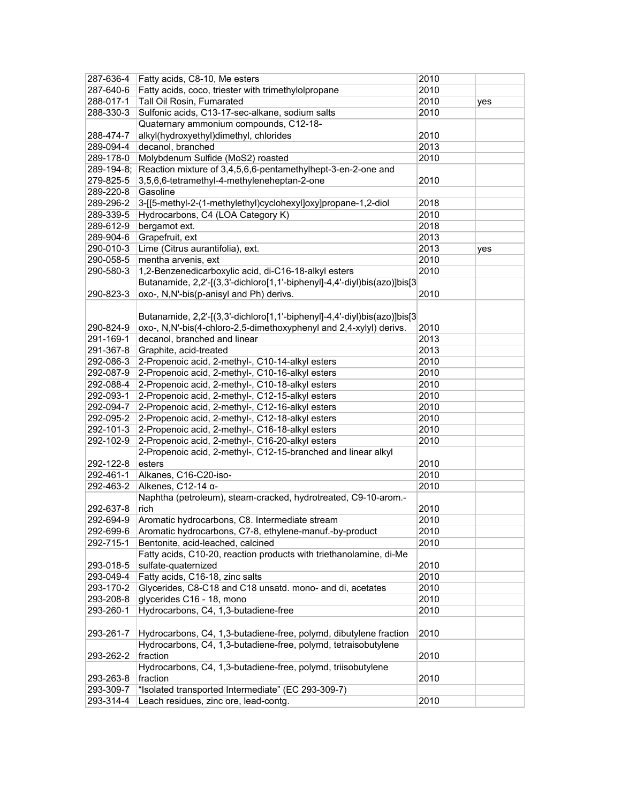| 287-636-4  | Fatty acids, C8-10, Me esters                                            | 2010 |     |
|------------|--------------------------------------------------------------------------|------|-----|
| 287-640-6  | Fatty acids, coco, triester with trimethylolpropane                      | 2010 |     |
| 288-017-1  | Tall Oil Rosin, Fumarated                                                | 2010 | yes |
| 288-330-3  | Sulfonic acids, C13-17-sec-alkane, sodium salts                          | 2010 |     |
|            | Quaternary ammonium compounds, C12-18-                                   |      |     |
| 288-474-7  | alkyl(hydroxyethyl)dimethyl, chlorides                                   | 2010 |     |
| 289-094-4  | decanol, branched                                                        | 2013 |     |
| 289-178-0  | Molybdenum Sulfide (MoS2) roasted                                        | 2010 |     |
| 289-194-8; | Reaction mixture of 3,4,5,6,6-pentamethylhept-3-en-2-one and             |      |     |
| 279-825-5  | 3,5,6,6-tetramethyl-4-methyleneheptan-2-one                              | 2010 |     |
| 289-220-8  | Gasoline                                                                 |      |     |
| 289-296-2  | 3-[[5-methyl-2-(1-methylethyl)cyclohexyl]oxy]propane-1,2-diol            | 2018 |     |
| 289-339-5  | Hydrocarbons, C4 (LOA Category K)                                        | 2010 |     |
| 289-612-9  | bergamot ext.                                                            | 2018 |     |
| 289-904-6  | Grapefruit, ext                                                          | 2013 |     |
| 290-010-3  | Lime (Citrus aurantifolia), ext.                                         | 2013 | yes |
| 290-058-5  | mentha arvenis, ext                                                      | 2010 |     |
| 290-580-3  | 1,2-Benzenedicarboxylic acid, di-C16-18-alkyl esters                     | 2010 |     |
|            | Butanamide, 2,2'-[(3,3'-dichloro[1,1'-biphenyl]-4,4'-diyl)bis(azo)]bis[3 |      |     |
| 290-823-3  | oxo-, N,N'-bis(p-anisyl and Ph) derivs.                                  | 2010 |     |
|            |                                                                          |      |     |
|            | Butanamide, 2,2'-[(3,3'-dichloro[1,1'-biphenyl]-4,4'-diyl)bis(azo)]bis[3 |      |     |
| 290-824-9  | oxo-, N,N'-bis(4-chloro-2,5-dimethoxyphenyl and 2,4-xylyl) derivs.       | 2010 |     |
| 291-169-1  | decanol, branched and linear                                             | 2013 |     |
| 291-367-8  | Graphite, acid-treated                                                   | 2013 |     |
| 292-086-3  | 2-Propenoic acid, 2-methyl-, C10-14-alkyl esters                         | 2010 |     |
| 292-087-9  | 2-Propenoic acid, 2-methyl-, C10-16-alkyl esters                         | 2010 |     |
| 292-088-4  | 2-Propenoic acid, 2-methyl-, C10-18-alkyl esters                         | 2010 |     |
| 292-093-1  | 2-Propenoic acid, 2-methyl-, C12-15-alkyl esters                         | 2010 |     |
| 292-094-7  | 2-Propenoic acid, 2-methyl-, C12-16-alkyl esters                         | 2010 |     |
| 292-095-2  | 2-Propenoic acid, 2-methyl-, C12-18-alkyl esters                         | 2010 |     |
| 292-101-3  | 2-Propenoic acid, 2-methyl-, C16-18-alkyl esters                         | 2010 |     |
| 292-102-9  | 2-Propenoic acid, 2-methyl-, C16-20-alkyl esters                         | 2010 |     |
|            | 2-Propenoic acid, 2-methyl-, C12-15-branched and linear alkyl            |      |     |
| 292-122-8  | esters                                                                   | 2010 |     |
| 292-461-1  | Alkanes, C16-C20-iso-                                                    | 2010 |     |
| 292-463-2  | Alkenes, C12-14 a-                                                       | 2010 |     |
|            | Naphtha (petroleum), steam-cracked, hydrotreated, C9-10-arom.-           |      |     |
| 292-637-8  | rich                                                                     | 2010 |     |
| 292-694-9  | Aromatic hydrocarbons, C8. Intermediate stream                           | 2010 |     |
| 292-699-6  | Aromatic hydrocarbons, C7-8, ethylene-manuf.-by-product                  | 2010 |     |
| 292-715-1  | Bentonite, acid-leached, calcined                                        | 2010 |     |
|            | Fatty acids, C10-20, reaction products with triethanolamine, di-Me       |      |     |
| 293-018-5  | sulfate-quaternized                                                      | 2010 |     |
| 293-049-4  | Fatty acids, C16-18, zinc salts                                          | 2010 |     |
| 293-170-2  | Glycerides, C8-C18 and C18 unsatd. mono- and di, acetates                | 2010 |     |
| 293-208-8  | glycerides C16 - 18, mono                                                | 2010 |     |
| 293-260-1  | Hydrocarbons, C4, 1,3-butadiene-free                                     | 2010 |     |
|            |                                                                          |      |     |
| 293-261-7  | Hydrocarbons, C4, 1,3-butadiene-free, polymd, dibutylene fraction        | 2010 |     |
|            | Hydrocarbons, C4, 1,3-butadiene-free, polymd, tetraisobutylene           |      |     |
| 293-262-2  | fraction                                                                 | 2010 |     |
|            | Hydrocarbons, C4, 1,3-butadiene-free, polymd, triisobutylene             |      |     |
| 293-263-8  | fraction                                                                 | 2010 |     |
| 293-309-7  | "Isolated transported Intermediate" (EC 293-309-7)                       |      |     |
| 293-314-4  | Leach residues, zinc ore, lead-contg.                                    | 2010 |     |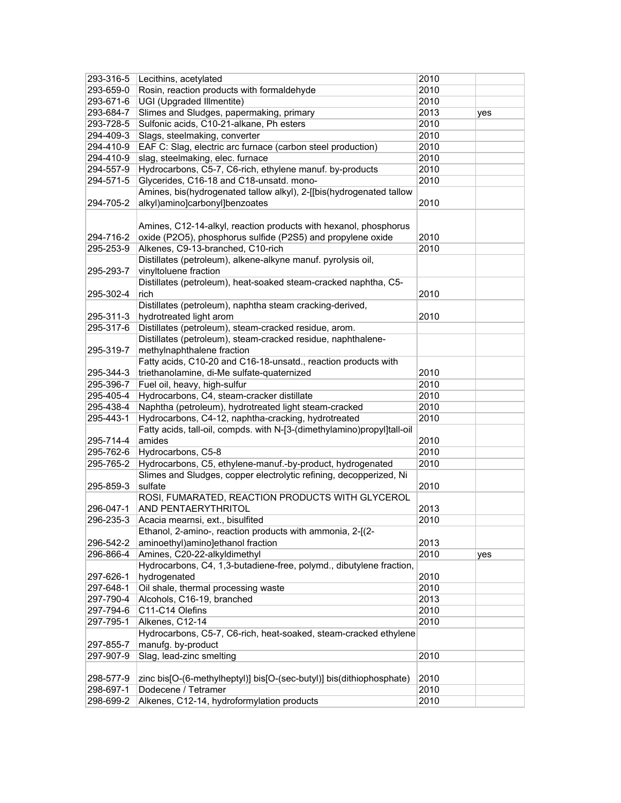| 293-316-5 | Lecithins, acetylated                                                   | 2010 |     |
|-----------|-------------------------------------------------------------------------|------|-----|
| 293-659-0 | Rosin, reaction products with formaldehyde                              | 2010 |     |
| 293-671-6 | UGI (Upgraded Illmentite)                                               | 2010 |     |
| 293-684-7 | Slimes and Sludges, papermaking, primary                                | 2013 | yes |
| 293-728-5 | Sulfonic acids, C10-21-alkane, Ph esters                                | 2010 |     |
| 294-409-3 | Slags, steelmaking, converter                                           | 2010 |     |
| 294-410-9 | EAF C: Slag, electric arc furnace (carbon steel production)             | 2010 |     |
| 294-410-9 | slag, steelmaking, elec. furnace                                        | 2010 |     |
| 294-557-9 | Hydrocarbons, C5-7, C6-rich, ethylene manuf. by-products                | 2010 |     |
| 294-571-5 | Glycerides, C16-18 and C18-unsatd. mono-                                | 2010 |     |
|           | Amines, bis(hydrogenated tallow alkyl), 2-[[bis(hydrogenated tallow     |      |     |
| 294-705-2 | alkyl)amino]carbonyl]benzoates                                          | 2010 |     |
|           |                                                                         |      |     |
|           | Amines, C12-14-alkyl, reaction products with hexanol, phosphorus        |      |     |
| 294-716-2 | oxide (P2O5), phosphorus sulfide (P2S5) and propylene oxide             | 2010 |     |
| 295-253-9 | Alkenes, C9-13-branched, C10-rich                                       | 2010 |     |
|           | Distillates (petroleum), alkene-alkyne manuf. pyrolysis oil,            |      |     |
| 295-293-7 | vinyltoluene fraction                                                   |      |     |
|           | Distillates (petroleum), heat-soaked steam-cracked naphtha, C5-         |      |     |
| 295-302-4 | rich                                                                    | 2010 |     |
|           | Distillates (petroleum), naphtha steam cracking-derived,                |      |     |
| 295-311-3 | hydrotreated light arom                                                 | 2010 |     |
| 295-317-6 | Distillates (petroleum), steam-cracked residue, arom.                   |      |     |
|           | Distillates (petroleum), steam-cracked residue, naphthalene-            |      |     |
| 295-319-7 | methylnaphthalene fraction                                              |      |     |
|           | Fatty acids, C10-20 and C16-18-unsatd., reaction products with          |      |     |
| 295-344-3 | triethanolamine, di-Me sulfate-quaternized                              | 2010 |     |
| 295-396-7 | Fuel oil, heavy, high-sulfur                                            | 2010 |     |
|           |                                                                         |      |     |
| 295-405-4 | Hydrocarbons, C4, steam-cracker distillate                              | 2010 |     |
| 295-438-4 | Naphtha (petroleum), hydrotreated light steam-cracked                   | 2010 |     |
| 295-443-1 | Hydrocarbons, C4-12, naphtha-cracking, hydrotreated                     | 2010 |     |
|           | Fatty acids, tall-oil, compds. with N-[3-(dimethylamino)propyl]tall-oil |      |     |
| 295-714-4 | amides                                                                  | 2010 |     |
| 295-762-6 | Hydrocarbons, C5-8                                                      | 2010 |     |
| 295-765-2 | Hydrocarbons, C5, ethylene-manuf.-by-product, hydrogenated              | 2010 |     |
|           | Slimes and Sludges, copper electrolytic refining, decopperized, Ni      |      |     |
| 295-859-3 | sulfate                                                                 | 2010 |     |
|           | ROSI, FUMARATED, REACTION PRODUCTS WITH GLYCEROL                        |      |     |
| 296-047-1 | AND PENTAERYTHRITOL                                                     | 2013 |     |
| 296-235-3 | Acacia mearnsi, ext., bisulfited                                        | 2010 |     |
|           | Ethanol, 2-amino-, reaction products with ammonia, 2-[(2-               |      |     |
| 296-542-2 | aminoethyl)amino]ethanol fraction                                       | 2013 |     |
| 296-866-4 | Amines, C20-22-alkyldimethyl                                            | 2010 | yes |
|           | Hydrocarbons, C4, 1,3-butadiene-free, polymd., dibutylene fraction,     |      |     |
| 297-626-1 | hydrogenated                                                            | 2010 |     |
| 297-648-1 | Oil shale, thermal processing waste                                     | 2010 |     |
| 297-790-4 | Alcohols, C16-19, branched                                              | 2013 |     |
| 297-794-6 | C11-C14 Olefins                                                         | 2010 |     |
| 297-795-1 | Alkenes, C12-14                                                         | 2010 |     |
|           | Hydrocarbons, C5-7, C6-rich, heat-soaked, steam-cracked ethylene        |      |     |
| 297-855-7 | manufg. by-product                                                      |      |     |
| 297-907-9 | Slag, lead-zinc smelting                                                | 2010 |     |
|           |                                                                         |      |     |
| 298-577-9 | zinc bis[O-(6-methylheptyl)] bis[O-(sec-butyl)] bis(dithiophosphate)    | 2010 |     |
| 298-697-1 | Dodecene / Tetramer                                                     | 2010 |     |
| 298-699-2 | Alkenes, C12-14, hydroformylation products                              | 2010 |     |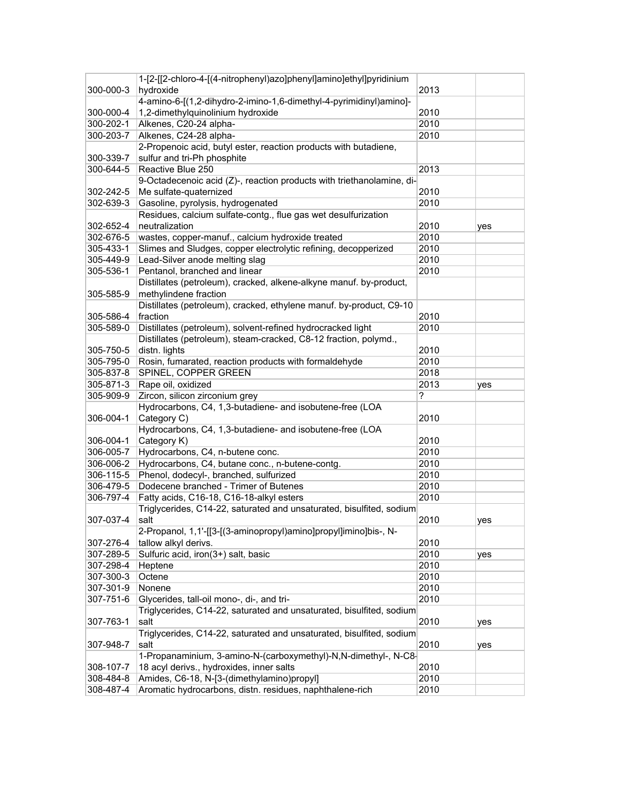|           | 1-[2-[[2-chloro-4-[(4-nitrophenyl)azo]phenyl]amino]ethyl]pyridinium   |      |     |
|-----------|-----------------------------------------------------------------------|------|-----|
| 300-000-3 | hydroxide                                                             | 2013 |     |
|           | 4-amino-6-[(1,2-dihydro-2-imino-1,6-dimethyl-4-pyrimidinyl)amino]-    |      |     |
| 300-000-4 | 1,2-dimethylquinolinium hydroxide                                     | 2010 |     |
| 300-202-1 | Alkenes, C20-24 alpha-                                                | 2010 |     |
| 300-203-7 | Alkenes, C24-28 alpha-                                                | 2010 |     |
|           | 2-Propenoic acid, butyl ester, reaction products with butadiene,      |      |     |
| 300-339-7 | sulfur and tri-Ph phosphite                                           |      |     |
| 300-644-5 | Reactive Blue 250                                                     | 2013 |     |
|           |                                                                       |      |     |
|           | 9-Octadecenoic acid (Z)-, reaction products with triethanolamine, di- |      |     |
| 302-242-5 | Me sulfate-quaternized                                                | 2010 |     |
| 302-639-3 | Gasoline, pyrolysis, hydrogenated                                     | 2010 |     |
|           | Residues, calcium sulfate-contg., flue gas wet desulfurization        |      |     |
| 302-652-4 | neutralization                                                        | 2010 | yes |
| 302-676-5 | wastes, copper-manuf., calcium hydroxide treated                      | 2010 |     |
| 305-433-1 | Slimes and Sludges, copper electrolytic refining, decopperized        | 2010 |     |
| 305-449-9 | Lead-Silver anode melting slag                                        | 2010 |     |
| 305-536-1 | Pentanol, branched and linear                                         | 2010 |     |
|           | Distillates (petroleum), cracked, alkene-alkyne manuf. by-product,    |      |     |
| 305-585-9 | methylindene fraction                                                 |      |     |
|           | Distillates (petroleum), cracked, ethylene manuf. by-product, C9-10   |      |     |
| 305-586-4 | fraction                                                              | 2010 |     |
| 305-589-0 | Distillates (petroleum), solvent-refined hydrocracked light           | 2010 |     |
|           | Distillates (petroleum), steam-cracked, C8-12 fraction, polymd.,      |      |     |
| 305-750-5 | distn. lights                                                         | 2010 |     |
| 305-795-0 | Rosin, fumarated, reaction products with formaldehyde                 | 2010 |     |
| 305-837-8 | SPINEL, COPPER GREEN                                                  | 2018 |     |
| 305-871-3 | Rape oil, oxidized                                                    | 2013 | yes |
| 305-909-9 | Zircon, silicon zirconium grey                                        | ?    |     |
|           | Hydrocarbons, C4, 1,3-butadiene- and isobutene-free (LOA              |      |     |
| 306-004-1 | Category C)                                                           | 2010 |     |
|           | Hydrocarbons, C4, 1,3-butadiene- and isobutene-free (LOA              |      |     |
| 306-004-1 | Category K)                                                           | 2010 |     |
| 306-005-7 | Hydrocarbons, C4, n-butene conc.                                      | 2010 |     |
| 306-006-2 | Hydrocarbons, C4, butane conc., n-butene-contg.                       | 2010 |     |
| 306-115-5 | Phenol, dodecyl-, branched, sulfurized                                | 2010 |     |
| 306-479-5 | Dodecene branched - Trimer of Butenes                                 | 2010 |     |
| 306-797-4 | Fatty acids, C16-18, C16-18-alkyl esters                              | 2010 |     |
|           | Triglycerides, C14-22, saturated and unsaturated, bisulfited, sodium  |      |     |
| 307-037-4 | salt                                                                  | 2010 | yes |
|           | 2-Propanol, 1,1'-[[3-[(3-aminopropyl)amino]propyl]imino]bis-, N-      |      |     |
| 307-276-4 | tallow alkyl derivs.                                                  | 2010 |     |
| 307-289-5 | Sulfuric acid, iron(3+) salt, basic                                   | 2010 | yes |
| 307-298-4 | Heptene                                                               | 2010 |     |
| 307-300-3 | Octene                                                                | 2010 |     |
| 307-301-9 | Nonene                                                                | 2010 |     |
| 307-751-6 | Glycerides, tall-oil mono-, di-, and tri-                             | 2010 |     |
|           | Triglycerides, C14-22, saturated and unsaturated, bisulfited, sodium  |      |     |
|           | salt                                                                  | 2010 |     |
| 307-763-1 | Triglycerides, C14-22, saturated and unsaturated, bisulfited, sodium  |      | yes |
|           |                                                                       |      |     |
| 307-948-7 | salt                                                                  | 2010 | yes |
|           | 1-Propanaminium, 3-amino-N-(carboxymethyl)-N,N-dimethyl-, N-C8-       |      |     |
| 308-107-7 | 18 acyl derivs., hydroxides, inner salts                              | 2010 |     |
| 308-484-8 | Amides, C6-18, N-[3-(dimethylamino)propyl]                            | 2010 |     |
| 308-487-4 | Aromatic hydrocarbons, distn. residues, naphthalene-rich              | 2010 |     |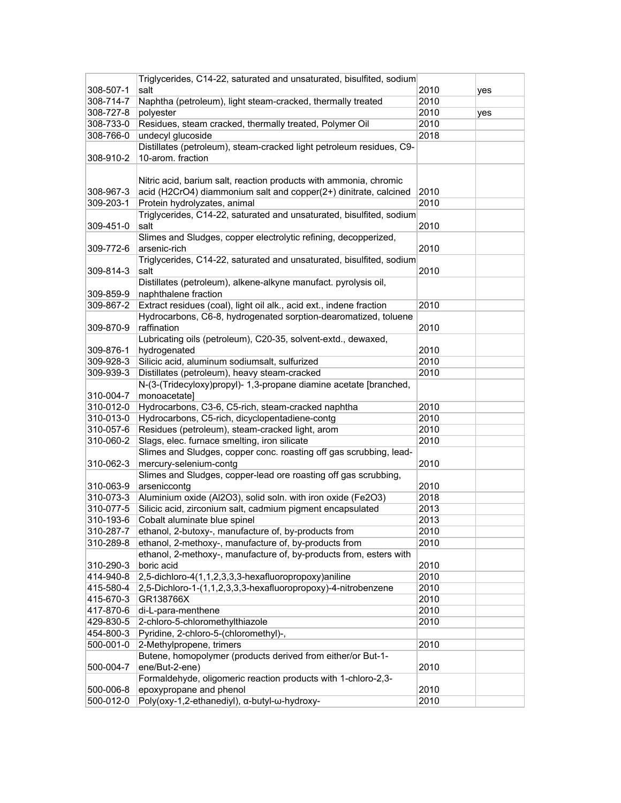|           | Triglycerides, C14-22, saturated and unsaturated, bisulfited, sodium                                 |      |     |
|-----------|------------------------------------------------------------------------------------------------------|------|-----|
| 308-507-1 | salt                                                                                                 | 2010 | yes |
| 308-714-7 | Naphtha (petroleum), light steam-cracked, thermally treated                                          | 2010 |     |
| 308-727-8 | polyester                                                                                            | 2010 | yes |
| 308-733-0 | Residues, steam cracked, thermally treated, Polymer Oil                                              | 2010 |     |
| 308-766-0 | undecyl glucoside                                                                                    | 2018 |     |
|           | Distillates (petroleum), steam-cracked light petroleum residues, C9-                                 |      |     |
| 308-910-2 | 10-arom. fraction                                                                                    |      |     |
|           |                                                                                                      |      |     |
|           | Nitric acid, barium salt, reaction products with ammonia, chromic                                    |      |     |
| 308-967-3 | acid (H2CrO4) diammonium salt and copper(2+) dinitrate, calcined                                     | 2010 |     |
| 309-203-1 |                                                                                                      | 2010 |     |
|           | Protein hydrolyzates, animal<br>Triglycerides, C14-22, saturated and unsaturated, bisulfited, sodium |      |     |
|           |                                                                                                      |      |     |
| 309-451-0 | salt                                                                                                 | 2010 |     |
|           | Slimes and Sludges, copper electrolytic refining, decopperized,                                      |      |     |
| 309-772-6 | arsenic-rich                                                                                         | 2010 |     |
|           | Triglycerides, C14-22, saturated and unsaturated, bisulfited, sodium                                 |      |     |
| 309-814-3 | salt                                                                                                 | 2010 |     |
|           | Distillates (petroleum), alkene-alkyne manufact. pyrolysis oil,                                      |      |     |
| 309-859-9 | naphthalene fraction                                                                                 |      |     |
| 309-867-2 | Extract residues (coal), light oil alk., acid ext., indene fraction                                  | 2010 |     |
|           | Hydrocarbons, C6-8, hydrogenated sorption-dearomatized, toluene                                      |      |     |
| 309-870-9 | raffination                                                                                          | 2010 |     |
|           | Lubricating oils (petroleum), C20-35, solvent-extd., dewaxed,                                        |      |     |
| 309-876-1 | hydrogenated                                                                                         | 2010 |     |
| 309-928-3 | Silicic acid, aluminum sodiumsalt, sulfurized                                                        | 2010 |     |
| 309-939-3 | Distillates (petroleum), heavy steam-cracked                                                         | 2010 |     |
|           | N-(3-(Tridecyloxy)propyl)- 1,3-propane diamine acetate [branched,                                    |      |     |
| 310-004-7 | monoacetate]                                                                                         |      |     |
| 310-012-0 | Hydrocarbons, C3-6, C5-rich, steam-cracked naphtha                                                   | 2010 |     |
| 310-013-0 | Hydrocarbons, C5-rich, dicyclopentadiene-contg                                                       | 2010 |     |
| 310-057-6 | Residues (petroleum), steam-cracked light, arom                                                      | 2010 |     |
| 310-060-2 | Slags, elec. furnace smelting, iron silicate                                                         | 2010 |     |
|           | Slimes and Sludges, copper conc. roasting off gas scrubbing, lead-                                   |      |     |
| 310-062-3 | mercury-selenium-contg                                                                               | 2010 |     |
|           | Slimes and Sludges, copper-lead ore roasting off gas scrubbing,                                      |      |     |
| 310-063-9 | arseniccontg                                                                                         | 2010 |     |
| 310-073-3 | Aluminium oxide (Al2O3), solid soln. with iron oxide (Fe2O3)                                         | 2018 |     |
| 310-077-5 | Silicic acid, zirconium salt, cadmium pigment encapsulated                                           | 2013 |     |
| 310-193-6 | Cobalt aluminate blue spinel                                                                         | 2013 |     |
| 310-287-7 | ethanol, 2-butoxy-, manufacture of, by-products from                                                 | 2010 |     |
| 310-289-8 | ethanol, 2-methoxy-, manufacture of, by-products from                                                | 2010 |     |
|           | ethanol, 2-methoxy-, manufacture of, by-products from, esters with                                   |      |     |
| 310-290-3 | boric acid                                                                                           | 2010 |     |
| 414-940-8 | 2,5-dichloro-4(1,1,2,3,3,3-hexafluoropropoxy)aniline                                                 | 2010 |     |
| 415-580-4 | 2,5-Dichloro-1-(1,1,2,3,3,3-hexafluoropropoxy)-4-nitrobenzene                                        | 2010 |     |
| 415-670-3 | GR138766X                                                                                            | 2010 |     |
| 417-870-6 | di-L-para-menthene                                                                                   | 2010 |     |
| 429-830-5 | 2-chloro-5-chloromethylthiazole                                                                      | 2010 |     |
| 454-800-3 | Pyridine, 2-chloro-5-(chloromethyl)-,                                                                |      |     |
| 500-001-0 | 2-Methylpropene, trimers                                                                             | 2010 |     |
|           | Butene, homopolymer (products derived from either/or But-1-                                          |      |     |
| 500-004-7 | ene/But-2-ene)                                                                                       | 2010 |     |
|           | Formaldehyde, oligomeric reaction products with 1-chloro-2,3-                                        |      |     |
| 500-006-8 | epoxypropane and phenol                                                                              | 2010 |     |
| 500-012-0 | Poly(oxy-1,2-ethanediyl), α-butyl-ω-hydroxy-                                                         | 2010 |     |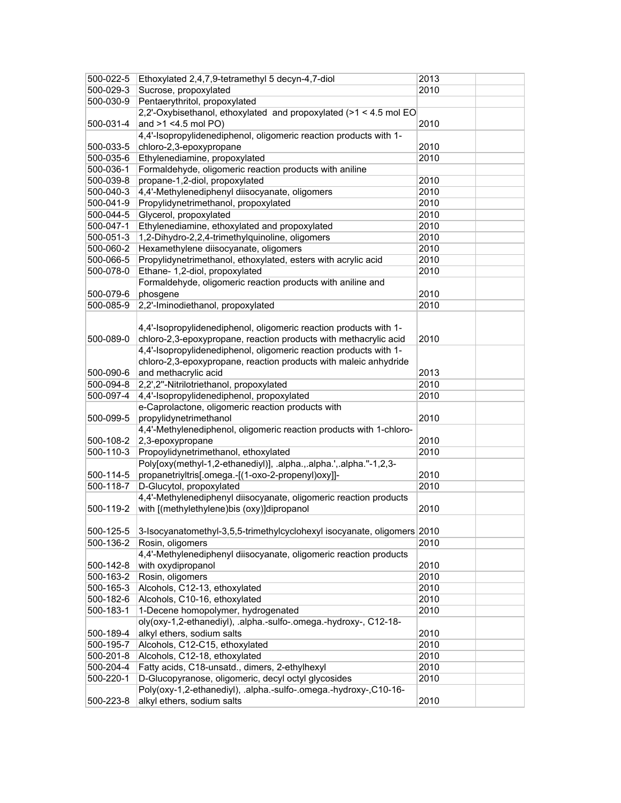| 500-022-5 | Ethoxylated 2,4,7,9-tetramethyl 5 decyn-4,7-diol                        | 2013 |
|-----------|-------------------------------------------------------------------------|------|
| 500-029-3 | Sucrose, propoxylated                                                   | 2010 |
| 500-030-9 | Pentaerythritol, propoxylated                                           |      |
|           | 2,2'-Oxybisethanol, ethoxylated and propoxylated (>1 < 4.5 mol EO       |      |
| 500-031-4 | and >1 <4.5 mol PO)                                                     | 2010 |
|           | 4,4'-Isopropylidenediphenol, oligomeric reaction products with 1-       |      |
| 500-033-5 | chloro-2,3-epoxypropane                                                 | 2010 |
| 500-035-6 | Ethylenediamine, propoxylated                                           | 2010 |
| 500-036-1 | Formaldehyde, oligomeric reaction products with aniline                 |      |
| 500-039-8 | propane-1,2-diol, propoxylated                                          | 2010 |
| 500-040-3 | 4,4'-Methylenediphenyl diisocyanate, oligomers                          | 2010 |
| 500-041-9 | Propylidynetrimethanol, propoxylated                                    | 2010 |
| 500-044-5 | Glycerol, propoxylated                                                  | 2010 |
| 500-047-1 | Ethylenediamine, ethoxylated and propoxylated                           | 2010 |
| 500-051-3 | 1,2-Dihydro-2,2,4-trimethylquinoline, oligomers                         | 2010 |
| 500-060-2 | Hexamethylene diisocyanate, oligomers                                   | 2010 |
| 500-066-5 | Propylidynetrimethanol, ethoxylated, esters with acrylic acid           | 2010 |
| 500-078-0 | Ethane- 1,2-diol, propoxylated                                          | 2010 |
|           | Formaldehyde, oligomeric reaction products with aniline and             |      |
| 500-079-6 |                                                                         | 2010 |
|           | phosgene<br>2,2'-Iminodiethanol, propoxylated                           |      |
| 500-085-9 |                                                                         | 2010 |
|           |                                                                         |      |
|           | 4,4'-Isopropylidenediphenol, oligomeric reaction products with 1-       |      |
| 500-089-0 | chloro-2,3-epoxypropane, reaction products with methacrylic acid        | 2010 |
|           | 4,4'-Isopropylidenediphenol, oligomeric reaction products with 1-       |      |
|           | chloro-2,3-epoxypropane, reaction products with maleic anhydride        |      |
| 500-090-6 | and methacrylic acid                                                    | 2013 |
| 500-094-8 | 2,2',2"-Nitrilotriethanol, propoxylated                                 | 2010 |
| 500-097-4 | 4,4'-Isopropylidenediphenol, propoxylated                               | 2010 |
|           | e-Caprolactone, oligomeric reaction products with                       |      |
| 500-099-5 | propylidynetrimethanol                                                  | 2010 |
|           | 4,4'-Methylenediphenol, oligomeric reaction products with 1-chloro-     |      |
| 500-108-2 | 2,3-epoxypropane                                                        | 2010 |
| 500-110-3 | Propoylidynetrimethanol, ethoxylated                                    | 2010 |
|           | Poly[oxy(methyl-1,2-ethanediyl)], .alpha.,.alpha.',.alpha."-1,2,3-      |      |
| 500-114-5 | propanetriyltris[.omega.-[(1-oxo-2-propenyl)oxy]]-                      | 2010 |
| 500-118-7 | D-Glucytol, propoxylated                                                | 2010 |
|           | 4,4'-Methylenediphenyl diisocyanate, oligomeric reaction products       |      |
| 500-119-2 | with [(methylethylene)bis (oxy)]dipropanol                              | 2010 |
|           |                                                                         |      |
| 500-125-5 | 3-Isocyanatomethyl-3,5,5-trimethylcyclohexyl isocyanate, oligomers 2010 |      |
| 500-136-2 | Rosin, oligomers                                                        | 2010 |
|           | 4,4'-Methylenediphenyl diisocyanate, oligomeric reaction products       |      |
| 500-142-8 | with oxydipropanol                                                      | 2010 |
| 500-163-2 | Rosin, oligomers                                                        | 2010 |
| 500-165-3 | Alcohols, C12-13, ethoxylated                                           | 2010 |
| 500-182-6 | Alcohols, C10-16, ethoxylated                                           | 2010 |
| 500-183-1 | 1-Decene homopolymer, hydrogenated                                      | 2010 |
|           | oly(oxy-1,2-ethanediyl), .alpha.-sulfo-.omega.-hydroxy-, C12-18-        |      |
| 500-189-4 | alkyl ethers, sodium salts                                              | 2010 |
| 500-195-7 | Alcohols, C12-C15, ethoxylated                                          | 2010 |
| 500-201-8 | Alcohols, C12-18, ethoxylated                                           | 2010 |
| 500-204-4 | Fatty acids, C18-unsatd., dimers, 2-ethylhexyl                          | 2010 |
| 500-220-1 | D-Glucopyranose, oligomeric, decyl octyl glycosides                     | 2010 |
|           | Poly(oxy-1,2-ethanediyl), .alpha.-sulfo-.omega.-hydroxy-,C10-16-        |      |
| 500-223-8 | alkyl ethers, sodium salts                                              | 2010 |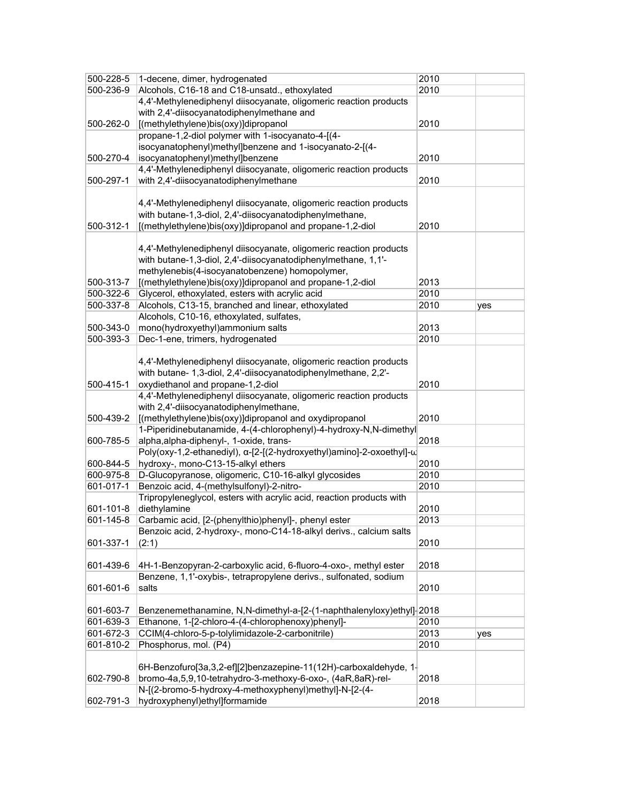| 500-228-5 | 1-decene, dimer, hydrogenated                                        | 2010 |     |
|-----------|----------------------------------------------------------------------|------|-----|
| 500-236-9 | Alcohols, C16-18 and C18-unsatd., ethoxylated                        | 2010 |     |
|           | 4,4'-Methylenediphenyl diisocyanate, oligomeric reaction products    |      |     |
|           | with 2,4'-diisocyanatodiphenylmethane and                            |      |     |
| 500-262-0 | [(methylethylene)bis(oxy)]dipropanol                                 | 2010 |     |
|           | propane-1,2-diol polymer with 1-isocyanato-4-[(4-                    |      |     |
|           | isocyanatophenyl)methyl]benzene and 1-isocyanato-2-[(4-              |      |     |
| 500-270-4 | isocyanatophenyl)methyl]benzene                                      | 2010 |     |
|           | 4,4'-Methylenediphenyl diisocyanate, oligomeric reaction products    |      |     |
| 500-297-1 | with 2,4'-diisocyanatodiphenylmethane                                | 2010 |     |
|           |                                                                      |      |     |
|           | 4,4'-Methylenediphenyl diisocyanate, oligomeric reaction products    |      |     |
|           | with butane-1,3-diol, 2,4'-diisocyanatodiphenylmethane,              |      |     |
| 500-312-1 | [(methylethylene)bis(oxy)]dipropanol and propane-1,2-diol            | 2010 |     |
|           |                                                                      |      |     |
|           | 4,4'-Methylenediphenyl diisocyanate, oligomeric reaction products    |      |     |
|           | with butane-1,3-diol, 2,4'-diisocyanatodiphenylmethane, 1,1'-        |      |     |
|           | methylenebis(4-isocyanatobenzene) homopolymer,                       |      |     |
| 500-313-7 | [(methylethylene)bis(oxy)]dipropanol and propane-1,2-diol            | 2013 |     |
| 500-322-6 | Glycerol, ethoxylated, esters with acrylic acid                      | 2010 |     |
| 500-337-8 | Alcohols, C13-15, branched and linear, ethoxylated                   | 2010 | yes |
|           | Alcohols, C10-16, ethoxylated, sulfates,                             |      |     |
| 500-343-0 | mono(hydroxyethyl)ammonium salts                                     | 2013 |     |
| 500-393-3 | Dec-1-ene, trimers, hydrogenated                                     | 2010 |     |
|           |                                                                      |      |     |
|           | 4,4'-Methylenediphenyl diisocyanate, oligomeric reaction products    |      |     |
|           | with butane- 1,3-diol, 2,4'-diisocyanatodiphenylmethane, 2,2'-       |      |     |
| 500-415-1 | oxydiethanol and propane-1,2-diol                                    | 2010 |     |
|           | 4,4'-Methylenediphenyl diisocyanate, oligomeric reaction products    |      |     |
|           | with 2,4'-diisocyanatodiphenylmethane,                               |      |     |
| 500-439-2 | [(methylethylene)bis(oxy)]dipropanol and oxydipropanol               | 2010 |     |
|           | 1-Piperidinebutanamide, 4-(4-chlorophenyl)-4-hydroxy-N,N-dimethyl    |      |     |
| 600-785-5 | alpha, alpha-diphenyl-, 1-oxide, trans-                              | 2018 |     |
|           | Poly(oxy-1,2-ethanediyl), a-[2-[(2-hydroxyethyl)amino]-2-oxoethyl]-u |      |     |
| 600-844-5 | hydroxy-, mono-C13-15-alkyl ethers                                   | 2010 |     |
| 600-975-8 | D-Glucopyranose, oligomeric, C10-16-alkyl glycosides                 | 2010 |     |
| 601-017-1 | Benzoic acid, 4-(methylsulfonyl)-2-nitro-                            | 2010 |     |
|           | Tripropyleneglycol, esters with acrylic acid, reaction products with |      |     |
| 601-101-8 | diethylamine                                                         | 2010 |     |
| 601-145-8 | Carbamic acid, [2-(phenylthio)phenyl]-, phenyl ester                 | 2013 |     |
|           | Benzoic acid, 2-hydroxy-, mono-C14-18-alkyl derivs., calcium salts   |      |     |
| 601-337-1 | (2:1)                                                                | 2010 |     |
|           |                                                                      |      |     |
| 601-439-6 | 4H-1-Benzopyran-2-carboxylic acid, 6-fluoro-4-oxo-, methyl ester     | 2018 |     |
|           | Benzene, 1,1'-oxybis-, tetrapropylene derivs., sulfonated, sodium    |      |     |
| 601-601-6 | salts                                                                | 2010 |     |
|           |                                                                      |      |     |
| 601-603-7 | Benzenemethanamine, N,N-dimethyl-a-[2-(1-naphthalenyloxy)ethyl]-2018 |      |     |
| 601-639-3 | Ethanone, 1-[2-chloro-4-(4-chlorophenoxy)phenyl]-                    | 2010 |     |
| 601-672-3 | CCIM(4-chloro-5-p-tolylimidazole-2-carbonitrile)                     | 2013 | yes |
| 601-810-2 | Phosphorus, mol. (P4)                                                | 2010 |     |
|           |                                                                      |      |     |
|           | 6H-Benzofuro[3a,3,2-ef][2]benzazepine-11(12H)-carboxaldehyde, 1-     |      |     |
| 602-790-8 | bromo-4a,5,9,10-tetrahydro-3-methoxy-6-oxo-, (4aR,8aR)-rel-          | 2018 |     |
|           | N-[(2-bromo-5-hydroxy-4-methoxyphenyl)methyl]-N-[2-(4-               |      |     |
| 602-791-3 | hydroxyphenyl)ethyl]formamide                                        | 2018 |     |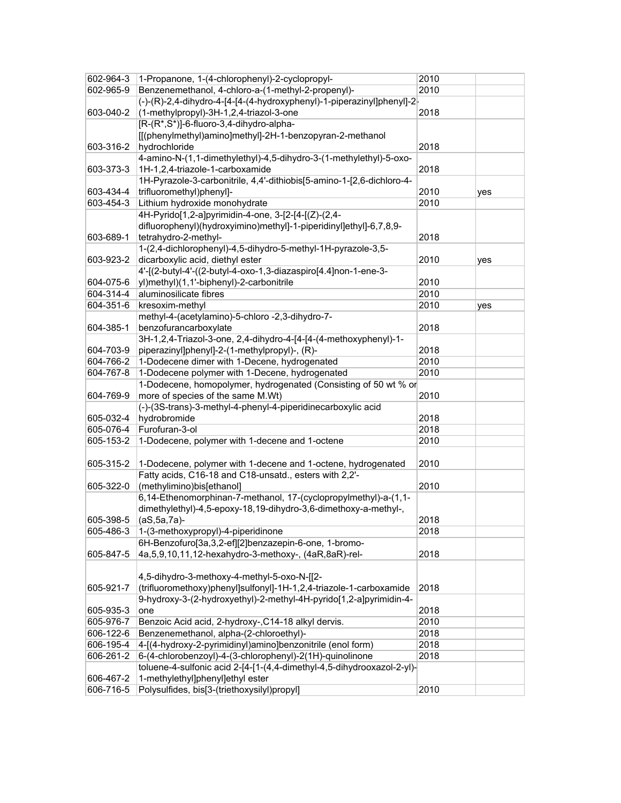| 602-964-3 | 1-Propanone, 1-(4-chlorophenyl)-2-cyclopropyl-                         | 2010 |     |
|-----------|------------------------------------------------------------------------|------|-----|
| 602-965-9 | Benzenemethanol, 4-chloro-a-(1-methyl-2-propenyl)-                     | 2010 |     |
|           | (-)-(R)-2,4-dihydro-4-[4-[4-(4-hydroxyphenyl)-1-piperazinyl]phenyl]-2  |      |     |
| 603-040-2 | (1-methylpropyl)-3H-1,2,4-triazol-3-one                                | 2018 |     |
|           | [R-(R*,S*)]-6-fluoro-3,4-dihydro-alpha-                                |      |     |
|           | [[(phenylmethyl)amino]methyl]-2H-1-benzopyran-2-methanol               |      |     |
| 603-316-2 | hydrochloride                                                          | 2018 |     |
|           | 4-amino-N-(1,1-dimethylethyl)-4,5-dihydro-3-(1-methylethyl)-5-oxo-     |      |     |
| 603-373-3 | 1H-1,2,4-triazole-1-carboxamide                                        | 2018 |     |
|           | 1H-Pyrazole-3-carbonitrile, 4,4'-dithiobis[5-amino-1-[2,6-dichloro-4-  |      |     |
| 603-434-4 | trifluoromethyl)phenyl]-                                               | 2010 |     |
| 603-454-3 | Lithium hydroxide monohydrate                                          | 2010 | yes |
|           | 4H-Pyrido[1,2-a]pyrimidin-4-one, 3-[2-[4-[(Z)-(2,4-                    |      |     |
|           |                                                                        |      |     |
|           | difluorophenyl)(hydroxyimino)methyl]-1-piperidinyl]ethyl]-6,7,8,9-     |      |     |
| 603-689-1 | tetrahydro-2-methyl-                                                   | 2018 |     |
|           | 1-(2,4-dichlorophenyl)-4,5-dihydro-5-methyl-1H-pyrazole-3,5-           |      |     |
| 603-923-2 | dicarboxylic acid, diethyl ester                                       | 2010 | yes |
|           | 4'-[(2-butyl-4'-((2-butyl-4-oxo-1,3-diazaspiro[4.4]non-1-ene-3-        |      |     |
| 604-075-6 | yl)methyl)(1,1'-biphenyl)-2-carbonitrile                               | 2010 |     |
| 604-314-4 | aluminosilicate fibres                                                 | 2010 |     |
| 604-351-6 | kresoxim-methyl                                                        | 2010 | yes |
|           | methyl-4-(acetylamino)-5-chloro -2,3-dihydro-7-                        |      |     |
| 604-385-1 | benzofurancarboxylate                                                  | 2018 |     |
|           | 3H-1,2,4-Triazol-3-one, 2,4-dihydro-4-[4-[4-(4-methoxyphenyl)-1-       |      |     |
| 604-703-9 | piperazinyl]phenyl]-2-(1-methylpropyl)-, (R)-                          | 2018 |     |
| 604-766-2 | 1-Dodecene dimer with 1-Decene, hydrogenated                           | 2010 |     |
| 604-767-8 | 1-Dodecene polymer with 1-Decene, hydrogenated                         | 2010 |     |
|           | 1-Dodecene, homopolymer, hydrogenated (Consisting of 50 wt % or        |      |     |
| 604-769-9 | more of species of the same M.Wt)                                      | 2010 |     |
|           | (-)-(3S-trans)-3-methyl-4-phenyl-4-piperidinecarboxylic acid           |      |     |
| 605-032-4 | hydrobromide                                                           | 2018 |     |
| 605-076-4 | Furofuran-3-ol                                                         | 2018 |     |
| 605-153-2 | 1-Dodecene, polymer with 1-decene and 1-octene                         | 2010 |     |
|           |                                                                        |      |     |
| 605-315-2 | 1-Dodecene, polymer with 1-decene and 1-octene, hydrogenated           | 2010 |     |
|           | Fatty acids, C16-18 and C18-unsatd., esters with 2,2'-                 |      |     |
| 605-322-0 | (methylimino)bis[ethanol]                                              | 2010 |     |
|           | 6,14-Ethenomorphinan-7-methanol, 17-(cyclopropylmethyl)-a-(1,1-        |      |     |
|           | dimethylethyl)-4,5-epoxy-18,19-dihydro-3,6-dimethoxy-a-methyl-,        |      |     |
| 605-398-5 | $(aS, 5a, 7a)$ -                                                       | 2018 |     |
| 605-486-3 | 1-(3-methoxypropyl)-4-piperidinone                                     | 2018 |     |
|           | 6H-Benzofuro[3a,3,2-ef][2]benzazepin-6-one, 1-bromo-                   |      |     |
| 605-847-5 | 4a, 5, 9, 10, 11, 12-hexahydro-3-methoxy-, (4aR, 8aR)-rel-             | 2018 |     |
|           |                                                                        |      |     |
|           | 4,5-dihydro-3-methoxy-4-methyl-5-oxo-N-[[2-                            |      |     |
| 605-921-7 | (trifluoromethoxy)phenyl]sulfonyl]-1H-1,2,4-triazole-1-carboxamide     | 2018 |     |
|           | 9-hydroxy-3-(2-hydroxyethyl)-2-methyl-4H-pyrido[1,2-a]pyrimidin-4-     |      |     |
| 605-935-3 | one                                                                    | 2018 |     |
| 605-976-7 | Benzoic Acid acid, 2-hydroxy-, C14-18 alkyl dervis.                    | 2010 |     |
| 606-122-6 | Benzenemethanol, alpha-(2-chloroethyl)-                                | 2018 |     |
| 606-195-4 | 4-[(4-hydroxy-2-pyrimidinyl)amino]benzonitrile (enol form)             | 2018 |     |
| 606-261-2 | 6-(4-chlorobenzoyl)-4-(3-chlorophenyl)-2(1H)-quinolinone               | 2018 |     |
|           | toluene-4-sulfonic acid 2-[4-[1-(4,4-dimethyl-4,5-dihydrooxazol-2-yl)- |      |     |
| 606-467-2 | 1-methylethyl]phenyl]ethyl ester                                       |      |     |
| 606-716-5 | Polysulfides, bis[3-(triethoxysilyl)propyl]                            | 2010 |     |
|           |                                                                        |      |     |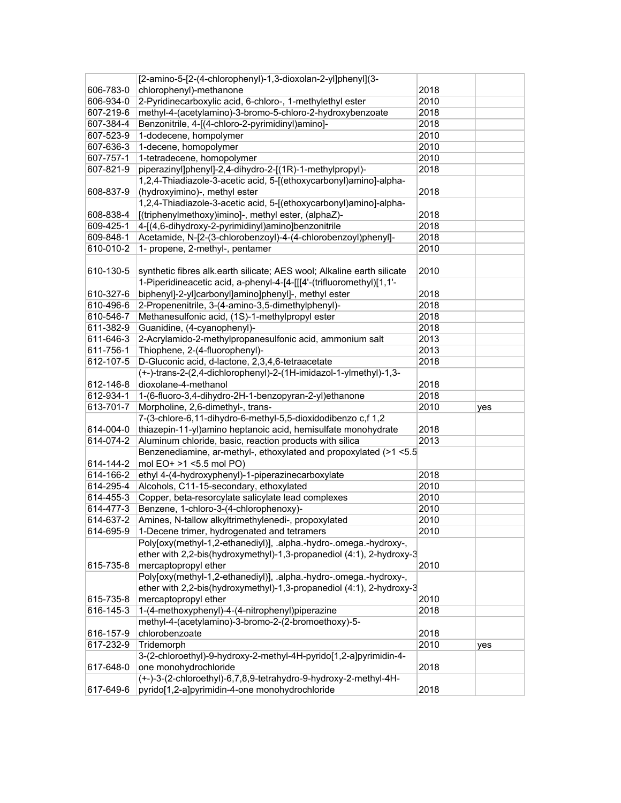|           | [2-amino-5-[2-(4-chlorophenyl)-1,3-dioxolan-2-yl]phenyl](3-                                                        |      |     |
|-----------|--------------------------------------------------------------------------------------------------------------------|------|-----|
| 606-783-0 | chlorophenyl)-methanone                                                                                            | 2018 |     |
| 606-934-0 | 2-Pyridinecarboxylic acid, 6-chloro-, 1-methylethyl ester                                                          | 2010 |     |
| 607-219-6 | methyl-4-(acetylamino)-3-bromo-5-chloro-2-hydroxybenzoate                                                          | 2018 |     |
| 607-384-4 | Benzonitrile, 4-[(4-chloro-2-pyrimidinyl)amino]-                                                                   | 2018 |     |
| 607-523-9 | 1-dodecene, hompolymer                                                                                             | 2010 |     |
| 607-636-3 | 1-decene, homopolymer                                                                                              | 2010 |     |
| 607-757-1 | 1-tetradecene, homopolymer                                                                                         | 2010 |     |
| 607-821-9 | piperazinyl]phenyl]-2,4-dihydro-2-[(1R)-1-methylpropyl)-                                                           | 2018 |     |
|           | 1,2,4-Thiadiazole-3-acetic acid, 5-[(ethoxycarbonyl)amino]-alpha-                                                  |      |     |
| 608-837-9 | (hydroxyimino)-, methyl ester                                                                                      | 2018 |     |
|           | 1,2,4-Thiadiazole-3-acetic acid, 5-[(ethoxycarbonyl)amino]-alpha-                                                  |      |     |
| 608-838-4 | [(triphenylmethoxy)imino]-, methyl ester, (alphaZ)-                                                                | 2018 |     |
| 609-425-1 | 4-[(4,6-dihydroxy-2-pyrimidinyl)amino]benzonitrile                                                                 | 2018 |     |
| 609-848-1 | Acetamide, N-[2-(3-chlorobenzoyl)-4-(4-chlorobenzoyl)phenyl]-                                                      | 2018 |     |
| 610-010-2 | 1- propene, 2-methyl-, pentamer                                                                                    | 2010 |     |
|           |                                                                                                                    |      |     |
| 610-130-5 | synthetic fibres alk.earth silicate; AES wool; Alkaline earth silicate                                             | 2010 |     |
|           | 1-Piperidineacetic acid, a-phenyl-4-[4-[[[4'-(trifluoromethyl)[1,1'-                                               |      |     |
| 610-327-6 | biphenyl]-2-yl]carbonyl]amino]phenyl]-, methyl ester                                                               | 2018 |     |
| 610-496-6 | 2-Propenenitrile, 3-(4-amino-3,5-dimethylphenyl)-                                                                  | 2018 |     |
| 610-546-7 | Methanesulfonic acid, (1S)-1-methylpropyl ester                                                                    | 2018 |     |
| 611-382-9 | Guanidine, (4-cyanophenyl)-                                                                                        | 2018 |     |
| 611-646-3 | 2-Acrylamido-2-methylpropanesulfonic acid, ammonium salt                                                           | 2013 |     |
| 611-756-1 | Thiophene, 2-(4-fluorophenyl)-                                                                                     | 2013 |     |
| 612-107-5 | D-Gluconic acid, d-lactone, 2,3,4,6-tetraacetate                                                                   | 2018 |     |
|           | (+-)-trans-2-(2,4-dichlorophenyl)-2-(1H-imidazol-1-ylmethyl)-1,3-                                                  |      |     |
| 612-146-8 | dioxolane-4-methanol                                                                                               | 2018 |     |
| 612-934-1 | 1-(6-fluoro-3,4-dihydro-2H-1-benzopyran-2-yl)ethanone                                                              | 2018 |     |
| 613-701-7 | Morpholine, 2,6-dimethyl-, trans-                                                                                  | 2010 | yes |
|           | 7-(3-chlore-6,11-dihydro-6-methyl-5,5-dioxidodibenzo c,f 1,2                                                       |      |     |
| 614-004-0 | thiazepin-11-yl)amino heptanoic acid, hemisulfate monohydrate                                                      | 2018 |     |
| 614-074-2 | Aluminum chloride, basic, reaction products with silica                                                            | 2013 |     |
|           | Benzenediamine, ar-methyl-, ethoxylated and propoxylated (>1<5.5                                                   |      |     |
| 614-144-2 | mol EO+ >1 <5.5 mol PO)                                                                                            |      |     |
| 614-166-2 | ethyl 4-(4-hydroxyphenyl)-1-piperazinecarboxylate                                                                  | 2018 |     |
| 614-295-4 | Alcohols, C11-15-secondary, ethoxylated                                                                            |      |     |
| 614-455-3 |                                                                                                                    |      |     |
|           |                                                                                                                    | 2010 |     |
|           | Copper, beta-resorcylate salicylate lead complexes                                                                 | 2010 |     |
| 614-477-3 | Benzene, 1-chloro-3-(4-chlorophenoxy)-                                                                             | 2010 |     |
| 614-637-2 | Amines, N-tallow alkyltrimethylenedi-, propoxylated                                                                | 2010 |     |
| 614-695-9 | 1-Decene trimer, hydrogenated and tetramers                                                                        | 2010 |     |
|           | Poly[oxy(methyl-1,2-ethanediyl)], .alpha.-hydro-.omega.-hydroxy-,                                                  |      |     |
|           | ether with 2,2-bis(hydroxymethyl)-1,3-propanediol (4:1), 2-hydroxy-3                                               |      |     |
| 615-735-8 | mercaptopropyl ether                                                                                               | 2010 |     |
|           | Poly[oxy(methyl-1,2-ethanediyl)], .alpha.-hydro-.omega.-hydroxy-,                                                  |      |     |
|           | ether with 2,2-bis(hydroxymethyl)-1,3-propanediol (4:1), 2-hydroxy-3                                               |      |     |
| 615-735-8 | mercaptopropyl ether                                                                                               | 2010 |     |
| 616-145-3 | 1-(4-methoxyphenyl)-4-(4-nitrophenyl)piperazine                                                                    | 2018 |     |
|           | methyl-4-(acetylamino)-3-bromo-2-(2-bromoethoxy)-5-                                                                |      |     |
| 616-157-9 | chlorobenzoate                                                                                                     | 2018 |     |
| 617-232-9 | Tridemorph                                                                                                         | 2010 | yes |
|           | 3-(2-chloroethyl)-9-hydroxy-2-methyl-4H-pyrido[1,2-a]pyrimidin-4-                                                  |      |     |
| 617-648-0 | one monohydrochloride                                                                                              | 2018 |     |
| 617-649-6 | (+-)-3-(2-chloroethyl)-6,7,8,9-tetrahydro-9-hydroxy-2-methyl-4H-<br>pyrido[1,2-a]pyrimidin-4-one monohydrochloride | 2018 |     |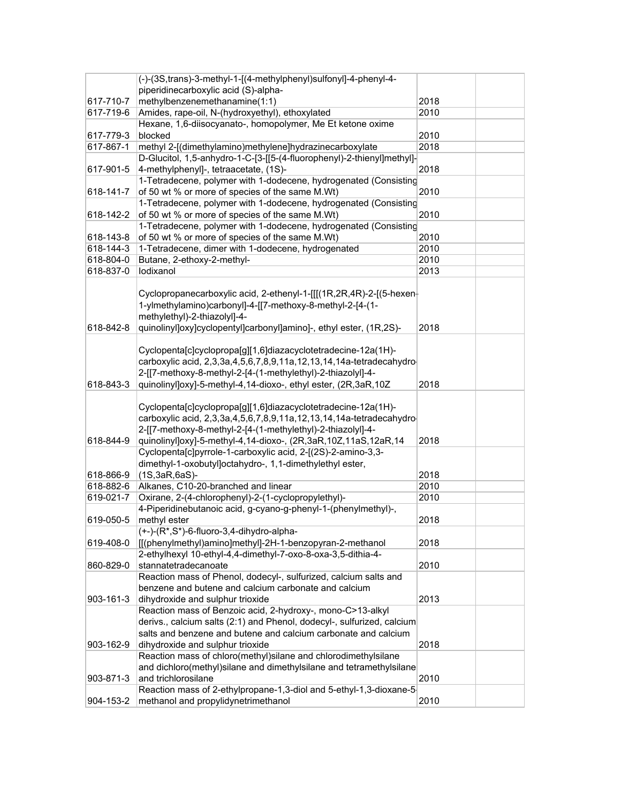|           | (-)-(3S,trans)-3-methyl-1-[(4-methylphenyl)sulfonyl]-4-phenyl-4-       |      |  |
|-----------|------------------------------------------------------------------------|------|--|
|           | piperidinecarboxylic acid (S)-alpha-                                   |      |  |
| 617-710-7 | methylbenzenemethanamine(1:1)                                          | 2018 |  |
| 617-719-6 | Amides, rape-oil, N-(hydroxyethyl), ethoxylated                        | 2010 |  |
|           | Hexane, 1,6-diisocyanato-, homopolymer, Me Et ketone oxime             |      |  |
| 617-779-3 | blocked                                                                | 2010 |  |
| 617-867-1 | methyl 2-[(dimethylamino)methylene]hydrazinecarboxylate                | 2018 |  |
|           | D-Glucitol, 1,5-anhydro-1-C-[3-[[5-(4-fluorophenyl)-2-thienyl]methyl]- |      |  |
| 617-901-5 | 4-methylphenyl]-, tetraacetate, (1S)-                                  | 2018 |  |
|           | 1-Tetradecene, polymer with 1-dodecene, hydrogenated (Consisting       |      |  |
| 618-141-7 | of 50 wt % or more of species of the same M.Wt)                        | 2010 |  |
|           | 1-Tetradecene, polymer with 1-dodecene, hydrogenated (Consisting       |      |  |
|           | of 50 wt % or more of species of the same M.Wt)                        | 2010 |  |
| 618-142-2 |                                                                        |      |  |
|           | 1-Tetradecene, polymer with 1-dodecene, hydrogenated (Consisting       |      |  |
| 618-143-8 | of 50 wt % or more of species of the same M.Wt)                        | 2010 |  |
| 618-144-3 | 1-Tetradecene, dimer with 1-dodecene, hydrogenated                     | 2010 |  |
| 618-804-0 | Butane, 2-ethoxy-2-methyl-                                             | 2010 |  |
| 618-837-0 | lodixanol                                                              | 2013 |  |
|           |                                                                        |      |  |
|           | Cyclopropanecarboxylic acid, 2-ethenyl-1-[[(1R,2R,4R)-2-[(5-hexen-     |      |  |
|           | 1-ylmethylamino)carbonyl]-4-[[7-methoxy-8-methyl-2-[4-(1-              |      |  |
|           | methylethyl)-2-thiazolyl]-4-                                           |      |  |
| 618-842-8 | quinolinyl]oxy]cyclopentyl]carbonyl]amino]-, ethyl ester, (1R,2S)-     | 2018 |  |
|           |                                                                        |      |  |
|           | Cyclopenta[c]cyclopropa[g][1,6]diazacyclotetradecine-12a(1H)-          |      |  |
|           | carboxylic acid, 2,3,3a,4,5,6,7,8,9,11a,12,13,14,14a-tetradecahydro-   |      |  |
|           | 2-[[7-methoxy-8-methyl-2-[4-(1-methylethyl)-2-thiazolyl]-4-            |      |  |
| 618-843-3 | quinolinyl]oxy]-5-methyl-4,14-dioxo-, ethyl ester, (2R,3aR,10Z         | 2018 |  |
|           |                                                                        |      |  |
|           | Cyclopenta[c]cyclopropa[g][1,6]diazacyclotetradecine-12a(1H)-          |      |  |
|           | carboxylic acid, 2,3,3a,4,5,6,7,8,9,11a,12,13,14,14a-tetradecahydro-   |      |  |
|           | 2-[[7-methoxy-8-methyl-2-[4-(1-methylethyl)-2-thiazolyl]-4-            |      |  |
| 618-844-9 | quinolinyl]oxy]-5-methyl-4,14-dioxo-, (2R,3aR,10Z,11aS,12aR,14         | 2018 |  |
|           | Cyclopenta[c]pyrrole-1-carboxylic acid, 2-[(2S)-2-amino-3,3-           |      |  |
|           | dimethyl-1-oxobutyl]octahydro-, 1,1-dimethylethyl ester,               |      |  |
| 618-866-9 | $(1S, 3aR, 6aS)$ -                                                     | 2018 |  |
| 618-882-6 | Alkanes, C10-20-branched and linear                                    | 2010 |  |
| 619-021-7 | Oxirane, 2-(4-chlorophenyl)-2-(1-cyclopropylethyl)-                    | 2010 |  |
|           | 4-Piperidinebutanoic acid, g-cyano-g-phenyl-1-(phenylmethyl)-,         |      |  |
| 619-050-5 | methyl ester                                                           | 2018 |  |
|           | (+-)-(R*,S*)-6-fluoro-3,4-dihydro-alpha-                               |      |  |
| 619-408-0 | [[(phenylmethyl)amino]methyl]-2H-1-benzopyran-2-methanol               | 2018 |  |
|           | 2-ethylhexyl 10-ethyl-4,4-dimethyl-7-oxo-8-oxa-3,5-dithia-4-           |      |  |
| 860-829-0 | stannatetradecanoate                                                   | 2010 |  |
|           | Reaction mass of Phenol, dodecyl-, sulfurized, calcium salts and       |      |  |
|           | benzene and butene and calcium carbonate and calcium                   |      |  |
| 903-161-3 | dihydroxide and sulphur trioxide                                       | 2013 |  |
|           | Reaction mass of Benzoic acid, 2-hydroxy-, mono-C>13-alkyl             |      |  |
|           | derivs., calcium salts (2:1) and Phenol, dodecyl-, sulfurized, calcium |      |  |
|           | salts and benzene and butene and calcium carbonate and calcium         |      |  |
|           |                                                                        |      |  |
| 903-162-9 | dihydroxide and sulphur trioxide                                       | 2018 |  |
|           | Reaction mass of chloro(methyl)silane and chlorodimethylsilane         |      |  |
|           | and dichloro(methyl)silane and dimethylsilane and tetramethylsilane    |      |  |
| 903-871-3 | and trichlorosilane                                                    | 2010 |  |
|           | Reaction mass of 2-ethylpropane-1,3-diol and 5-ethyl-1,3-dioxane-5-    |      |  |
| 904-153-2 | methanol and propylidynetrimethanol                                    | 2010 |  |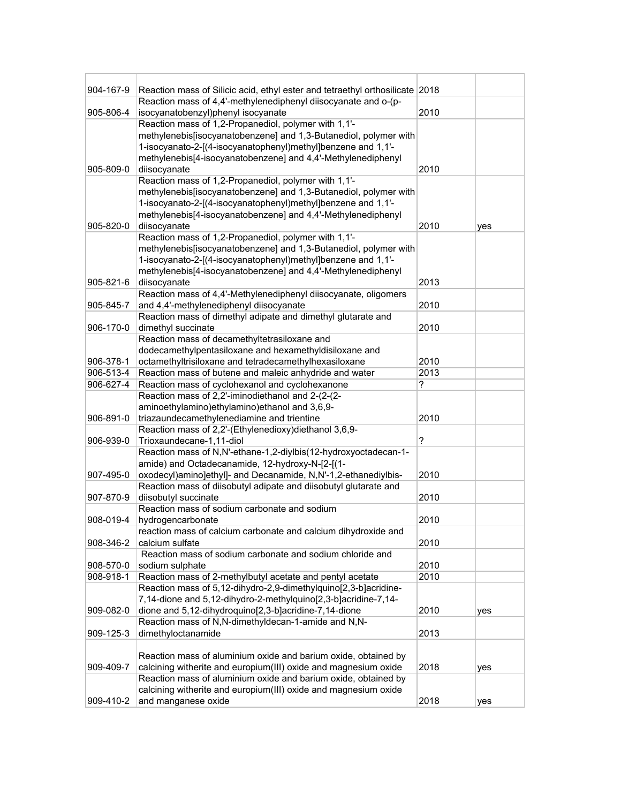| 904-167-9 | Reaction mass of Silicic acid, ethyl ester and tetraethyl orthosilicate 2018                         |      |     |
|-----------|------------------------------------------------------------------------------------------------------|------|-----|
| 905-806-4 | Reaction mass of 4,4'-methylenediphenyl diisocyanate and o-(p-<br>isocyanatobenzyl)phenyl isocyanate | 2010 |     |
|           | Reaction mass of 1,2-Propanediol, polymer with 1,1'-                                                 |      |     |
|           | methylenebis[isocyanatobenzene] and 1,3-Butanediol, polymer with                                     |      |     |
|           | 1-isocyanato-2-[(4-isocyanatophenyl)methyl]benzene and 1,1'-                                         |      |     |
|           | methylenebis[4-isocyanatobenzene] and 4,4'-Methylenediphenyl                                         |      |     |
| 905-809-0 |                                                                                                      | 2010 |     |
|           | diisocyanate<br>Reaction mass of 1,2-Propanediol, polymer with 1,1'-                                 |      |     |
|           | methylenebis[isocyanatobenzene] and 1,3-Butanediol, polymer with                                     |      |     |
|           | 1-isocyanato-2-[(4-isocyanatophenyl)methyl]benzene and 1,1'-                                         |      |     |
|           | methylenebis[4-isocyanatobenzene] and 4,4'-Methylenediphenyl                                         |      |     |
| 905-820-0 | diisocyanate                                                                                         | 2010 | yes |
|           | Reaction mass of 1,2-Propanediol, polymer with 1,1'-                                                 |      |     |
|           | methylenebis[isocyanatobenzene] and 1,3-Butanediol, polymer with                                     |      |     |
|           | 1-isocyanato-2-[(4-isocyanatophenyl)methyl]benzene and 1,1'-                                         |      |     |
|           | methylenebis[4-isocyanatobenzene] and 4,4'-Methylenediphenyl                                         |      |     |
| 905-821-6 | diisocyanate                                                                                         | 2013 |     |
|           | Reaction mass of 4,4'-Methylenediphenyl diisocyanate, oligomers                                      |      |     |
| 905-845-7 | and 4,4'-methylenediphenyl diisocyanate                                                              | 2010 |     |
|           | Reaction mass of dimethyl adipate and dimethyl glutarate and                                         |      |     |
| 906-170-0 | dimethyl succinate                                                                                   | 2010 |     |
|           | Reaction mass of decamethyltetrasiloxane and                                                         |      |     |
|           | dodecamethylpentasiloxane and hexamethyldisiloxane and                                               |      |     |
| 906-378-1 | octamethyltrisiloxane and tetradecamethylhexasiloxane                                                | 2010 |     |
| 906-513-4 | Reaction mass of butene and maleic anhydride and water                                               | 2013 |     |
| 906-627-4 | Reaction mass of cyclohexanol and cyclohexanone                                                      | ?    |     |
|           | Reaction mass of 2,2'-iminodiethanol and 2-(2-(2-                                                    |      |     |
|           | aminoethylamino)ethylamino)ethanol and 3,6,9-                                                        |      |     |
| 906-891-0 | triazaundecamethylenediamine and trientine                                                           | 2010 |     |
|           | Reaction mass of 2,2'-(Ethylenedioxy)diethanol 3,6,9-                                                |      |     |
| 906-939-0 | Trioxaundecane-1,11-diol                                                                             | ?    |     |
|           | Reaction mass of N,N'-ethane-1,2-diylbis(12-hydroxyoctadecan-1-                                      |      |     |
|           | amide) and Octadecanamide, 12-hydroxy-N-[2-[(1-                                                      |      |     |
| 907-495-0 | oxodecyl)amino]ethyl]- and Decanamide, N,N'-1,2-ethanediylbis-                                       | 2010 |     |
|           | Reaction mass of diisobutyl adipate and diisobutyl glutarate and                                     |      |     |
| 907-870-9 | diisobutyl succinate<br>Reaction mass of sodium carbonate and sodium                                 | 2010 |     |
| 908-019-4 | hydrogencarbonate                                                                                    | 2010 |     |
|           | reaction mass of calcium carbonate and calcium dihydroxide and                                       |      |     |
| 908-346-2 | calcium sulfate                                                                                      | 2010 |     |
|           | Reaction mass of sodium carbonate and sodium chloride and                                            |      |     |
| 908-570-0 | sodium sulphate                                                                                      | 2010 |     |
| 908-918-1 | Reaction mass of 2-methylbutyl acetate and pentyl acetate                                            | 2010 |     |
|           | Reaction mass of 5,12-dihydro-2,9-dimethylquino[2,3-b]acridine-                                      |      |     |
|           | 7,14-dione and 5,12-dihydro-2-methylquino[2,3-b]acridine-7,14-                                       |      |     |
| 909-082-0 | dione and 5,12-dihydroquino[2,3-b]acridine-7,14-dione                                                | 2010 | yes |
|           | Reaction mass of N,N-dimethyldecan-1-amide and N,N-                                                  |      |     |
| 909-125-3 | dimethyloctanamide                                                                                   | 2013 |     |
|           |                                                                                                      |      |     |
|           | Reaction mass of aluminium oxide and barium oxide, obtained by                                       |      |     |
| 909-409-7 | calcining witherite and europium(III) oxide and magnesium oxide                                      | 2018 | yes |
|           | Reaction mass of aluminium oxide and barium oxide, obtained by                                       |      |     |
|           | calcining witherite and europium(III) oxide and magnesium oxide                                      |      |     |
| 909-410-2 | and manganese oxide                                                                                  | 2018 | yes |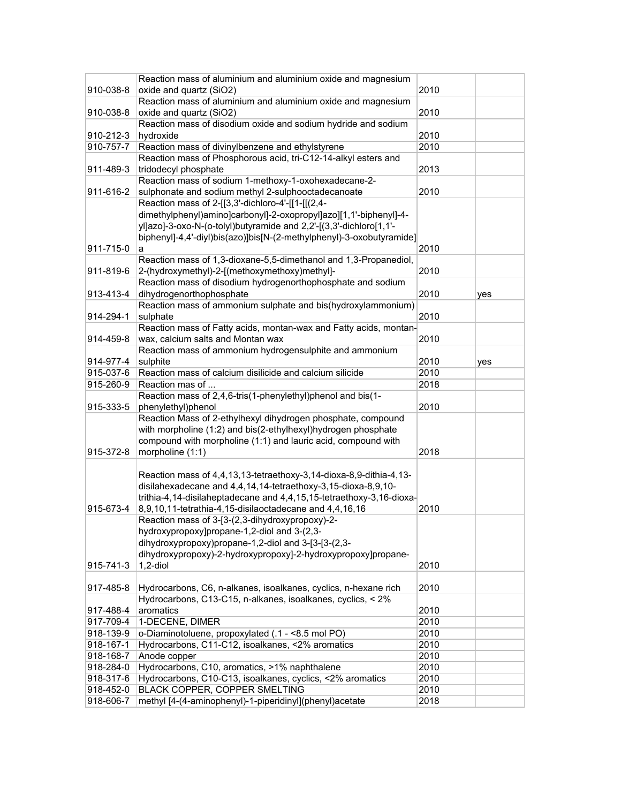|           | Reaction mass of aluminium and aluminium oxide and magnesium         |      |     |
|-----------|----------------------------------------------------------------------|------|-----|
| 910-038-8 | oxide and quartz (SiO2)                                              | 2010 |     |
|           | Reaction mass of aluminium and aluminium oxide and magnesium         |      |     |
| 910-038-8 | oxide and quartz (SiO2)                                              | 2010 |     |
|           | Reaction mass of disodium oxide and sodium hydride and sodium        |      |     |
| 910-212-3 | hydroxide                                                            | 2010 |     |
| 910-757-7 | Reaction mass of divinylbenzene and ethylstyrene                     | 2010 |     |
|           | Reaction mass of Phosphorous acid, tri-C12-14-alkyl esters and       |      |     |
| 911-489-3 | tridodecyl phosphate                                                 | 2013 |     |
|           | Reaction mass of sodium 1-methoxy-1-oxohexadecane-2-                 |      |     |
| 911-616-2 | sulphonate and sodium methyl 2-sulphooctadecanoate                   | 2010 |     |
|           | Reaction mass of 2-[[3,3'-dichloro-4'-[[1-[[(2,4-                    |      |     |
|           | dimethylphenyl)amino]carbonyl]-2-oxopropyl]azo][1,1'-biphenyl]-4-    |      |     |
|           | yl]azo]-3-oxo-N-(o-tolyl)butyramide and 2,2'-[(3,3'-dichloro[1,1'-   |      |     |
|           | biphenyl]-4,4'-diyl)bis(azo)]bis[N-(2-methylphenyl)-3-oxobutyramide] |      |     |
| 911-715-0 | а                                                                    | 2010 |     |
|           | Reaction mass of 1,3-dioxane-5,5-dimethanol and 1,3-Propanediol,     |      |     |
| 911-819-6 | 2-(hydroxymethyl)-2-[(methoxymethoxy)methyl]-                        | 2010 |     |
|           | Reaction mass of disodium hydrogenorthophosphate and sodium          |      |     |
| 913-413-4 | dihydrogenorthophosphate                                             | 2010 | yes |
|           | Reaction mass of ammonium sulphate and bis(hydroxylammonium)         |      |     |
| 914-294-1 | sulphate                                                             | 2010 |     |
|           | Reaction mass of Fatty acids, montan-wax and Fatty acids, montan-    |      |     |
| 914-459-8 | wax, calcium salts and Montan wax                                    | 2010 |     |
|           | Reaction mass of ammonium hydrogensulphite and ammonium              |      |     |
| 914-977-4 | sulphite                                                             | 2010 | yes |
| 915-037-6 | Reaction mass of calcium disilicide and calcium silicide             | 2010 |     |
| 915-260-9 | Reaction mas of                                                      | 2018 |     |
|           | Reaction mass of 2,4,6-tris(1-phenylethyl)phenol and bis(1-          |      |     |
| 915-333-5 | phenylethyl)phenol                                                   | 2010 |     |
|           | Reaction Mass of 2-ethylhexyl dihydrogen phosphate, compound         |      |     |
|           | with morpholine (1:2) and bis(2-ethylhexyl)hydrogen phosphate        |      |     |
|           | compound with morpholine (1:1) and lauric acid, compound with        |      |     |
| 915-372-8 | morpholine (1:1)                                                     | 2018 |     |
|           |                                                                      |      |     |
|           | Reaction mass of 4,4,13,13-tetraethoxy-3,14-dioxa-8,9-dithia-4,13-   |      |     |
|           | disilahexadecane and 4,4,14,14-tetraethoxy-3,15-dioxa-8,9,10-        |      |     |
|           | trithia-4,14-disilaheptadecane and 4,4,15,15-tetraethoxy-3,16-dioxa- |      |     |
| 915-673-4 | 8,9,10,11-tetrathia-4,15-disilaoctadecane and 4,4,16,16              | 2010 |     |
|           | Reaction mass of 3-[3-(2,3-dihydroxypropoxy)-2-                      |      |     |
|           | hydroxypropoxy]propane-1,2-diol and 3-(2,3-                          |      |     |
|           | dihydroxypropoxy)propane-1,2-diol and 3-[3-[3-(2,3-                  |      |     |
|           | dihydroxypropoxy)-2-hydroxypropoxy]-2-hydroxypropoxy]propane-        |      |     |
| 915-741-3 | $1,2$ -diol                                                          | 2010 |     |
|           |                                                                      |      |     |
| 917-485-8 | Hydrocarbons, C6, n-alkanes, isoalkanes, cyclics, n-hexane rich      | 2010 |     |
|           | Hydrocarbons, C13-C15, n-alkanes, isoalkanes, cyclics, < 2%          |      |     |
| 917-488-4 | aromatics                                                            | 2010 |     |
| 917-709-4 | 1-DECENE, DIMER                                                      | 2010 |     |
| 918-139-9 | o-Diaminotoluene, propoxylated (.1 - <8.5 mol PO)                    | 2010 |     |
| 918-167-1 | Hydrocarbons, C11-C12, isoalkanes, <2% aromatics                     | 2010 |     |
| 918-168-7 | Anode copper                                                         | 2010 |     |
| 918-284-0 | Hydrocarbons, C10, aromatics, >1% naphthalene                        | 2010 |     |
| 918-317-6 | Hydrocarbons, C10-C13, isoalkanes, cyclics, <2% aromatics            | 2010 |     |
| 918-452-0 | BLACK COPPER, COPPER SMELTING                                        | 2010 |     |
| 918-606-7 | methyl [4-(4-aminophenyl)-1-piperidinyl](phenyl)acetate              | 2018 |     |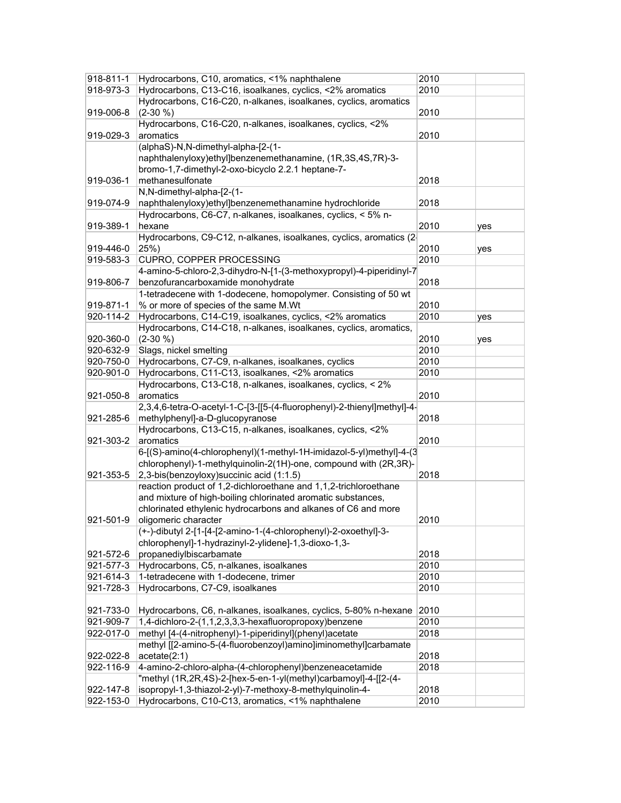| 918-811-1 | Hydrocarbons, C10, aromatics, <1% naphthalene                           | 2010 |     |
|-----------|-------------------------------------------------------------------------|------|-----|
| 918-973-3 | Hydrocarbons, C13-C16, isoalkanes, cyclics, <2% aromatics               | 2010 |     |
|           | Hydrocarbons, C16-C20, n-alkanes, isoalkanes, cyclics, aromatics        |      |     |
| 919-006-8 | $(2-30\% )$                                                             | 2010 |     |
|           | Hydrocarbons, C16-C20, n-alkanes, isoalkanes, cyclics, <2%              |      |     |
| 919-029-3 | aromatics                                                               | 2010 |     |
|           | (alphaS)-N,N-dimethyl-alpha-[2-(1-                                      |      |     |
|           | naphthalenyloxy)ethyl]benzenemethanamine, (1R,3S,4S,7R)-3-              |      |     |
|           |                                                                         |      |     |
|           | bromo-1,7-dimethyl-2-oxo-bicyclo 2.2.1 heptane-7-                       |      |     |
| 919-036-1 | methanesulfonate                                                        | 2018 |     |
|           | N,N-dimethyl-alpha-[2-(1-                                               |      |     |
| 919-074-9 | naphthalenyloxy)ethyl]benzenemethanamine hydrochloride                  | 2018 |     |
|           | Hydrocarbons, C6-C7, n-alkanes, isoalkanes, cyclics, < 5% n-            |      |     |
| 919-389-1 | hexane                                                                  | 2010 | yes |
|           | Hydrocarbons, C9-C12, n-alkanes, isoalkanes, cyclics, aromatics (2-     |      |     |
| 919-446-0 | 25%)                                                                    | 2010 | yes |
| 919-583-3 | CUPRO, COPPER PROCESSING                                                | 2010 |     |
|           | 4-amino-5-chloro-2,3-dihydro-N-[1-(3-methoxypropyl)-4-piperidinyl-7     |      |     |
| 919-806-7 | benzofurancarboxamide monohydrate                                       | 2018 |     |
|           | 1-tetradecene with 1-dodecene, homopolymer. Consisting of 50 wt         |      |     |
| 919-871-1 | % or more of species of the same M.Wt                                   | 2010 |     |
| 920-114-2 | Hydrocarbons, C14-C19, isoalkanes, cyclics, <2% aromatics               | 2010 | yes |
|           | Hydrocarbons, C14-C18, n-alkanes, isoalkanes, cyclics, aromatics,       |      |     |
| 920-360-0 | $(2-30\% )$                                                             | 2010 | yes |
| 920-632-9 | Slags, nickel smelting                                                  | 2010 |     |
| 920-750-0 | Hydrocarbons, C7-C9, n-alkanes, isoalkanes, cyclics                     | 2010 |     |
| 920-901-0 | Hydrocarbons, C11-C13, isoalkanes, <2% aromatics                        | 2010 |     |
|           | Hydrocarbons, C13-C18, n-alkanes, isoalkanes, cyclics, < 2%             |      |     |
| 921-050-8 | aromatics                                                               | 2010 |     |
|           |                                                                         |      |     |
|           | 2,3,4,6-tetra-O-acetyl-1-C-[3-[[5-(4-fluorophenyl)-2-thienyl]methyl]-4- |      |     |
| 921-285-6 | methylphenyl]-a-D-glucopyranose                                         | 2018 |     |
|           | Hydrocarbons, C13-C15, n-alkanes, isoalkanes, cyclics, <2%              |      |     |
| 921-303-2 | aromatics                                                               | 2010 |     |
|           | 6-[(S)-amino(4-chlorophenyl)(1-methyl-1H-imidazol-5-yl)methyl]-4-(3     |      |     |
|           | chlorophenyl)-1-methylquinolin-2(1H)-one, compound with (2R,3R)-        |      |     |
| 921-353-5 | 2,3-bis(benzoyloxy) succinic acid (1:1.5)                               | 2018 |     |
|           | reaction product of 1,2-dichloroethane and 1,1,2-trichloroethane        |      |     |
|           | and mixture of high-boiling chlorinated aromatic substances,            |      |     |
|           | chlorinated ethylenic hydrocarbons and alkanes of C6 and more           |      |     |
| 921-501-9 | oligomeric character                                                    | 2010 |     |
|           | (+-)-dibutyl 2-[1-[4-[2-amino-1-(4-chlorophenyl)-2-oxoethyl]-3-         |      |     |
|           | chlorophenyl]-1-hydrazinyl-2-ylidene]-1,3-dioxo-1,3-                    |      |     |
| 921-572-6 | propanediylbiscarbamate                                                 | 2018 |     |
| 921-577-3 | Hydrocarbons, C5, n-alkanes, isoalkanes                                 | 2010 |     |
| 921-614-3 | 1-tetradecene with 1-dodecene, trimer                                   | 2010 |     |
| 921-728-3 | Hydrocarbons, C7-C9, isoalkanes                                         | 2010 |     |
|           |                                                                         |      |     |
| 921-733-0 | Hydrocarbons, C6, n-alkanes, isoalkanes, cyclics, 5-80% n-hexane        | 2010 |     |
| 921-909-7 | 1,4-dichloro-2-(1,1,2,3,3,3-hexafluoropropoxy)benzene                   | 2010 |     |
| 922-017-0 | methyl [4-(4-nitrophenyl)-1-piperidinyl](phenyl)acetate                 | 2018 |     |
|           | methyl [[2-amino-5-(4-fluorobenzoyl)amino]iminomethyl]carbamate         |      |     |
| 922-022-8 | acetate(2:1)                                                            | 2018 |     |
| 922-116-9 | 4-amino-2-chloro-alpha-(4-chlorophenyl)benzeneacetamide                 | 2018 |     |
|           | "methyl (1R,2R,4S)-2-[hex-5-en-1-yl(methyl)carbamoyl]-4-[[2-(4-         |      |     |
| 922-147-8 | isopropyl-1,3-thiazol-2-yl)-7-methoxy-8-methylquinolin-4-               | 2018 |     |
|           | Hydrocarbons, C10-C13, aromatics, <1% naphthalene                       |      |     |
| 922-153-0 |                                                                         | 2010 |     |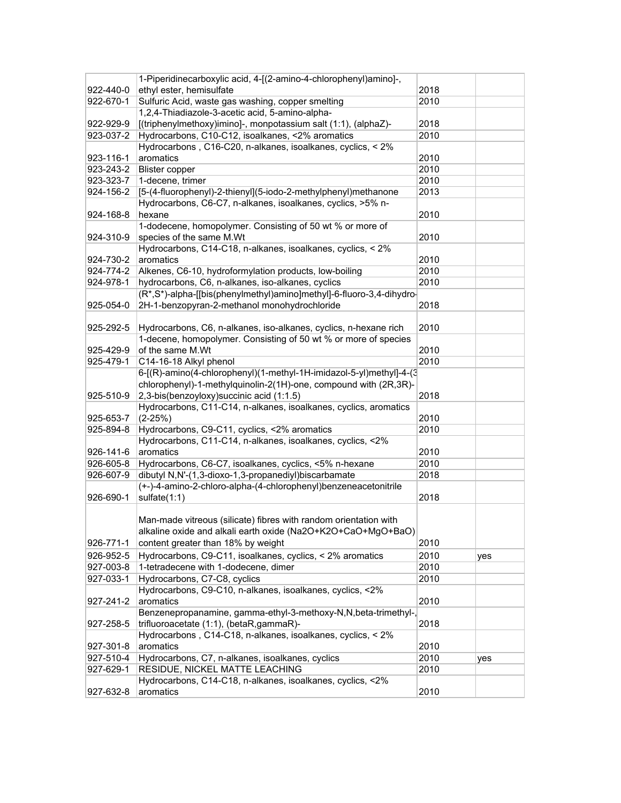|           | 1-Piperidinecarboxylic acid, 4-[(2-amino-4-chlorophenyl)amino]-,     |      |     |
|-----------|----------------------------------------------------------------------|------|-----|
| 922-440-0 | ethyl ester, hemisulfate                                             | 2018 |     |
| 922-670-1 | Sulfuric Acid, waste gas washing, copper smelting                    | 2010 |     |
|           | 1,2,4-Thiadiazole-3-acetic acid, 5-amino-alpha-                      |      |     |
| 922-929-9 | [(triphenylmethoxy)imino]-, monpotassium salt (1:1), (alphaZ)-       | 2018 |     |
| 923-037-2 | Hydrocarbons, C10-C12, isoalkanes, <2% aromatics                     | 2010 |     |
|           | Hydrocarbons, C16-C20, n-alkanes, isoalkanes, cyclics, < 2%          |      |     |
| 923-116-1 | aromatics                                                            | 2010 |     |
| 923-243-2 | <b>Blister copper</b>                                                | 2010 |     |
| 923-323-7 | 1-decene, trimer                                                     | 2010 |     |
| 924-156-2 | [5-(4-fluorophenyl)-2-thienyl](5-iodo-2-methylphenyl)methanone       | 2013 |     |
|           | Hydrocarbons, C6-C7, n-alkanes, isoalkanes, cyclics, >5% n-          |      |     |
| 924-168-8 | hexane                                                               | 2010 |     |
|           | 1-dodecene, homopolymer. Consisting of 50 wt % or more of            |      |     |
| 924-310-9 | species of the same M.Wt                                             | 2010 |     |
|           | Hydrocarbons, C14-C18, n-alkanes, isoalkanes, cyclics, < 2%          |      |     |
| 924-730-2 | aromatics                                                            | 2010 |     |
| 924-774-2 | Alkenes, C6-10, hydroformylation products, low-boiling               | 2010 |     |
| 924-978-1 | hydrocarbons, C6, n-alkanes, iso-alkanes, cyclics                    | 2010 |     |
|           | (R*,S*)-alpha-[[bis(phenylmethyl)amino]methyl]-6-fluoro-3,4-dihydro- |      |     |
| 925-054-0 | 2H-1-benzopyran-2-methanol monohydrochloride                         | 2018 |     |
|           |                                                                      |      |     |
| 925-292-5 | Hydrocarbons, C6, n-alkanes, iso-alkanes, cyclics, n-hexane rich     | 2010 |     |
|           | 1-decene, homopolymer. Consisting of 50 wt % or more of species      |      |     |
| 925-429-9 | of the same M.Wt                                                     | 2010 |     |
| 925-479-1 | C14-16-18 Alkyl phenol                                               | 2010 |     |
|           | 6-[(R)-amino(4-chlorophenyl)(1-methyl-1H-imidazol-5-yl)methyl]-4-(3  |      |     |
|           | chlorophenyl)-1-methylquinolin-2(1H)-one, compound with (2R,3R)-     |      |     |
| 925-510-9 | 2,3-bis(benzoyloxy) succinic acid (1:1.5)                            | 2018 |     |
|           | Hydrocarbons, C11-C14, n-alkanes, isoalkanes, cyclics, aromatics     |      |     |
| 925-653-7 | $(2-25%)$                                                            | 2010 |     |
| 925-894-8 | Hydrocarbons, C9-C11, cyclics, <2% aromatics                         | 2010 |     |
|           | Hydrocarbons, C11-C14, n-alkanes, isoalkanes, cyclics, <2%           |      |     |
| 926-141-6 | aromatics                                                            | 2010 |     |
| 926-605-8 | Hydrocarbons, C6-C7, isoalkanes, cyclics, <5% n-hexane               | 2010 |     |
| 926-607-9 | dibutyl N,N'-(1,3-dioxo-1,3-propanediyl)biscarbamate                 | 2018 |     |
|           | (+-)-4-amino-2-chloro-alpha-(4-chlorophenyl)benzeneacetonitrile      |      |     |
| 926-690-1 | sulfate(1:1)                                                         | 2018 |     |
|           |                                                                      |      |     |
|           | Man-made vitreous (silicate) fibres with random orientation with     |      |     |
|           | alkaline oxide and alkali earth oxide (Na2O+K2O+CaO+MgO+BaO)         |      |     |
| 926-771-1 | content greater than 18% by weight                                   | 2010 |     |
|           |                                                                      |      |     |
| 926-952-5 | Hydrocarbons, C9-C11, isoalkanes, cyclics, < 2% aromatics            | 2010 | yes |
| 927-003-8 | 1-tetradecene with 1-dodecene, dimer                                 | 2010 |     |
| 927-033-1 | Hydrocarbons, C7-C8, cyclics                                         | 2010 |     |
|           | Hydrocarbons, C9-C10, n-alkanes, isoalkanes, cyclics, <2%            |      |     |
| 927-241-2 | aromatics                                                            | 2010 |     |
|           | Benzenepropanamine, gamma-ethyl-3-methoxy-N,N,beta-trimethyl-,       |      |     |
| 927-258-5 | trifluoroacetate (1:1), (betaR,gammaR)-                              | 2018 |     |
|           | Hydrocarbons, C14-C18, n-alkanes, isoalkanes, cyclics, < 2%          |      |     |
| 927-301-8 | aromatics                                                            | 2010 |     |
| 927-510-4 | Hydrocarbons, C7, n-alkanes, isoalkanes, cyclics                     | 2010 | yes |
| 927-629-1 | RESIDUE, NICKEL MATTE LEACHING                                       | 2010 |     |
|           | Hydrocarbons, C14-C18, n-alkanes, isoalkanes, cyclics, <2%           |      |     |
| 927-632-8 | aromatics                                                            | 2010 |     |